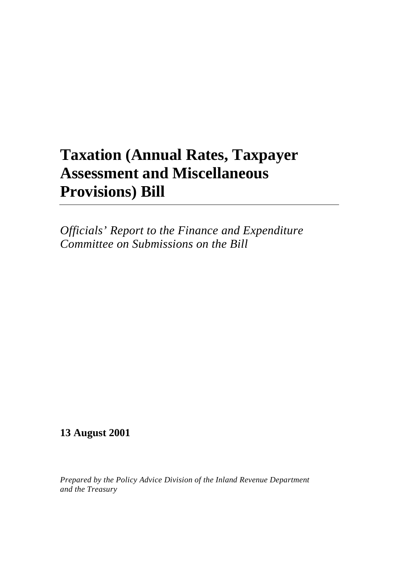## **Taxation (Annual Rates, Taxpayer Assessment and Miscellaneous Provisions) Bill**

*Officials' Report to the Finance and Expenditure Committee on Submissions on the Bill*

## **13 August 2001**

*Prepared by the Policy Advice Division of the Inland Revenue Department and the Treasury*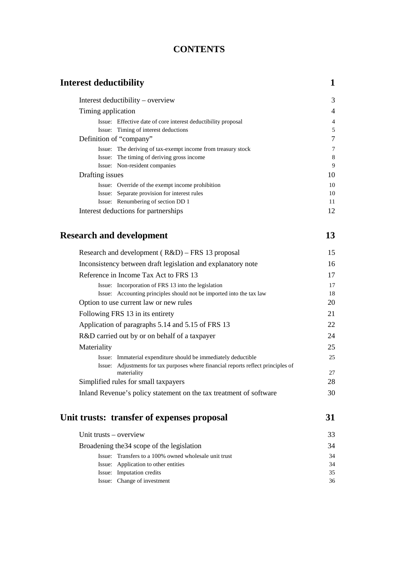### **CONTENTS**

| <b>Interest deductibility</b> |                                                                      | $\mathbf{1}$   |
|-------------------------------|----------------------------------------------------------------------|----------------|
|                               | Interest deductibility – overview                                    | 3              |
| Timing application            |                                                                      | $\overline{4}$ |
|                               | Issue: Effective date of core interest deductibility proposal        | $\overline{4}$ |
|                               | Issue: Timing of interest deductions                                 | 5              |
|                               | Definition of "company"                                              | 7              |
|                               | Issue: The deriving of tax-exempt income from treasury stock         | $\overline{7}$ |
|                               | Issue: The timing of deriving gross income                           | 8              |
|                               | Issue: Non-resident companies                                        | 9              |
| Drafting issues               |                                                                      | 10             |
|                               | Issue: Override of the exempt income prohibition                     | 10             |
|                               | Issue: Separate provision for interest rules                         | 10             |
|                               | Issue: Renumbering of section DD 1                                   | 11             |
|                               | Interest deductions for partnerships                                 | 12             |
|                               | <b>Research and development</b>                                      | 13             |
|                               | Research and development (R&D) – FRS 13 proposal                     | 15             |
|                               | Inconsistency between draft legislation and explanatory note         | 16             |
|                               | Reference in Income Tax Act to FRS 13                                | 17             |
|                               | Issue: Incorporation of FRS 13 into the legislation                  | 17             |
|                               | Issue: Accounting principles should not be imported into the tax law | 18             |
|                               | Option to use current law or new rules                               | 20             |
|                               | Following FRS 13 in its entirety                                     | 21             |
|                               | Application of paragraphs 5.14 and 5.15 of FRS 13                    | 22             |
|                               | R&D carried out by or on behalf of a taxpayer                        | 24             |
| Materiality                   |                                                                      | 25             |
|                               |                                                                      |                |

| Issue: Immaterial expenditure should be immediately deductible                    | 25 |
|-----------------------------------------------------------------------------------|----|
| Issue: Adjustments for tax purposes where financial reports reflect principles of |    |
| materiality                                                                       | 27 |
| Simplified rules for small taxpayers                                              | 28 |
| Inland Revenue's policy statement on the tax treatment of software                | 30 |
|                                                                                   |    |

## **[Unit trusts: transfer of expenses proposal 31](#page-38-0)**

| Unit trusts – overview |                                                       | 33 |
|------------------------|-------------------------------------------------------|----|
|                        | Broadening the 34 scope of the legislation            | 34 |
|                        | Issue: Transfers to a 100% owned wholesale unit trust | 34 |
|                        | Issue: Application to other entities                  | 34 |
|                        | Issue: Imputation credits                             | 35 |
|                        | Issue: Change of investment                           | 36 |
|                        |                                                       |    |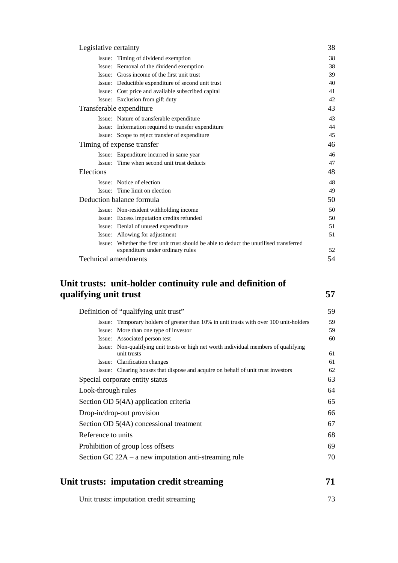| Legislative certainty                       |                                                                                  | 38 |
|---------------------------------------------|----------------------------------------------------------------------------------|----|
| Issue: Timing of dividend exemption         |                                                                                  | 38 |
| Issue: Removal of the dividend exemption    |                                                                                  | 38 |
| Issue: Gross income of the first unit trust |                                                                                  | 39 |
|                                             | Issue: Deductible expenditure of second unit trust                               | 40 |
|                                             | Issue: Cost price and available subscribed capital                               | 41 |
| Issue: Exclusion from gift duty             |                                                                                  | 42 |
| Transferable expenditure                    |                                                                                  | 43 |
| Issue: Nature of transferable expenditure   |                                                                                  | 43 |
|                                             | Issue: Information required to transfer expenditure                              | 44 |
|                                             | Issue: Scope to reject transfer of expenditure                                   | 45 |
| Timing of expense transfer                  |                                                                                  | 46 |
| Issue: Expenditure incurred in same year    |                                                                                  | 46 |
| Issue: Time when second unit trust deducts  |                                                                                  | 47 |
| Elections                                   |                                                                                  | 48 |
| Issue: Notice of election                   |                                                                                  | 48 |
| Issue: Time limit on election               |                                                                                  | 49 |
| Deduction balance formula                   |                                                                                  | 50 |
| Issue: Non-resident withholding income      |                                                                                  | 50 |
| Issue: Excess imputation credits refunded   |                                                                                  | 50 |
| Issue: Denial of unused expenditure         |                                                                                  | 51 |
| Issue: Allowing for adjustment              |                                                                                  | 51 |
| Issue:                                      | Whether the first unit trust should be able to deduct the unutilised transferred |    |
|                                             | expenditure under ordinary rules                                                 | 52 |
| Technical amendments                        |                                                                                  | 54 |

#### **Unit trusts: unit-holder continuity rule and definition of [qualifying unit trust 57](#page-62-0)**

|                            | Definition of "qualifying unit trust"                                                               | 59 |
|----------------------------|-----------------------------------------------------------------------------------------------------|----|
|                            | Issue: Temporary holders of greater than 10% in unit trusts with over 100 unit-holders              | 59 |
|                            | Issue: More than one type of investor                                                               | 59 |
|                            | Issue: Associated person test                                                                       | 60 |
|                            | Issue: Non-qualifying unit trusts or high net worth individual members of qualifying<br>unit trusts | 61 |
|                            | Issue: Clarification changes                                                                        | 61 |
|                            | Issue: Clearing houses that dispose and acquire on behalf of unit trust investors                   | 62 |
|                            | Special corporate entity status                                                                     | 63 |
| Look-through rules         |                                                                                                     | 64 |
|                            | Section OD 5(4A) application criteria                                                               | 65 |
| Drop-in/drop-out provision |                                                                                                     | 66 |
|                            | Section OD 5(4A) concessional treatment                                                             | 67 |
| Reference to units         |                                                                                                     | 68 |
|                            | Prohibition of group loss offsets                                                                   | 69 |
|                            | Section GC $22A - a$ new imputation anti-streaming rule                                             | 70 |
|                            |                                                                                                     |    |

## **[Unit trusts: imputation credit streaming 71](#page-76-0)**

| Unit trusts: imputation credit streaming |  |
|------------------------------------------|--|
|------------------------------------------|--|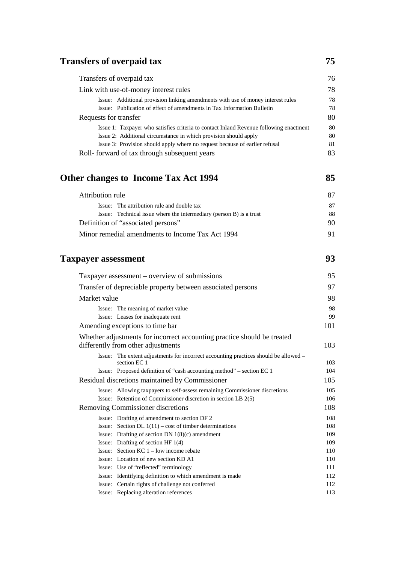## **Transfers of overpaid tax** 75

| Transfers of overpaid tax                                                              | 76 |
|----------------------------------------------------------------------------------------|----|
| Link with use-of-money interest rules                                                  | 78 |
| Issue: Additional provision linking amendments with use of money interest rules        | 78 |
| Issue: Publication of effect of amendments in Tax Information Bulletin                 | 78 |
| Requests for transfer                                                                  | 80 |
| Issue 1: Taxpayer who satisfies criteria to contact Inland Revenue following enactment | 80 |
| Issue 2: Additional circumstance in which provision should apply                       | 80 |
| Issue 3: Provision should apply where no request because of earlier refusal            | 81 |
| Roll- forward of tax through subsequent years                                          | 83 |

## **[Other changes to Income Tax Act 1994 85](#page-90-0)**

| Attribution rule                                                    | 87 |
|---------------------------------------------------------------------|----|
| Issue: The attribution rule and double tax                          | 87 |
| Issue: Technical issue where the intermediary (person B) is a trust | 88 |
| Definition of "associated persons"                                  | 90 |
| Minor remedial amendments to Income Tax Act 1994                    | 91 |

## **Taxpayer assessment** 93

|              | Taxpayer assessment – overview of submissions                                                                 | 95  |
|--------------|---------------------------------------------------------------------------------------------------------------|-----|
|              | Transfer of depreciable property between associated persons                                                   | 97  |
| Market value |                                                                                                               | 98  |
|              | Issue: The meaning of market value                                                                            | 98  |
|              | Issue: Leases for inadequate rent                                                                             | 99  |
|              | Amending exceptions to time bar                                                                               | 101 |
|              | Whether adjustments for incorrect accounting practice should be treated<br>differently from other adjustments | 103 |
|              | Issue: The extent adjustments for incorrect accounting practices should be allowed –<br>section EC 1          | 103 |
|              | Issue: Proposed definition of "cash accounting method" – section EC 1                                         | 104 |
|              | Residual discretions maintained by Commissioner                                                               | 105 |
|              | Issue: Allowing taxpayers to self-assess remaining Commissioner discretions                                   | 105 |
|              | Issue: Retention of Commissioner discretion in section LB 2(5)                                                | 106 |
|              | Removing Commissioner discretions                                                                             | 108 |
|              | Issue: Drafting of amendment to section DF 2                                                                  | 108 |
|              | Issue: Section DL $1(11)$ – cost of timber determinations                                                     | 108 |
|              | Issue: Drafting of section DN $1(8)(c)$ amendment                                                             | 109 |
|              | Issue: Drafting of section HF $1(4)$                                                                          | 109 |
|              | Issue: Section $KC 1 - low$ income rebate                                                                     | 110 |
|              | Issue: Location of new section KD A1                                                                          | 110 |
|              | Issue: Use of "reflected" terminology                                                                         | 111 |
|              | Issue: Identifying definition to which amendment is made                                                      | 112 |
|              | Issue: Certain rights of challenge not conferred                                                              | 112 |
|              | Issue: Replacing alteration references                                                                        | 113 |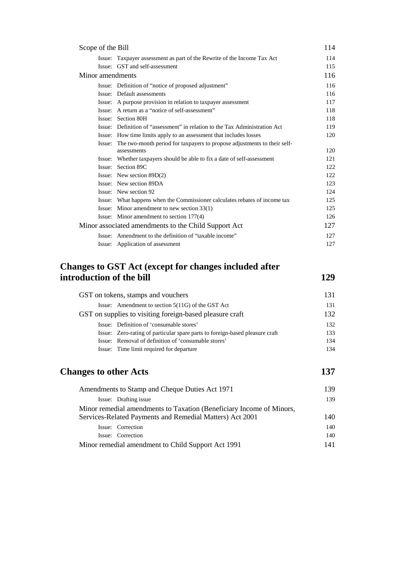| Scope of the Bill |                                                                                         | 114 |
|-------------------|-----------------------------------------------------------------------------------------|-----|
|                   | Issue: Taxpayer assessment as part of the Rewrite of the Income Tax Act                 | 114 |
|                   | Issue: GST and self-assessment                                                          | 115 |
| Minor amendments  |                                                                                         | 116 |
|                   | Issue: Definition of "notice of proposed adjustment"                                    | 116 |
|                   | Issue: Default assessments                                                              | 116 |
|                   | Issue: A purpose provision in relation to taxpayer assessment                           | 117 |
|                   | Issue: A return as a "notice of self-assessment"                                        | 118 |
|                   | Issue: Section 80H                                                                      | 118 |
|                   | Issue: Definition of "assessment" in relation to the Tax Administration Act             | 119 |
|                   | Issue: How time limits apply to an assessment that includes losses                      | 120 |
| Issue:            | The two-month period for taxpayers to propose adjustments to their self-<br>assessments | 120 |
|                   | Issue: Whether taxpayers should be able to fix a date of self-assessment                | 121 |
|                   | Issue: Section 89C                                                                      | 122 |
|                   | Issue: New section $89D(2)$                                                             | 122 |
|                   | Issue: New section 89DA                                                                 | 123 |
|                   | Issue: New section 92                                                                   | 124 |
|                   | Issue: What happens when the Commissioner calculates rebates of income tax              | 125 |
|                   | Issue: Minor amendment to new section 33(1)                                             | 125 |
|                   | Issue: Minor amendment to section 177(4)                                                | 126 |
|                   | Minor associated amendments to the Child Support Act                                    | 127 |
|                   | Issue: Amendment to the definition of "taxable income"                                  | 127 |
|                   | Issue: Application of assessment                                                        | 127 |

#### **Changes to GST Act (except for changes included after introduction of the bill** 129

GST on tokens, stamps and vouchers 131 Issue: Amendment to section 5(11G) of the GST Act 131 GST on supplies to visiting foreign-based pleasure craft 132 Issue: Definition of 'consumable stores' 132 Issue: Zero-rating of particular spare parts to foreign-based pleasure craft 133 Issue: Removal of definition of 'consumable stores' 134 Issue: Time limit required for departure 134

### **Changes to other Acts** 137

| Amendments to Stamp and Cheque Duties Act 1971                                                                                   | 139 |
|----------------------------------------------------------------------------------------------------------------------------------|-----|
| Issue: Drafting issue                                                                                                            | 139 |
| Minor remedial amendments to Taxation (Beneficiary Income of Minors,<br>Services-Related Payments and Remedial Matters) Act 2001 | 140 |
| Issue: Correction                                                                                                                | 140 |
| Issue: Correction                                                                                                                | 140 |
| Minor remedial amendment to Child Support Act 1991                                                                               | 141 |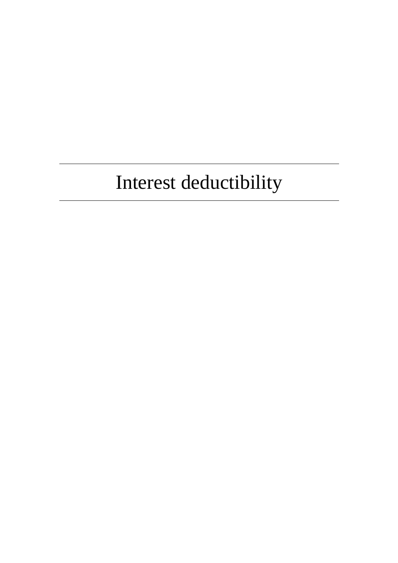# Interest deductibility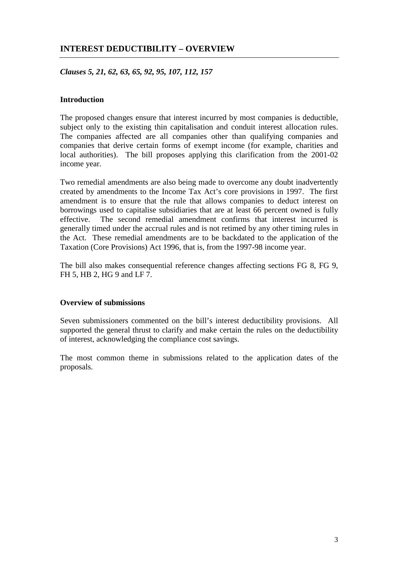#### <span id="page-8-0"></span>**INTEREST DEDUCTIBILITY – OVERVIEW**

*Clauses 5, 21, 62, 63, 65, 92, 95, 107, 112, 157*

#### **Introduction**

The proposed changes ensure that interest incurred by most companies is deductible, subject only to the existing thin capitalisation and conduit interest allocation rules. The companies affected are all companies other than qualifying companies and companies that derive certain forms of exempt income (for example, charities and local authorities). The bill proposes applying this clarification from the 2001-02 income year.

Two remedial amendments are also being made to overcome any doubt inadvertently created by amendments to the Income Tax Act's core provisions in 1997. The first amendment is to ensure that the rule that allows companies to deduct interest on borrowings used to capitalise subsidiaries that are at least 66 percent owned is fully effective. The second remedial amendment confirms that interest incurred is generally timed under the accrual rules and is not retimed by any other timing rules in the Act. These remedial amendments are to be backdated to the application of the Taxation (Core Provisions) Act 1996, that is, from the 1997-98 income year.

The bill also makes consequential reference changes affecting sections FG 8, FG 9, FH 5, HB 2, HG 9 and LF 7.

#### **Overview of submissions**

Seven submissioners commented on the bill's interest deductibility provisions. All supported the general thrust to clarify and make certain the rules on the deductibility of interest, acknowledging the compliance cost savings.

The most common theme in submissions related to the application dates of the proposals.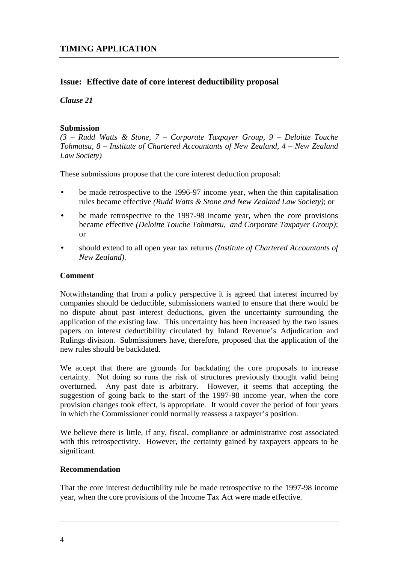#### **Issue: Effective date of core interest deductibility proposal**

#### *Clause 21*

#### **Submission**

*(3 – Rudd Watts & Stone, 7 – Corporate Taxpayer Group, 9 – Deloitte Touche Tohmatsu, 8 – Institute of Chartered Accountants of New Zealand, 4 – New Zealand Law Society)*

These submissions propose that the core interest deduction proposal:

- be made retrospective to the 1996-97 income year, when the thin capitalisation rules became effective *(Rudd Watts & Stone and New Zealand Law Society)*; or
- be made retrospective to the 1997-98 income year, when the core provisions became effective *(Deloitte Touche Tohmatsu, and Corporate Taxpayer Group)*; or
- should extend to all open year tax returns *(Institute of Chartered Accountants of New Zealand)*.

#### **Comment**

Notwithstanding that from a policy perspective it is agreed that interest incurred by companies should be deductible, submissioners wanted to ensure that there would be no dispute about past interest deductions, given the uncertainty surrounding the application of the existing law. This uncertainty has been increased by the two issues papers on interest deductibility circulated by Inland Revenue's Adjudication and Rulings division. Submissioners have, therefore, proposed that the application of the new rules should be backdated.

We accept that there are grounds for backdating the core proposals to increase certainty. Not doing so runs the risk of structures previously thought valid being overturned. Any past date is arbitrary. However, it seems that accepting the suggestion of going back to the start of the 1997-98 income year, when the core provision changes took effect, is appropriate. It would cover the period of four years in which the Commissioner could normally reassess a taxpayer's position.

We believe there is little, if any, fiscal, compliance or administrative cost associated with this retrospectivity. However, the certainty gained by taxpayers appears to be significant.

#### **Recommendation**

That the core interest deductibility rule be made retrospective to the 1997-98 income year, when the core provisions of the Income Tax Act were made effective.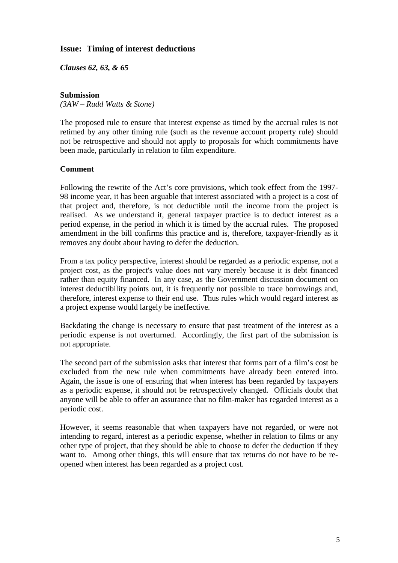#### **Issue: Timing of interest deductions**

*Clauses 62, 63, & 65*

#### **Submission**

*(3AW – Rudd Watts & Stone)*

The proposed rule to ensure that interest expense as timed by the accrual rules is not retimed by any other timing rule (such as the revenue account property rule) should not be retrospective and should not apply to proposals for which commitments have been made, particularly in relation to film expenditure.

#### **Comment**

Following the rewrite of the Act's core provisions, which took effect from the 1997- 98 income year, it has been arguable that interest associated with a project is a cost of that project and, therefore, is not deductible until the income from the project is realised. As we understand it, general taxpayer practice is to deduct interest as a period expense, in the period in which it is timed by the accrual rules. The proposed amendment in the bill confirms this practice and is, therefore, taxpayer-friendly as it removes any doubt about having to defer the deduction.

From a tax policy perspective, interest should be regarded as a periodic expense, not a project cost, as the project's value does not vary merely because it is debt financed rather than equity financed. In any case, as the Government discussion document on interest deductibility points out, it is frequently not possible to trace borrowings and, therefore, interest expense to their end use. Thus rules which would regard interest as a project expense would largely be ineffective.

Backdating the change is necessary to ensure that past treatment of the interest as a periodic expense is not overturned. Accordingly, the first part of the submission is not appropriate.

The second part of the submission asks that interest that forms part of a film's cost be excluded from the new rule when commitments have already been entered into. Again, the issue is one of ensuring that when interest has been regarded by taxpayers as a periodic expense, it should not be retrospectively changed. Officials doubt that anyone will be able to offer an assurance that no film-maker has regarded interest as a periodic cost.

However, it seems reasonable that when taxpayers have not regarded, or were not intending to regard, interest as a periodic expense, whether in relation to films or any other type of project, that they should be able to choose to defer the deduction if they want to. Among other things, this will ensure that tax returns do not have to be reopened when interest has been regarded as a project cost.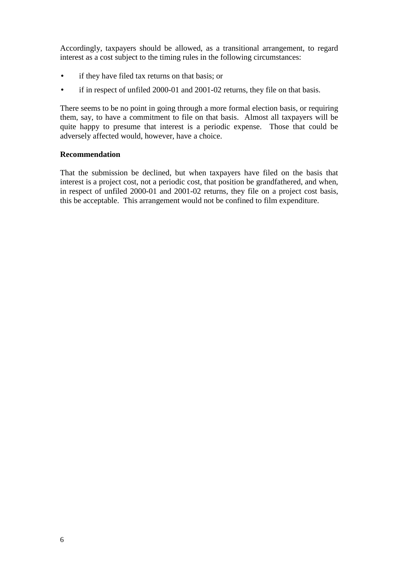Accordingly, taxpayers should be allowed, as a transitional arrangement, to regard interest as a cost subject to the timing rules in the following circumstances:

- if they have filed tax returns on that basis; or
- if in respect of unfiled 2000-01 and 2001-02 returns, they file on that basis.

There seems to be no point in going through a more formal election basis, or requiring them, say, to have a commitment to file on that basis. Almost all taxpayers will be quite happy to presume that interest is a periodic expense. Those that could be adversely affected would, however, have a choice.

#### **Recommendation**

That the submission be declined, but when taxpayers have filed on the basis that interest is a project cost, not a periodic cost, that position be grandfathered, and when, in respect of unfiled 2000-01 and 2001-02 returns, they file on a project cost basis, this be acceptable. This arrangement would not be confined to film expenditure.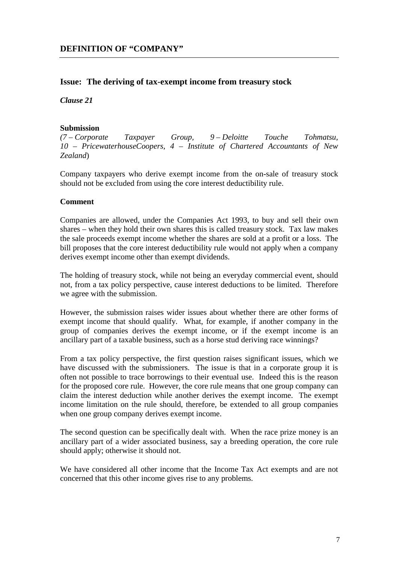#### **Issue: The deriving of tax-exempt income from treasury stock**

*Clause 21*

#### **Submission**

*(7 – Corporate Taxpayer Group, 9 – Deloitte Touche Tohmatsu, 10 – PricewaterhouseCoopers, 4 – Institute of Chartered Accountants of New Zealand*)

Company taxpayers who derive exempt income from the on-sale of treasury stock should not be excluded from using the core interest deductibility rule.

#### **Comment**

Companies are allowed, under the Companies Act 1993, to buy and sell their own shares – when they hold their own shares this is called treasury stock. Tax law makes the sale proceeds exempt income whether the shares are sold at a profit or a loss. The bill proposes that the core interest deductibility rule would not apply when a company derives exempt income other than exempt dividends.

The holding of treasury stock, while not being an everyday commercial event, should not, from a tax policy perspective, cause interest deductions to be limited. Therefore we agree with the submission.

However, the submission raises wider issues about whether there are other forms of exempt income that should qualify. What, for example, if another company in the group of companies derives the exempt income, or if the exempt income is an ancillary part of a taxable business, such as a horse stud deriving race winnings?

From a tax policy perspective, the first question raises significant issues, which we have discussed with the submissioners. The issue is that in a corporate group it is often not possible to trace borrowings to their eventual use. Indeed this is the reason for the proposed core rule. However, the core rule means that one group company can claim the interest deduction while another derives the exempt income. The exempt income limitation on the rule should, therefore, be extended to all group companies when one group company derives exempt income.

The second question can be specifically dealt with. When the race prize money is an ancillary part of a wider associated business, say a breeding operation, the core rule should apply; otherwise it should not.

We have considered all other income that the Income Tax Act exempts and are not concerned that this other income gives rise to any problems.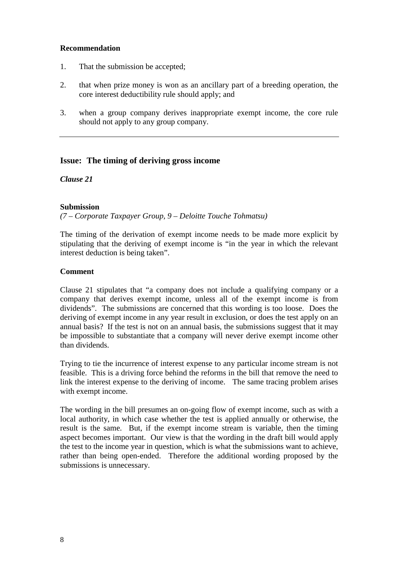#### **Recommendation**

- 1. That the submission be accepted;
- 2. that when prize money is won as an ancillary part of a breeding operation, the core interest deductibility rule should apply; and
- 3. when a group company derives inappropriate exempt income, the core rule should not apply to any group company.

#### **Issue: The timing of deriving gross income**

*Clause 21*

#### **Submission**

*(7 – Corporate Taxpayer Group, 9 – Deloitte Touche Tohmatsu)*

The timing of the derivation of exempt income needs to be made more explicit by stipulating that the deriving of exempt income is "in the year in which the relevant interest deduction is being taken".

#### **Comment**

Clause 21 stipulates that "a company does not include a qualifying company or a company that derives exempt income, unless all of the exempt income is from dividends". The submissions are concerned that this wording is too loose. Does the deriving of exempt income in any year result in exclusion, or does the test apply on an annual basis? If the test is not on an annual basis, the submissions suggest that it may be impossible to substantiate that a company will never derive exempt income other than dividends.

Trying to tie the incurrence of interest expense to any particular income stream is not feasible. This is a driving force behind the reforms in the bill that remove the need to link the interest expense to the deriving of income. The same tracing problem arises with exempt income.

The wording in the bill presumes an on-going flow of exempt income, such as with a local authority, in which case whether the test is applied annually or otherwise, the result is the same. But, if the exempt income stream is variable, then the timing aspect becomes important. Our view is that the wording in the draft bill would apply the test to the income year in question, which is what the submissions want to achieve, rather than being open-ended. Therefore the additional wording proposed by the submissions is unnecessary.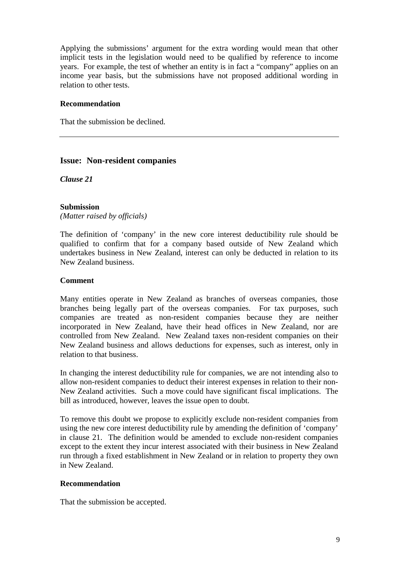Applying the submissions' argument for the extra wording would mean that other implicit tests in the legislation would need to be qualified by reference to income years. For example, the test of whether an entity is in fact a "company" applies on an income year basis, but the submissions have not proposed additional wording in relation to other tests.

#### **Recommendation**

That the submission be declined.

#### **Issue: Non-resident companies**

*Clause 21*

#### **Submission**

*(Matter raised by officials)*

The definition of 'company' in the new core interest deductibility rule should be qualified to confirm that for a company based outside of New Zealand which undertakes business in New Zealand, interest can only be deducted in relation to its New Zealand business.

#### **Comment**

Many entities operate in New Zealand as branches of overseas companies, those branches being legally part of the overseas companies. For tax purposes, such companies are treated as non-resident companies because they are neither incorporated in New Zealand, have their head offices in New Zealand, nor are controlled from New Zealand. New Zealand taxes non-resident companies on their New Zealand business and allows deductions for expenses, such as interest, only in relation to that business.

In changing the interest deductibility rule for companies, we are not intending also to allow non-resident companies to deduct their interest expenses in relation to their non-New Zealand activities. Such a move could have significant fiscal implications. The bill as introduced, however, leaves the issue open to doubt.

To remove this doubt we propose to explicitly exclude non-resident companies from using the new core interest deductibility rule by amending the definition of 'company' in clause 21. The definition would be amended to exclude non-resident companies except to the extent they incur interest associated with their business in New Zealand run through a fixed establishment in New Zealand or in relation to property they own in New Zealand.

#### **Recommendation**

That the submission be accepted.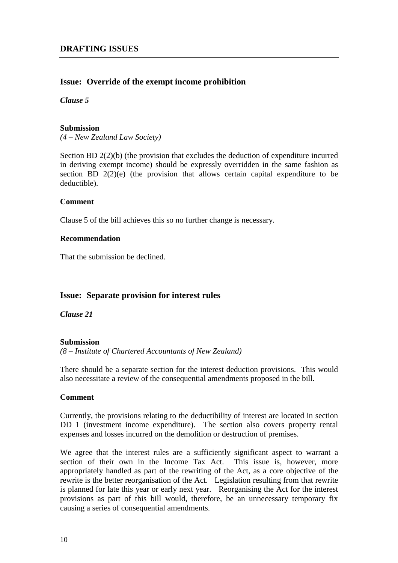#### **Issue: Override of the exempt income prohibition**

#### *Clause 5*

#### **Submission**

*(4 – New Zealand Law Society)*

Section BD 2(2)(b) (the provision that excludes the deduction of expenditure incurred in deriving exempt income) should be expressly overridden in the same fashion as section BD 2(2)(e) (the provision that allows certain capital expenditure to be deductible).

#### **Comment**

Clause 5 of the bill achieves this so no further change is necessary.

#### **Recommendation**

That the submission be declined.

#### **Issue: Separate provision for interest rules**

*Clause 21*

#### **Submission**

*(8 – Institute of Chartered Accountants of New Zealand)*

There should be a separate section for the interest deduction provisions. This would also necessitate a review of the consequential amendments proposed in the bill.

#### **Comment**

Currently, the provisions relating to the deductibility of interest are located in section DD 1 (investment income expenditure). The section also covers property rental expenses and losses incurred on the demolition or destruction of premises.

We agree that the interest rules are a sufficiently significant aspect to warrant a section of their own in the Income Tax Act. This issue is, however, more appropriately handled as part of the rewriting of the Act, as a core objective of the rewrite is the better reorganisation of the Act. Legislation resulting from that rewrite is planned for late this year or early next year. Reorganising the Act for the interest provisions as part of this bill would, therefore, be an unnecessary temporary fix causing a series of consequential amendments.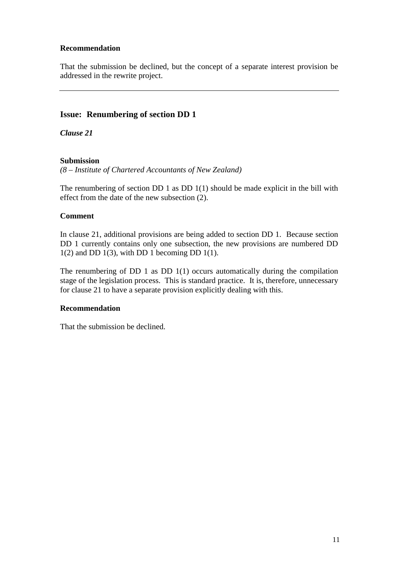#### **Recommendation**

That the submission be declined, but the concept of a separate interest provision be addressed in the rewrite project.

#### **Issue: Renumbering of section DD 1**

*Clause 21*

#### **Submission**

*(8 – Institute of Chartered Accountants of New Zealand)*

The renumbering of section DD 1 as DD 1(1) should be made explicit in the bill with effect from the date of the new subsection (2).

#### **Comment**

In clause 21, additional provisions are being added to section DD 1. Because section DD 1 currently contains only one subsection, the new provisions are numbered DD  $1(2)$  and DD  $1(3)$ , with DD 1 becoming DD  $1(1)$ .

The renumbering of DD 1 as DD  $1(1)$  occurs automatically during the compilation stage of the legislation process. This is standard practice. It is, therefore, unnecessary for clause 21 to have a separate provision explicitly dealing with this.

#### **Recommendation**

That the submission be declined.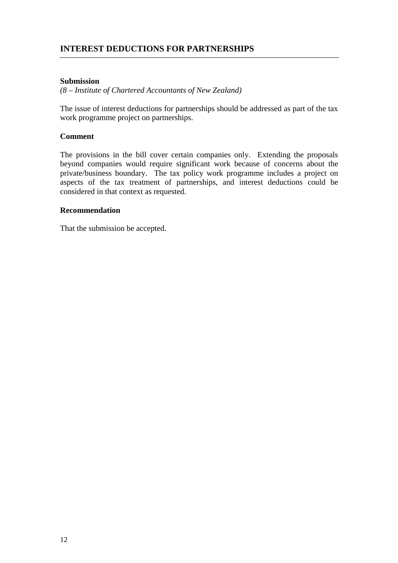#### **Submission**

*(8 – Institute of Chartered Accountants of New Zealand)*

The issue of interest deductions for partnerships should be addressed as part of the tax work programme project on partnerships.

#### **Comment**

The provisions in the bill cover certain companies only. Extending the proposals beyond companies would require significant work because of concerns about the private/business boundary. The tax policy work programme includes a project on aspects of the tax treatment of partnerships, and interest deductions could be considered in that context as requested.

#### **Recommendation**

That the submission be accepted.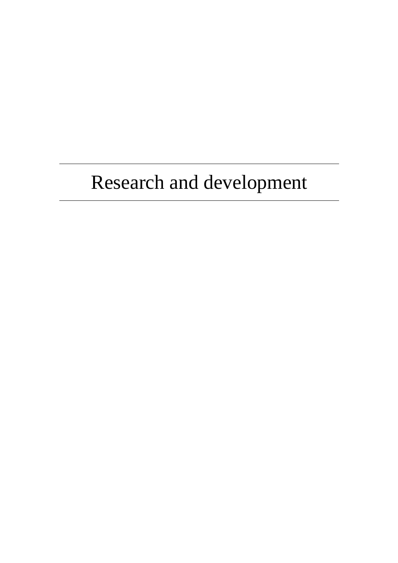# Research and development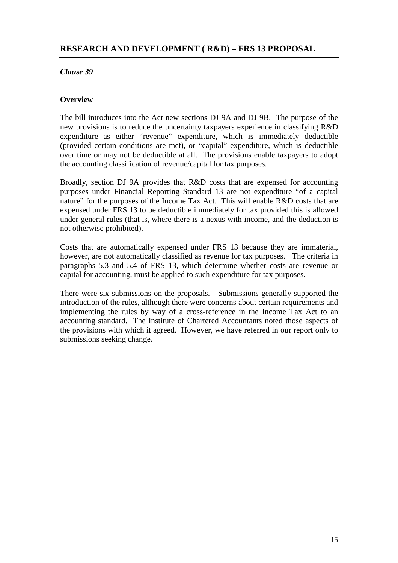#### <span id="page-20-0"></span>**Overview**

The bill introduces into the Act new sections DJ 9A and DJ 9B. The purpose of the new provisions is to reduce the uncertainty taxpayers experience in classifying R&D expenditure as either "revenue" expenditure, which is immediately deductible (provided certain conditions are met), or "capital" expenditure, which is deductible over time or may not be deductible at all. The provisions enable taxpayers to adopt the accounting classification of revenue/capital for tax purposes.

Broadly, section DJ 9A provides that R&D costs that are expensed for accounting purposes under Financial Reporting Standard 13 are not expenditure "of a capital nature" for the purposes of the Income Tax Act. This will enable R&D costs that are expensed under FRS 13 to be deductible immediately for tax provided this is allowed under general rules (that is, where there is a nexus with income, and the deduction is not otherwise prohibited).

Costs that are automatically expensed under FRS 13 because they are immaterial, however, are not automatically classified as revenue for tax purposes. The criteria in paragraphs 5.3 and 5.4 of FRS 13, which determine whether costs are revenue or capital for accounting, must be applied to such expenditure for tax purposes.

There were six submissions on the proposals. Submissions generally supported the introduction of the rules, although there were concerns about certain requirements and implementing the rules by way of a cross-reference in the Income Tax Act to an accounting standard. The Institute of Chartered Accountants noted those aspects of the provisions with which it agreed. However, we have referred in our report only to submissions seeking change.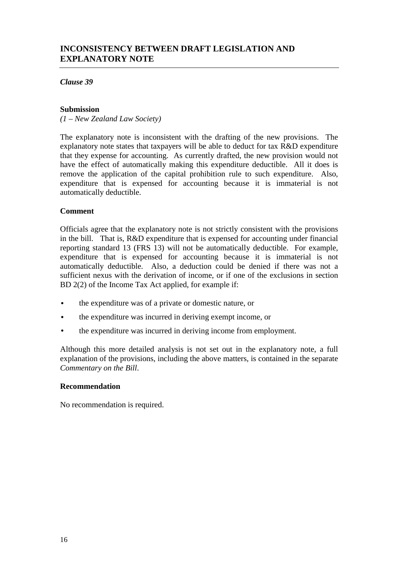#### **Submission**

*(1 – New Zealand Law Society)*

The explanatory note is inconsistent with the drafting of the new provisions. The explanatory note states that taxpayers will be able to deduct for tax R&D expenditure that they expense for accounting. As currently drafted, the new provision would not have the effect of automatically making this expenditure deductible. All it does is remove the application of the capital prohibition rule to such expenditure. Also, expenditure that is expensed for accounting because it is immaterial is not automatically deductible.

#### **Comment**

Officials agree that the explanatory note is not strictly consistent with the provisions in the bill. That is, R&D expenditure that is expensed for accounting under financial reporting standard 13 (FRS 13) will not be automatically deductible. For example, expenditure that is expensed for accounting because it is immaterial is not automatically deductible. Also, a deduction could be denied if there was not a sufficient nexus with the derivation of income, or if one of the exclusions in section BD 2(2) of the Income Tax Act applied, for example if:

- the expenditure was of a private or domestic nature, or
- the expenditure was incurred in deriving exempt income, or
- the expenditure was incurred in deriving income from employment.

Although this more detailed analysis is not set out in the explanatory note, a full explanation of the provisions, including the above matters, is contained in the separate *Commentary on the Bill*.

#### **Recommendation**

No recommendation is required.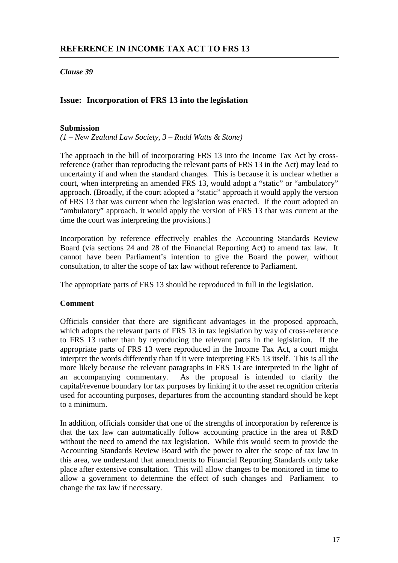#### **Issue: Incorporation of FRS 13 into the legislation**

#### **Submission**

*(1 – New Zealand Law Society, 3 – Rudd Watts & Stone)*

The approach in the bill of incorporating FRS 13 into the Income Tax Act by crossreference (rather than reproducing the relevant parts of FRS 13 in the Act) may lead to uncertainty if and when the standard changes. This is because it is unclear whether a court, when interpreting an amended FRS 13, would adopt a "static" or "ambulatory" approach. (Broadly, if the court adopted a "static" approach it would apply the version of FRS 13 that was current when the legislation was enacted. If the court adopted an "ambulatory" approach, it would apply the version of FRS 13 that was current at the time the court was interpreting the provisions.)

Incorporation by reference effectively enables the Accounting Standards Review Board (via sections 24 and 28 of the Financial Reporting Act) to amend tax law. It cannot have been Parliament's intention to give the Board the power, without consultation, to alter the scope of tax law without reference to Parliament.

The appropriate parts of FRS 13 should be reproduced in full in the legislation.

#### **Comment**

Officials consider that there are significant advantages in the proposed approach, which adopts the relevant parts of FRS 13 in tax legislation by way of cross-reference to FRS 13 rather than by reproducing the relevant parts in the legislation. If the appropriate parts of FRS 13 were reproduced in the Income Tax Act, a court might interpret the words differently than if it were interpreting FRS 13 itself. This is all the more likely because the relevant paragraphs in FRS 13 are interpreted in the light of an accompanying commentary. As the proposal is intended to clarify the As the proposal is intended to clarify the capital/revenue boundary for tax purposes by linking it to the asset recognition criteria used for accounting purposes, departures from the accounting standard should be kept to a minimum.

In addition, officials consider that one of the strengths of incorporation by reference is that the tax law can automatically follow accounting practice in the area of R&D without the need to amend the tax legislation. While this would seem to provide the Accounting Standards Review Board with the power to alter the scope of tax law in this area, we understand that amendments to Financial Reporting Standards only take place after extensive consultation. This will allow changes to be monitored in time to allow a government to determine the effect of such changes and Parliament to change the tax law if necessary.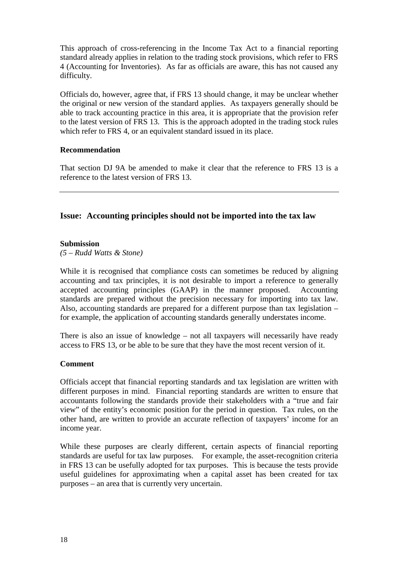This approach of cross-referencing in the Income Tax Act to a financial reporting standard already applies in relation to the trading stock provisions, which refer to FRS 4 (Accounting for Inventories). As far as officials are aware, this has not caused any difficulty.

Officials do, however, agree that, if FRS 13 should change, it may be unclear whether the original or new version of the standard applies. As taxpayers generally should be able to track accounting practice in this area, it is appropriate that the provision refer to the latest version of FRS 13. This is the approach adopted in the trading stock rules which refer to FRS 4, or an equivalent standard issued in its place.

#### **Recommendation**

That section DJ 9A be amended to make it clear that the reference to FRS 13 is a reference to the latest version of FRS 13.

#### **Issue: Accounting principles should not be imported into the tax law**

#### **Submission**

*(5 – Rudd Watts & Stone)*

While it is recognised that compliance costs can sometimes be reduced by aligning accounting and tax principles, it is not desirable to import a reference to generally accepted accounting principles (GAAP) in the manner proposed. Accounting standards are prepared without the precision necessary for importing into tax law. Also, accounting standards are prepared for a different purpose than tax legislation – for example, the application of accounting standards generally understates income.

There is also an issue of knowledge – not all taxpayers will necessarily have ready access to FRS 13, or be able to be sure that they have the most recent version of it.

#### **Comment**

Officials accept that financial reporting standards and tax legislation are written with different purposes in mind. Financial reporting standards are written to ensure that accountants following the standards provide their stakeholders with a "true and fair view" of the entity's economic position for the period in question. Tax rules, on the other hand, are written to provide an accurate reflection of taxpayers' income for an income year.

While these purposes are clearly different, certain aspects of financial reporting standards are useful for tax law purposes. For example, the asset-recognition criteria in FRS 13 can be usefully adopted for tax purposes. This is because the tests provide useful guidelines for approximating when a capital asset has been created for tax purposes – an area that is currently very uncertain.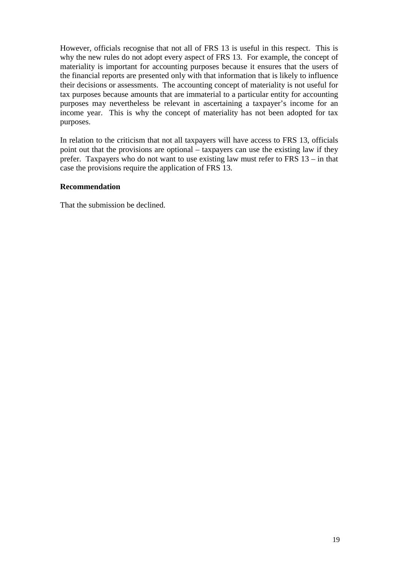However, officials recognise that not all of FRS 13 is useful in this respect. This is why the new rules do not adopt every aspect of FRS 13. For example, the concept of materiality is important for accounting purposes because it ensures that the users of the financial reports are presented only with that information that is likely to influence their decisions or assessments. The accounting concept of materiality is not useful for tax purposes because amounts that are immaterial to a particular entity for accounting purposes may nevertheless be relevant in ascertaining a taxpayer's income for an income year. This is why the concept of materiality has not been adopted for tax purposes.

In relation to the criticism that not all taxpayers will have access to FRS 13, officials point out that the provisions are optional – taxpayers can use the existing law if they prefer. Taxpayers who do not want to use existing law must refer to FRS 13 – in that case the provisions require the application of FRS 13.

#### **Recommendation**

That the submission be declined.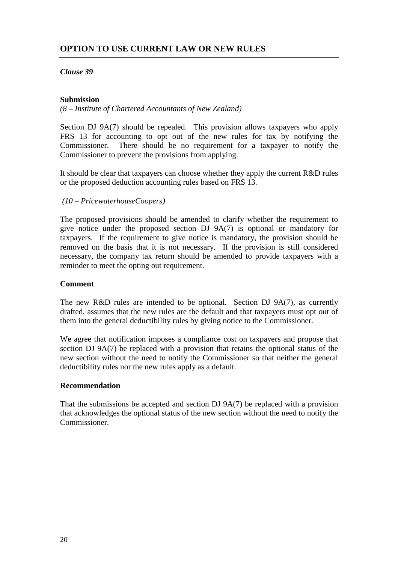#### **Submission**

*(8 – Institute of Chartered Accountants of New Zealand)*

Section DJ 9A(7) should be repealed. This provision allows taxpayers who apply FRS 13 for accounting to opt out of the new rules for tax by notifying the Commissioner. There should be no requirement for a taxpayer to notify the Commissioner to prevent the provisions from applying.

It should be clear that taxpayers can choose whether they apply the current R&D rules or the proposed deduction accounting rules based on FRS 13.

 *(10 – PricewaterhouseCoopers)*

The proposed provisions should be amended to clarify whether the requirement to give notice under the proposed section DJ 9A(7) is optional or mandatory for taxpayers. If the requirement to give notice is mandatory, the provision should be removed on the basis that it is not necessary. If the provision is still considered necessary, the company tax return should be amended to provide taxpayers with a reminder to meet the opting out requirement.

#### **Comment**

The new R&D rules are intended to be optional. Section DJ 9A(7), as currently drafted, assumes that the new rules are the default and that taxpayers must opt out of them into the general deductibility rules by giving notice to the Commissioner.

We agree that notification imposes a compliance cost on taxpayers and propose that section DJ 9A(7) be replaced with a provision that retains the optional status of the new section without the need to notify the Commissioner so that neither the general deductibility rules nor the new rules apply as a default.

#### **Recommendation**

That the submissions be accepted and section DJ 9A(7) be replaced with a provision that acknowledges the optional status of the new section without the need to notify the Commissioner.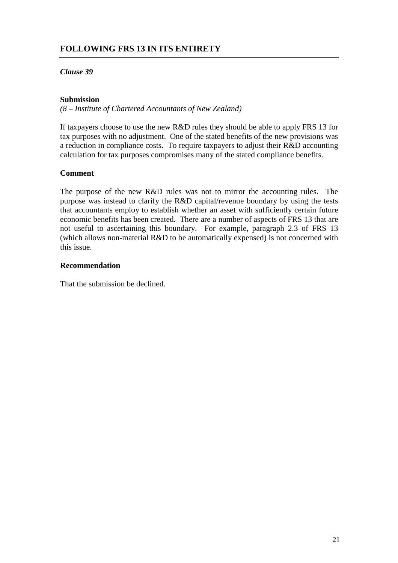#### **FOLLOWING FRS 13 IN ITS ENTIRETY**

#### *Clause 39*

#### **Submission**

*(8 – Institute of Chartered Accountants of New Zealand)*

If taxpayers choose to use the new R&D rules they should be able to apply FRS 13 for tax purposes with no adjustment. One of the stated benefits of the new provisions was a reduction in compliance costs. To require taxpayers to adjust their R&D accounting calculation for tax purposes compromises many of the stated compliance benefits.

#### **Comment**

The purpose of the new R&D rules was not to mirror the accounting rules. The purpose was instead to clarify the R&D capital/revenue boundary by using the tests that accountants employ to establish whether an asset with sufficiently certain future economic benefits has been created. There are a number of aspects of FRS 13 that are not useful to ascertaining this boundary. For example, paragraph 2.3 of FRS 13 (which allows non-material R&D to be automatically expensed) is not concerned with this issue.

#### **Recommendation**

That the submission be declined.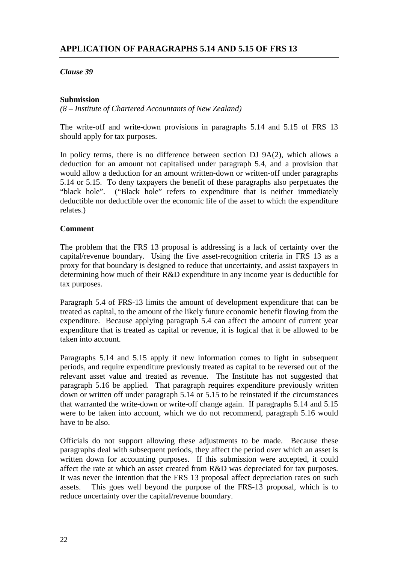#### **Submission**

*(8 – Institute of Chartered Accountants of New Zealand)*

The write-off and write-down provisions in paragraphs 5.14 and 5.15 of FRS 13 should apply for tax purposes.

In policy terms, there is no difference between section DJ 9A(2), which allows a deduction for an amount not capitalised under paragraph 5.4, and a provision that would allow a deduction for an amount written-down or written-off under paragraphs 5.14 or 5.15. To deny taxpayers the benefit of these paragraphs also perpetuates the "black hole". ("Black hole" refers to expenditure that is neither immediately deductible nor deductible over the economic life of the asset to which the expenditure relates.)

#### **Comment**

The problem that the FRS 13 proposal is addressing is a lack of certainty over the capital/revenue boundary. Using the five asset-recognition criteria in FRS 13 as a proxy for that boundary is designed to reduce that uncertainty, and assist taxpayers in determining how much of their R&D expenditure in any income year is deductible for tax purposes.

Paragraph 5.4 of FRS-13 limits the amount of development expenditure that can be treated as capital, to the amount of the likely future economic benefit flowing from the expenditure. Because applying paragraph 5.4 can affect the amount of current year expenditure that is treated as capital or revenue, it is logical that it be allowed to be taken into account.

Paragraphs 5.14 and 5.15 apply if new information comes to light in subsequent periods, and require expenditure previously treated as capital to be reversed out of the relevant asset value and treated as revenue. The Institute has not suggested that paragraph 5.16 be applied. That paragraph requires expenditure previously written down or written off under paragraph 5.14 or 5.15 to be reinstated if the circumstances that warranted the write-down or write-off change again. If paragraphs 5.14 and 5.15 were to be taken into account, which we do not recommend, paragraph 5.16 would have to be also.

Officials do not support allowing these adjustments to be made. Because these paragraphs deal with subsequent periods, they affect the period over which an asset is written down for accounting purposes. If this submission were accepted, it could affect the rate at which an asset created from R&D was depreciated for tax purposes. It was never the intention that the FRS 13 proposal affect depreciation rates on such assets. This goes well beyond the purpose of the FRS-13 proposal, which is to reduce uncertainty over the capital/revenue boundary.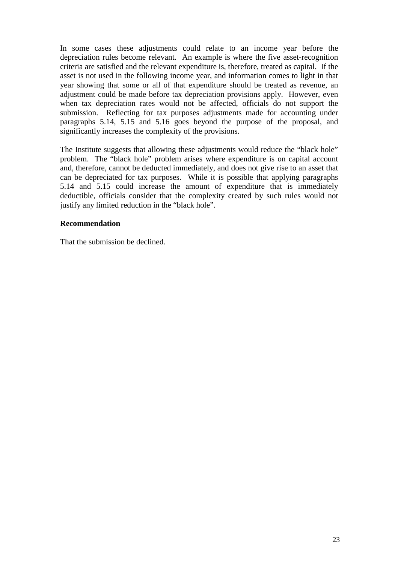In some cases these adjustments could relate to an income year before the depreciation rules become relevant. An example is where the five asset-recognition criteria are satisfied and the relevant expenditure is, therefore, treated as capital. If the asset is not used in the following income year, and information comes to light in that year showing that some or all of that expenditure should be treated as revenue, an adjustment could be made before tax depreciation provisions apply. However, even when tax depreciation rates would not be affected, officials do not support the submission. Reflecting for tax purposes adjustments made for accounting under paragraphs 5.14, 5.15 and 5.16 goes beyond the purpose of the proposal, and significantly increases the complexity of the provisions.

The Institute suggests that allowing these adjustments would reduce the "black hole" problem. The "black hole" problem arises where expenditure is on capital account and, therefore, cannot be deducted immediately, and does not give rise to an asset that can be depreciated for tax purposes. While it is possible that applying paragraphs 5.14 and 5.15 could increase the amount of expenditure that is immediately deductible, officials consider that the complexity created by such rules would not justify any limited reduction in the "black hole".

#### **Recommendation**

That the submission be declined.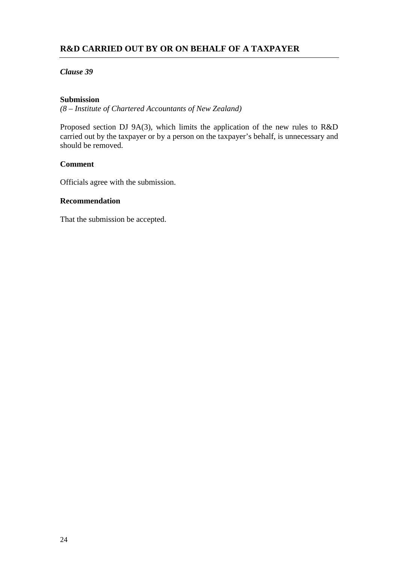#### **R&D CARRIED OUT BY OR ON BEHALF OF A TAXPAYER**

#### *Clause 39*

#### **Submission**

*(8 – Institute of Chartered Accountants of New Zealand)*

Proposed section DJ 9A(3), which limits the application of the new rules to R&D carried out by the taxpayer or by a person on the taxpayer's behalf, is unnecessary and should be removed.

#### **Comment**

Officials agree with the submission.

#### **Recommendation**

That the submission be accepted.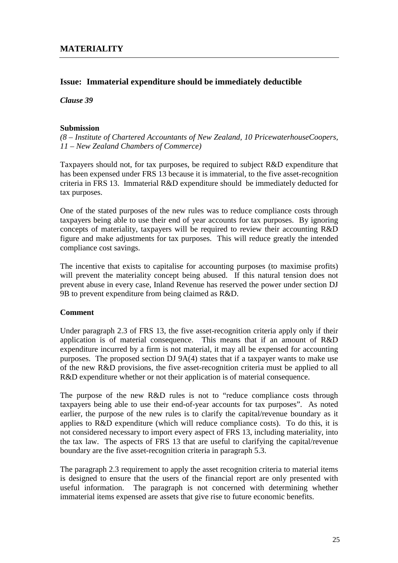#### **Issue: Immaterial expenditure should be immediately deductible**

*Clause 39*

#### **Submission**

*(8 – Institute of Chartered Accountants of New Zealand, 10 PricewaterhouseCoopers, 11 – New Zealand Chambers of Commerce)*

Taxpayers should not, for tax purposes, be required to subject R&D expenditure that has been expensed under FRS 13 because it is immaterial, to the five asset-recognition criteria in FRS 13. Immaterial R&D expenditure should be immediately deducted for tax purposes.

One of the stated purposes of the new rules was to reduce compliance costs through taxpayers being able to use their end of year accounts for tax purposes. By ignoring concepts of materiality, taxpayers will be required to review their accounting R&D figure and make adjustments for tax purposes. This will reduce greatly the intended compliance cost savings.

The incentive that exists to capitalise for accounting purposes (to maximise profits) will prevent the materiality concept being abused. If this natural tension does not prevent abuse in every case, Inland Revenue has reserved the power under section DJ 9B to prevent expenditure from being claimed as R&D.

#### **Comment**

Under paragraph 2.3 of FRS 13, the five asset-recognition criteria apply only if their application is of material consequence. This means that if an amount of R&D expenditure incurred by a firm is not material, it may all be expensed for accounting purposes. The proposed section DJ 9A(4) states that if a taxpayer wants to make use of the new R&D provisions, the five asset-recognition criteria must be applied to all R&D expenditure whether or not their application is of material consequence.

The purpose of the new R&D rules is not to "reduce compliance costs through taxpayers being able to use their end-of-year accounts for tax purposes". As noted earlier, the purpose of the new rules is to clarify the capital/revenue boundary as it applies to R&D expenditure (which will reduce compliance costs). To do this, it is not considered necessary to import every aspect of FRS 13, including materiality, into the tax law. The aspects of FRS 13 that are useful to clarifying the capital/revenue boundary are the five asset-recognition criteria in paragraph 5.3.

The paragraph 2.3 requirement to apply the asset recognition criteria to material items is designed to ensure that the users of the financial report are only presented with useful information. The paragraph is not concerned with determining whether immaterial items expensed are assets that give rise to future economic benefits.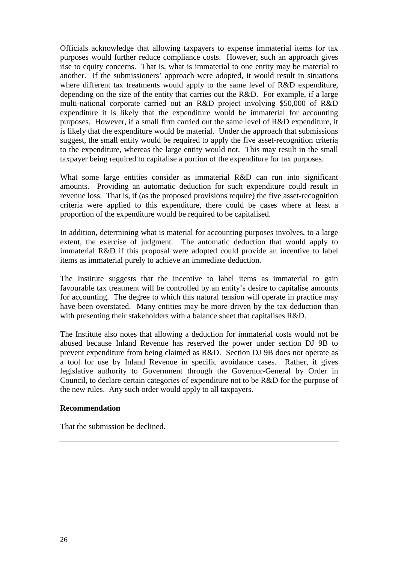Officials acknowledge that allowing taxpayers to expense immaterial items for tax purposes would further reduce compliance costs. However, such an approach gives rise to equity concerns. That is, what is immaterial to one entity may be material to another. If the submissioners' approach were adopted, it would result in situations where different tax treatments would apply to the same level of R&D expenditure, depending on the size of the entity that carries out the R&D. For example, if a large multi-national corporate carried out an R&D project involving \$50,000 of R&D expenditure it is likely that the expenditure would be immaterial for accounting purposes. However, if a small firm carried out the same level of R&D expenditure, it is likely that the expenditure would be material. Under the approach that submissions suggest, the small entity would be required to apply the five asset-recognition criteria to the expenditure, whereas the large entity would not. This may result in the small taxpayer being required to capitalise a portion of the expenditure for tax purposes.

What some large entities consider as immaterial R&D can run into significant amounts. Providing an automatic deduction for such expenditure could result in revenue loss. That is, if (as the proposed provisions require) the five asset-recognition criteria were applied to this expenditure, there could be cases where at least a proportion of the expenditure would be required to be capitalised.

In addition, determining what is material for accounting purposes involves, to a large extent, the exercise of judgment. The automatic deduction that would apply to immaterial R&D if this proposal were adopted could provide an incentive to label items as immaterial purely to achieve an immediate deduction.

The Institute suggests that the incentive to label items as immaterial to gain favourable tax treatment will be controlled by an entity's desire to capitalise amounts for accounting. The degree to which this natural tension will operate in practice may have been overstated. Many entities may be more driven by the tax deduction than with presenting their stakeholders with a balance sheet that capitalises R&D.

The Institute also notes that allowing a deduction for immaterial costs would not be abused because Inland Revenue has reserved the power under section DJ 9B to prevent expenditure from being claimed as R&D. Section DJ 9B does not operate as a tool for use by Inland Revenue in specific avoidance cases. Rather, it gives legislative authority to Government through the Governor-General by Order in Council, to declare certain categories of expenditure not to be R&D for the purpose of the new rules. Any such order would apply to all taxpayers.

#### **Recommendation**

That the submission be declined.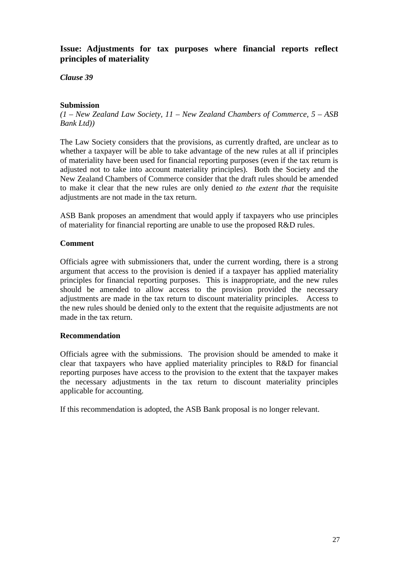#### **Issue: Adjustments for tax purposes where financial reports reflect principles of materiality**

*Clause 39*

#### **Submission**

*(1 – New Zealand Law Society, 11 – New Zealand Chambers of Commerce, 5 – ASB Bank Ltd))*

The Law Society considers that the provisions, as currently drafted, are unclear as to whether a taxpayer will be able to take advantage of the new rules at all if principles of materiality have been used for financial reporting purposes (even if the tax return is adjusted not to take into account materiality principles). Both the Society and the New Zealand Chambers of Commerce consider that the draft rules should be amended to make it clear that the new rules are only denied *to the extent that* the requisite adjustments are not made in the tax return.

ASB Bank proposes an amendment that would apply if taxpayers who use principles of materiality for financial reporting are unable to use the proposed R&D rules.

#### **Comment**

Officials agree with submissioners that, under the current wording, there is a strong argument that access to the provision is denied if a taxpayer has applied materiality principles for financial reporting purposes. This is inappropriate, and the new rules should be amended to allow access to the provision provided the necessary adjustments are made in the tax return to discount materiality principles. Access to the new rules should be denied only to the extent that the requisite adjustments are not made in the tax return.

#### **Recommendation**

Officials agree with the submissions. The provision should be amended to make it clear that taxpayers who have applied materiality principles to R&D for financial reporting purposes have access to the provision to the extent that the taxpayer makes the necessary adjustments in the tax return to discount materiality principles applicable for accounting.

If this recommendation is adopted, the ASB Bank proposal is no longer relevant.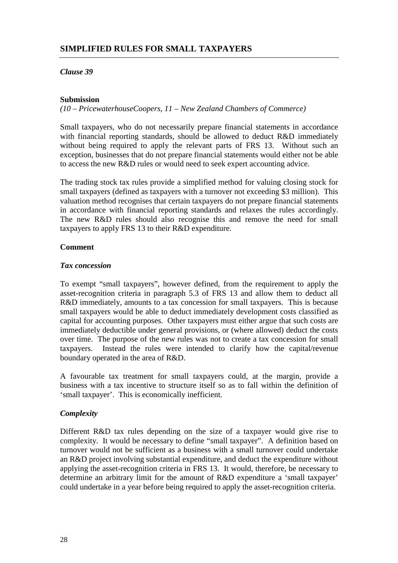#### **Submission**

*(10 – PricewaterhouseCoopers, 11 – New Zealand Chambers of Commerce)*

Small taxpayers, who do not necessarily prepare financial statements in accordance with financial reporting standards, should be allowed to deduct R&D immediately without being required to apply the relevant parts of FRS 13. Without such an exception, businesses that do not prepare financial statements would either not be able to access the new R&D rules or would need to seek expert accounting advice.

The trading stock tax rules provide a simplified method for valuing closing stock for small taxpayers (defined as taxpayers with a turnover not exceeding \$3 million). This valuation method recognises that certain taxpayers do not prepare financial statements in accordance with financial reporting standards and relaxes the rules accordingly. The new R&D rules should also recognise this and remove the need for small taxpayers to apply FRS 13 to their R&D expenditure.

#### **Comment**

#### *Tax concession*

To exempt "small taxpayers", however defined, from the requirement to apply the asset-recognition criteria in paragraph 5.3 of FRS 13 and allow them to deduct all R&D immediately, amounts to a tax concession for small taxpayers. This is because small taxpayers would be able to deduct immediately development costs classified as capital for accounting purposes. Other taxpayers must either argue that such costs are immediately deductible under general provisions, or (where allowed) deduct the costs over time. The purpose of the new rules was not to create a tax concession for small taxpayers. Instead the rules were intended to clarify how the capital/revenue boundary operated in the area of R&D.

A favourable tax treatment for small taxpayers could, at the margin, provide a business with a tax incentive to structure itself so as to fall within the definition of 'small taxpayer'. This is economically inefficient.

#### *Complexity*

Different R&D tax rules depending on the size of a taxpayer would give rise to complexity. It would be necessary to define "small taxpayer". A definition based on turnover would not be sufficient as a business with a small turnover could undertake an R&D project involving substantial expenditure, and deduct the expenditure without applying the asset-recognition criteria in FRS 13. It would, therefore, be necessary to determine an arbitrary limit for the amount of R&D expenditure a 'small taxpayer' could undertake in a year before being required to apply the asset-recognition criteria.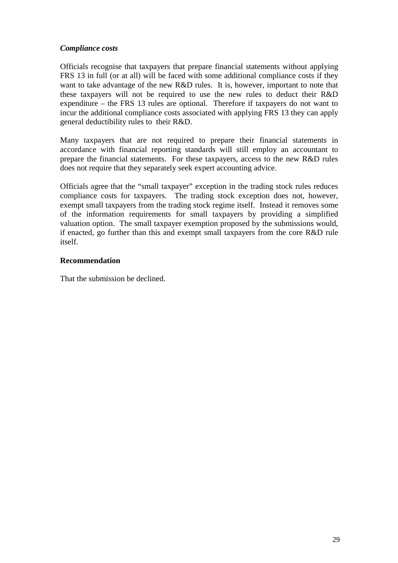#### *Compliance costs*

Officials recognise that taxpayers that prepare financial statements without applying FRS 13 in full (or at all) will be faced with some additional compliance costs if they want to take advantage of the new R&D rules. It is, however, important to note that these taxpayers will not be required to use the new rules to deduct their R&D expenditure – the FRS 13 rules are optional. Therefore if taxpayers do not want to incur the additional compliance costs associated with applying FRS 13 they can apply general deductibility rules to their R&D.

Many taxpayers that are not required to prepare their financial statements in accordance with financial reporting standards will still employ an accountant to prepare the financial statements. For these taxpayers, access to the new R&D rules does not require that they separately seek expert accounting advice.

Officials agree that the "small taxpayer" exception in the trading stock rules reduces compliance costs for taxpayers. The trading stock exception does not, however, exempt small taxpayers from the trading stock regime itself. Instead it removes some of the information requirements for small taxpayers by providing a simplified valuation option. The small taxpayer exemption proposed by the submissions would, if enacted, go further than this and exempt small taxpayers from the core R&D rule itself.

#### **Recommendation**

That the submission be declined.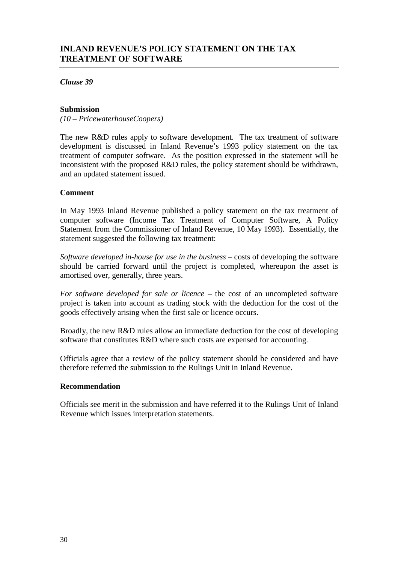#### **Submission**

*(10 – PricewaterhouseCoopers)*

The new R&D rules apply to software development. The tax treatment of software development is discussed in Inland Revenue's 1993 policy statement on the tax treatment of computer software. As the position expressed in the statement will be inconsistent with the proposed R&D rules, the policy statement should be withdrawn, and an updated statement issued.

#### **Comment**

In May 1993 Inland Revenue published a policy statement on the tax treatment of computer software (Income Tax Treatment of Computer Software, A Policy Statement from the Commissioner of Inland Revenue, 10 May 1993). Essentially, the statement suggested the following tax treatment:

*Software developed in-house for use in the business* – costs of developing the software should be carried forward until the project is completed, whereupon the asset is amortised over, generally, three years.

*For software developed for sale or licence* – the cost of an uncompleted software project is taken into account as trading stock with the deduction for the cost of the goods effectively arising when the first sale or licence occurs.

Broadly, the new R&D rules allow an immediate deduction for the cost of developing software that constitutes R&D where such costs are expensed for accounting.

Officials agree that a review of the policy statement should be considered and have therefore referred the submission to the Rulings Unit in Inland Revenue.

#### **Recommendation**

Officials see merit in the submission and have referred it to the Rulings Unit of Inland Revenue which issues interpretation statements.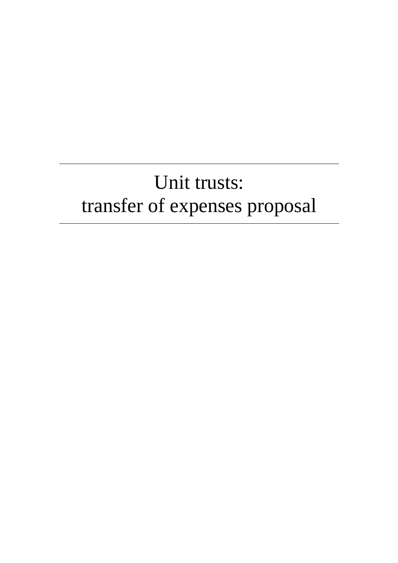# Unit trusts: transfer of expenses proposal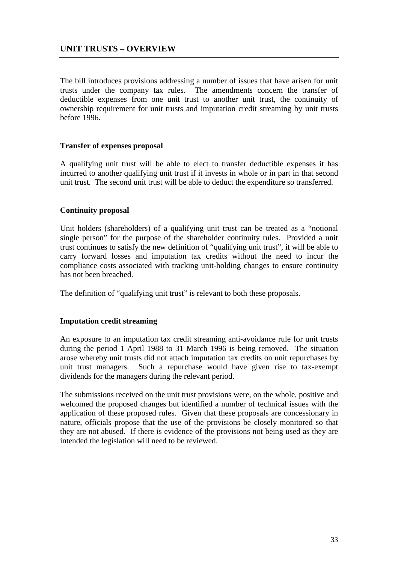The bill introduces provisions addressing a number of issues that have arisen for unit trusts under the company tax rules. The amendments concern the transfer of deductible expenses from one unit trust to another unit trust, the continuity of ownership requirement for unit trusts and imputation credit streaming by unit trusts before 1996.

## **Transfer of expenses proposal**

A qualifying unit trust will be able to elect to transfer deductible expenses it has incurred to another qualifying unit trust if it invests in whole or in part in that second unit trust. The second unit trust will be able to deduct the expenditure so transferred.

## **Continuity proposal**

Unit holders (shareholders) of a qualifying unit trust can be treated as a "notional single person" for the purpose of the shareholder continuity rules. Provided a unit trust continues to satisfy the new definition of "qualifying unit trust", it will be able to carry forward losses and imputation tax credits without the need to incur the compliance costs associated with tracking unit-holding changes to ensure continuity has not been breached.

The definition of "qualifying unit trust" is relevant to both these proposals.

## **Imputation credit streaming**

An exposure to an imputation tax credit streaming anti-avoidance rule for unit trusts during the period 1 April 1988 to 31 March 1996 is being removed. The situation arose whereby unit trusts did not attach imputation tax credits on unit repurchases by unit trust managers. Such a repurchase would have given rise to tax-exempt dividends for the managers during the relevant period.

The submissions received on the unit trust provisions were, on the whole, positive and welcomed the proposed changes but identified a number of technical issues with the application of these proposed rules. Given that these proposals are concessionary in nature, officials propose that the use of the provisions be closely monitored so that they are not abused. If there is evidence of the provisions not being used as they are intended the legislation will need to be reviewed.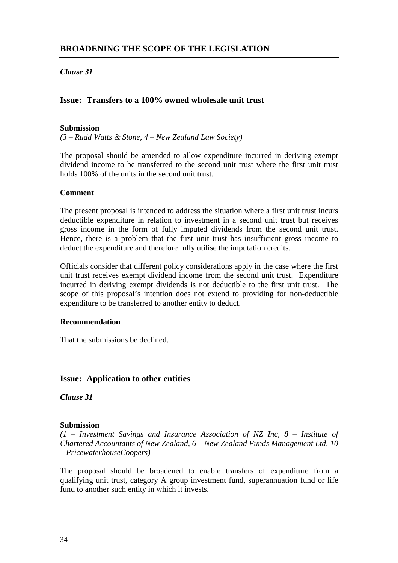## *Clause 31*

## **Issue: Transfers to a 100% owned wholesale unit trust**

#### **Submission**

*(3 – Rudd Watts & Stone, 4 – New Zealand Law Society)*

The proposal should be amended to allow expenditure incurred in deriving exempt dividend income to be transferred to the second unit trust where the first unit trust holds 100% of the units in the second unit trust.

#### **Comment**

The present proposal is intended to address the situation where a first unit trust incurs deductible expenditure in relation to investment in a second unit trust but receives gross income in the form of fully imputed dividends from the second unit trust. Hence, there is a problem that the first unit trust has insufficient gross income to deduct the expenditure and therefore fully utilise the imputation credits.

Officials consider that different policy considerations apply in the case where the first unit trust receives exempt dividend income from the second unit trust. Expenditure incurred in deriving exempt dividends is not deductible to the first unit trust. The scope of this proposal's intention does not extend to providing for non-deductible expenditure to be transferred to another entity to deduct.

#### **Recommendation**

That the submissions be declined.

## **Issue: Application to other entities**

*Clause 31*

#### **Submission**

*(1 – Investment Savings and Insurance Association of NZ Inc, 8 – Institute of Chartered Accountants of New Zealand, 6 – New Zealand Funds Management Ltd, 10 – PricewaterhouseCoopers)*

The proposal should be broadened to enable transfers of expenditure from a qualifying unit trust, category A group investment fund, superannuation fund or life fund to another such entity in which it invests.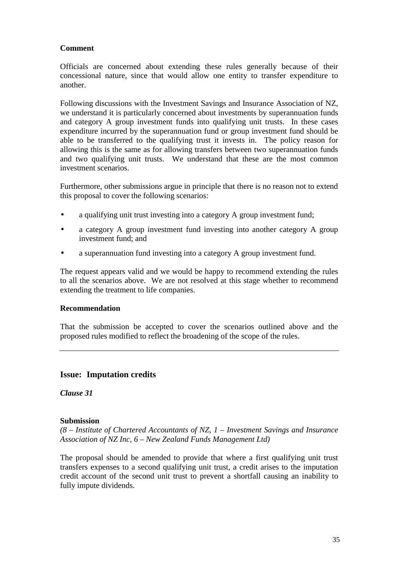Officials are concerned about extending these rules generally because of their concessional nature, since that would allow one entity to transfer expenditure to another.

Following discussions with the Investment Savings and Insurance Association of NZ, we understand it is particularly concerned about investments by superannuation funds and category A group investment funds into qualifying unit trusts. In these cases expenditure incurred by the superannuation fund or group investment fund should be able to be transferred to the qualifying trust it invests in. The policy reason for allowing this is the same as for allowing transfers between two superannuation funds and two qualifying unit trusts. We understand that these are the most common investment scenarios.

Furthermore, other submissions argue in principle that there is no reason not to extend this proposal to cover the following scenarios:

- a qualifying unit trust investing into a category A group investment fund;
- a category A group investment fund investing into another category A group investment fund; and
- a superannuation fund investing into a category A group investment fund.

The request appears valid and we would be happy to recommend extending the rules to all the scenarios above. We are not resolved at this stage whether to recommend extending the treatment to life companies.

## **Recommendation**

That the submission be accepted to cover the scenarios outlined above and the proposed rules modified to reflect the broadening of the scope of the rules.

## **Issue: Imputation credits**

*Clause 31*

## **Submission**

*(8 – Institute of Chartered Accountants of NZ, 1 – Investment Savings and Insurance Association of NZ Inc, 6 – New Zealand Funds Management Ltd)*

The proposal should be amended to provide that where a first qualifying unit trust transfers expenses to a second qualifying unit trust, a credit arises to the imputation credit account of the second unit trust to prevent a shortfall causing an inability to fully impute dividends.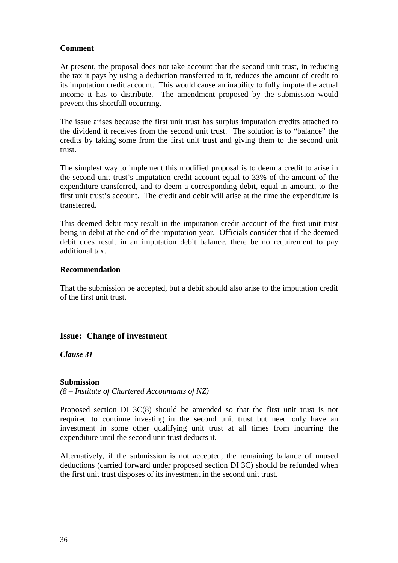At present, the proposal does not take account that the second unit trust, in reducing the tax it pays by using a deduction transferred to it, reduces the amount of credit to its imputation credit account. This would cause an inability to fully impute the actual income it has to distribute. The amendment proposed by the submission would prevent this shortfall occurring.

The issue arises because the first unit trust has surplus imputation credits attached to the dividend it receives from the second unit trust. The solution is to "balance" the credits by taking some from the first unit trust and giving them to the second unit trust.

The simplest way to implement this modified proposal is to deem a credit to arise in the second unit trust's imputation credit account equal to 33% of the amount of the expenditure transferred, and to deem a corresponding debit, equal in amount, to the first unit trust's account. The credit and debit will arise at the time the expenditure is transferred.

This deemed debit may result in the imputation credit account of the first unit trust being in debit at the end of the imputation year. Officials consider that if the deemed debit does result in an imputation debit balance, there be no requirement to pay additional tax.

## **Recommendation**

That the submission be accepted, but a debit should also arise to the imputation credit of the first unit trust.

## **Issue: Change of investment**

*Clause 31*

## **Submission**

*(8 – Institute of Chartered Accountants of NZ)*

Proposed section DI 3C(8) should be amended so that the first unit trust is not required to continue investing in the second unit trust but need only have an investment in some other qualifying unit trust at all times from incurring the expenditure until the second unit trust deducts it.

Alternatively, if the submission is not accepted, the remaining balance of unused deductions (carried forward under proposed section DI 3C) should be refunded when the first unit trust disposes of its investment in the second unit trust.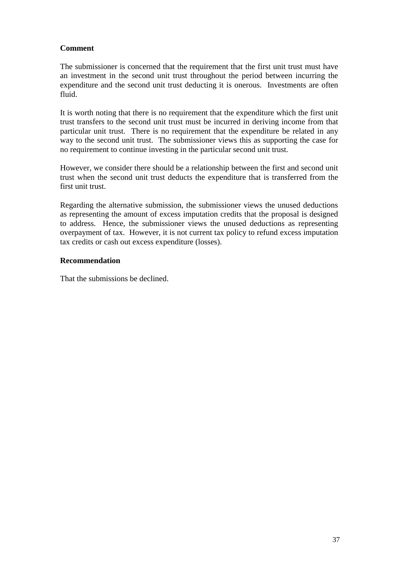The submissioner is concerned that the requirement that the first unit trust must have an investment in the second unit trust throughout the period between incurring the expenditure and the second unit trust deducting it is onerous. Investments are often fluid.

It is worth noting that there is no requirement that the expenditure which the first unit trust transfers to the second unit trust must be incurred in deriving income from that particular unit trust. There is no requirement that the expenditure be related in any way to the second unit trust. The submissioner views this as supporting the case for no requirement to continue investing in the particular second unit trust.

However, we consider there should be a relationship between the first and second unit trust when the second unit trust deducts the expenditure that is transferred from the first unit trust.

Regarding the alternative submission, the submissioner views the unused deductions as representing the amount of excess imputation credits that the proposal is designed to address. Hence, the submissioner views the unused deductions as representing overpayment of tax. However, it is not current tax policy to refund excess imputation tax credits or cash out excess expenditure (losses).

## **Recommendation**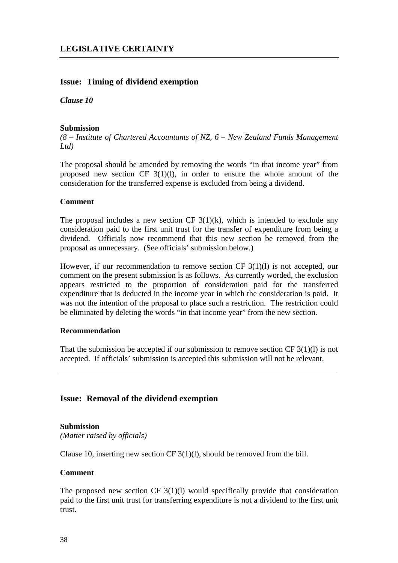## **Issue: Timing of dividend exemption**

*Clause 10*

#### **Submission**

*(8 – Institute of Chartered Accountants of NZ, 6 – New Zealand Funds Management Ltd)*

The proposal should be amended by removing the words "in that income year" from proposed new section CF  $3(1)(1)$ , in order to ensure the whole amount of the consideration for the transferred expense is excluded from being a dividend.

#### **Comment**

The proposal includes a new section CF  $3(1)(k)$ , which is intended to exclude any consideration paid to the first unit trust for the transfer of expenditure from being a dividend. Officials now recommend that this new section be removed from the proposal as unnecessary. (See officials' submission below.)

However, if our recommendation to remove section CF 3(1)(1) is not accepted, our comment on the present submission is as follows. As currently worded, the exclusion appears restricted to the proportion of consideration paid for the transferred expenditure that is deducted in the income year in which the consideration is paid. It was not the intention of the proposal to place such a restriction. The restriction could be eliminated by deleting the words "in that income year" from the new section.

## **Recommendation**

That the submission be accepted if our submission to remove section CF  $3(1)(l)$  is not accepted. If officials' submission is accepted this submission will not be relevant.

## **Issue: Removal of the dividend exemption**

#### **Submission**

*(Matter raised by officials)*

Clause 10, inserting new section CF 3(1)(l), should be removed from the bill.

## **Comment**

The proposed new section CF  $3(1)(1)$  would specifically provide that consideration paid to the first unit trust for transferring expenditure is not a dividend to the first unit trust.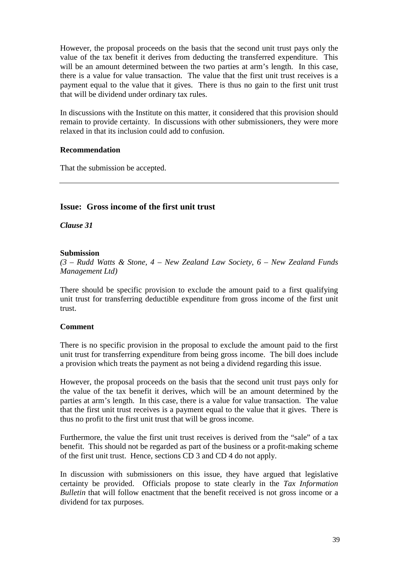However, the proposal proceeds on the basis that the second unit trust pays only the value of the tax benefit it derives from deducting the transferred expenditure. This will be an amount determined between the two parties at arm's length. In this case, there is a value for value transaction. The value that the first unit trust receives is a payment equal to the value that it gives. There is thus no gain to the first unit trust that will be dividend under ordinary tax rules.

In discussions with the Institute on this matter, it considered that this provision should remain to provide certainty. In discussions with other submissioners, they were more relaxed in that its inclusion could add to confusion.

## **Recommendation**

That the submission be accepted.

# **Issue: Gross income of the first unit trust**

*Clause 31*

## **Submission**

*(3 – Rudd Watts & Stone, 4 – New Zealand Law Society, 6 – New Zealand Funds Management Ltd)*

There should be specific provision to exclude the amount paid to a first qualifying unit trust for transferring deductible expenditure from gross income of the first unit trust.

## **Comment**

There is no specific provision in the proposal to exclude the amount paid to the first unit trust for transferring expenditure from being gross income. The bill does include a provision which treats the payment as not being a dividend regarding this issue.

However, the proposal proceeds on the basis that the second unit trust pays only for the value of the tax benefit it derives, which will be an amount determined by the parties at arm's length. In this case, there is a value for value transaction. The value that the first unit trust receives is a payment equal to the value that it gives. There is thus no profit to the first unit trust that will be gross income.

Furthermore, the value the first unit trust receives is derived from the "sale" of a tax benefit. This should not be regarded as part of the business or a profit-making scheme of the first unit trust. Hence, sections CD 3 and CD 4 do not apply.

In discussion with submissioners on this issue, they have argued that legislative certainty be provided. Officials propose to state clearly in the *Tax Information Bulletin* that will follow enactment that the benefit received is not gross income or a dividend for tax purposes.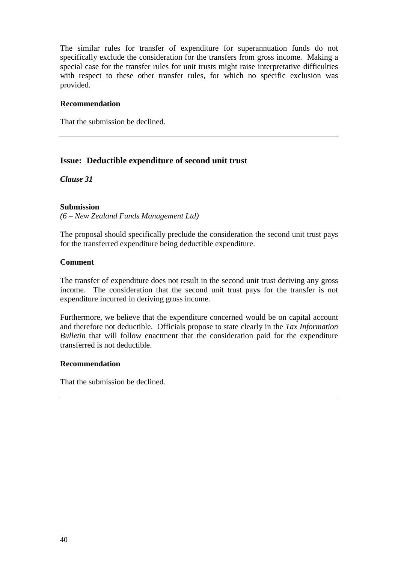The similar rules for transfer of expenditure for superannuation funds do not specifically exclude the consideration for the transfers from gross income. Making a special case for the transfer rules for unit trusts might raise interpretative difficulties with respect to these other transfer rules, for which no specific exclusion was provided.

## **Recommendation**

That the submission be declined.

# **Issue: Deductible expenditure of second unit trust**

*Clause 31*

## **Submission**

*(6 – New Zealand Funds Management Ltd)*

The proposal should specifically preclude the consideration the second unit trust pays for the transferred expenditure being deductible expenditure.

## **Comment**

The transfer of expenditure does not result in the second unit trust deriving any gross income. The consideration that the second unit trust pays for the transfer is not expenditure incurred in deriving gross income.

Furthermore, we believe that the expenditure concerned would be on capital account and therefore not deductible. Officials propose to state clearly in the *Tax Information Bulletin* that will follow enactment that the consideration paid for the expenditure transferred is not deductible.

## **Recommendation**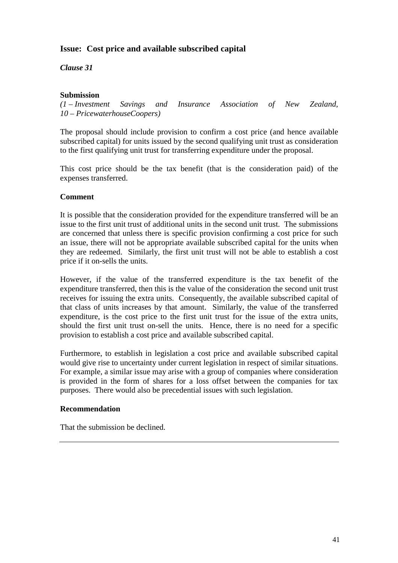# **Issue: Cost price and available subscribed capital**

*Clause 31*

## **Submission**

*(1 – Investment Savings and Insurance Association of New Zealand, 10 – PricewaterhouseCoopers)*

The proposal should include provision to confirm a cost price (and hence available subscribed capital) for units issued by the second qualifying unit trust as consideration to the first qualifying unit trust for transferring expenditure under the proposal.

This cost price should be the tax benefit (that is the consideration paid) of the expenses transferred.

## **Comment**

It is possible that the consideration provided for the expenditure transferred will be an issue to the first unit trust of additional units in the second unit trust. The submissions are concerned that unless there is specific provision confirming a cost price for such an issue, there will not be appropriate available subscribed capital for the units when they are redeemed. Similarly, the first unit trust will not be able to establish a cost price if it on-sells the units.

However, if the value of the transferred expenditure is the tax benefit of the expenditure transferred, then this is the value of the consideration the second unit trust receives for issuing the extra units. Consequently, the available subscribed capital of that class of units increases by that amount. Similarly, the value of the transferred expenditure, is the cost price to the first unit trust for the issue of the extra units, should the first unit trust on-sell the units. Hence, there is no need for a specific provision to establish a cost price and available subscribed capital.

Furthermore, to establish in legislation a cost price and available subscribed capital would give rise to uncertainty under current legislation in respect of similar situations. For example, a similar issue may arise with a group of companies where consideration is provided in the form of shares for a loss offset between the companies for tax purposes. There would also be precedential issues with such legislation.

## **Recommendation**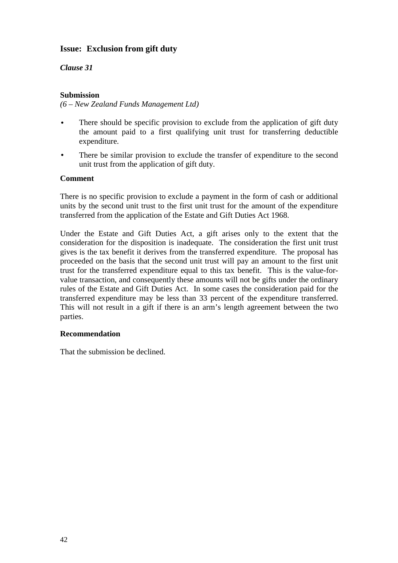# **Issue: Exclusion from gift duty**

*Clause 31*

## **Submission**

*(6 – New Zealand Funds Management Ltd)*

- There should be specific provision to exclude from the application of gift duty the amount paid to a first qualifying unit trust for transferring deductible expenditure.
- There be similar provision to exclude the transfer of expenditure to the second unit trust from the application of gift duty.

## **Comment**

There is no specific provision to exclude a payment in the form of cash or additional units by the second unit trust to the first unit trust for the amount of the expenditure transferred from the application of the Estate and Gift Duties Act 1968.

Under the Estate and Gift Duties Act, a gift arises only to the extent that the consideration for the disposition is inadequate. The consideration the first unit trust gives is the tax benefit it derives from the transferred expenditure. The proposal has proceeded on the basis that the second unit trust will pay an amount to the first unit trust for the transferred expenditure equal to this tax benefit. This is the value-forvalue transaction, and consequently these amounts will not be gifts under the ordinary rules of the Estate and Gift Duties Act. In some cases the consideration paid for the transferred expenditure may be less than 33 percent of the expenditure transferred. This will not result in a gift if there is an arm's length agreement between the two parties.

## **Recommendation**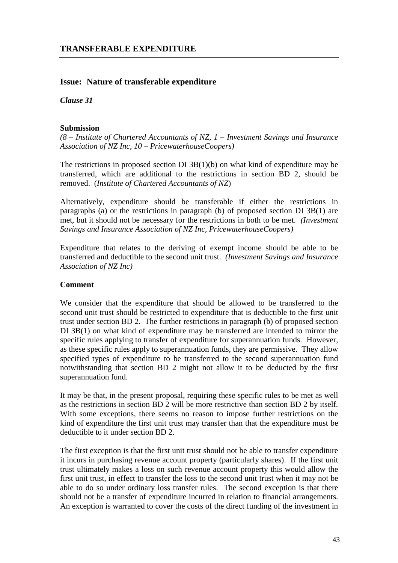# **Issue: Nature of transferable expenditure**

*Clause 31*

## **Submission**

*(8 – Institute of Chartered Accountants of NZ, 1 – Investment Savings and Insurance Association of NZ Inc, 10 – PricewaterhouseCoopers)*

The restrictions in proposed section DI 3B(1)(b) on what kind of expenditure may be transferred, which are additional to the restrictions in section BD 2, should be removed. (*Institute of Chartered Accountants of NZ*)

Alternatively, expenditure should be transferable if either the restrictions in paragraphs (a) or the restrictions in paragraph (b) of proposed section DI 3B(1) are met, but it should not be necessary for the restrictions in both to be met. *(Investment Savings and Insurance Association of NZ Inc, PricewaterhouseCoopers)*

Expenditure that relates to the deriving of exempt income should be able to be transferred and deductible to the second unit trust. *(Investment Savings and Insurance Association of NZ Inc)*

## **Comment**

We consider that the expenditure that should be allowed to be transferred to the second unit trust should be restricted to expenditure that is deductible to the first unit trust under section BD 2. The further restrictions in paragraph (b) of proposed section DI 3B(1) on what kind of expenditure may be transferred are intended to mirror the specific rules applying to transfer of expenditure for superannuation funds. However, as these specific rules apply to superannuation funds, they are permissive. They allow specified types of expenditure to be transferred to the second superannuation fund notwithstanding that section BD 2 might not allow it to be deducted by the first superannuation fund.

It may be that, in the present proposal, requiring these specific rules to be met as well as the restrictions in section BD 2 will be more restrictive than section BD 2 by itself. With some exceptions, there seems no reason to impose further restrictions on the kind of expenditure the first unit trust may transfer than that the expenditure must be deductible to it under section BD 2.

The first exception is that the first unit trust should not be able to transfer expenditure it incurs in purchasing revenue account property (particularly shares). If the first unit trust ultimately makes a loss on such revenue account property this would allow the first unit trust, in effect to transfer the loss to the second unit trust when it may not be able to do so under ordinary loss transfer rules. The second exception is that there should not be a transfer of expenditure incurred in relation to financial arrangements. An exception is warranted to cover the costs of the direct funding of the investment in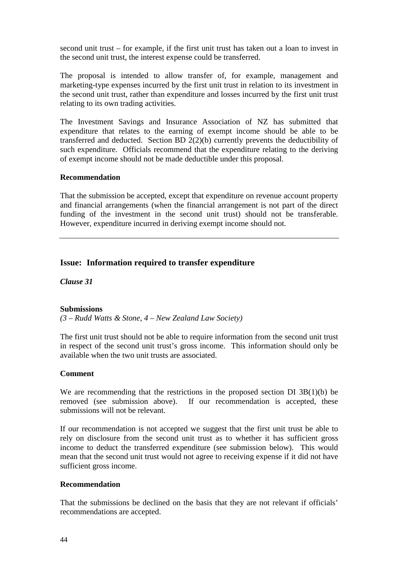second unit trust – for example, if the first unit trust has taken out a loan to invest in the second unit trust, the interest expense could be transferred.

The proposal is intended to allow transfer of, for example, management and marketing-type expenses incurred by the first unit trust in relation to its investment in the second unit trust, rather than expenditure and losses incurred by the first unit trust relating to its own trading activities.

The Investment Savings and Insurance Association of NZ has submitted that expenditure that relates to the earning of exempt income should be able to be transferred and deducted. Section BD 2(2)(b) currently prevents the deductibility of such expenditure. Officials recommend that the expenditure relating to the deriving of exempt income should not be made deductible under this proposal.

## **Recommendation**

That the submission be accepted, except that expenditure on revenue account property and financial arrangements (when the financial arrangement is not part of the direct funding of the investment in the second unit trust) should not be transferable. However, expenditure incurred in deriving exempt income should not.

## **Issue: Information required to transfer expenditure**

*Clause 31*

## **Submissions**

*(3 – Rudd Watts & Stone, 4 – New Zealand Law Society)*

The first unit trust should not be able to require information from the second unit trust in respect of the second unit trust's gross income. This information should only be available when the two unit trusts are associated.

## **Comment**

We are recommending that the restrictions in the proposed section DI 3B(1)(b) be removed (see submission above). If our recommendation is accepted, these submissions will not be relevant.

If our recommendation is not accepted we suggest that the first unit trust be able to rely on disclosure from the second unit trust as to whether it has sufficient gross income to deduct the transferred expenditure (see submission below). This would mean that the second unit trust would not agree to receiving expense if it did not have sufficient gross income.

## **Recommendation**

That the submissions be declined on the basis that they are not relevant if officials' recommendations are accepted.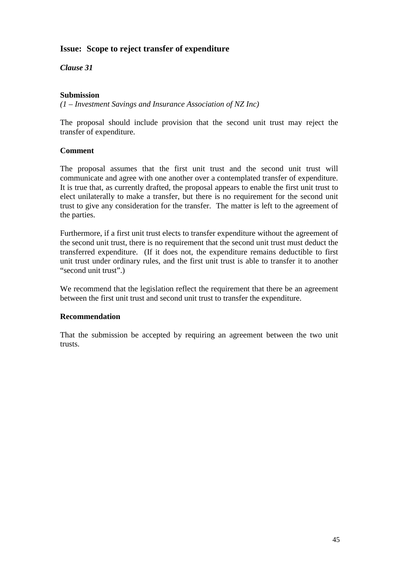# **Issue: Scope to reject transfer of expenditure**

*Clause 31*

## **Submission**

*(1 – Investment Savings and Insurance Association of NZ Inc)*

The proposal should include provision that the second unit trust may reject the transfer of expenditure.

## **Comment**

The proposal assumes that the first unit trust and the second unit trust will communicate and agree with one another over a contemplated transfer of expenditure. It is true that, as currently drafted, the proposal appears to enable the first unit trust to elect unilaterally to make a transfer, but there is no requirement for the second unit trust to give any consideration for the transfer. The matter is left to the agreement of the parties.

Furthermore, if a first unit trust elects to transfer expenditure without the agreement of the second unit trust, there is no requirement that the second unit trust must deduct the transferred expenditure. (If it does not, the expenditure remains deductible to first unit trust under ordinary rules, and the first unit trust is able to transfer it to another "second unit trust".)

We recommend that the legislation reflect the requirement that there be an agreement between the first unit trust and second unit trust to transfer the expenditure.

## **Recommendation**

That the submission be accepted by requiring an agreement between the two unit trusts.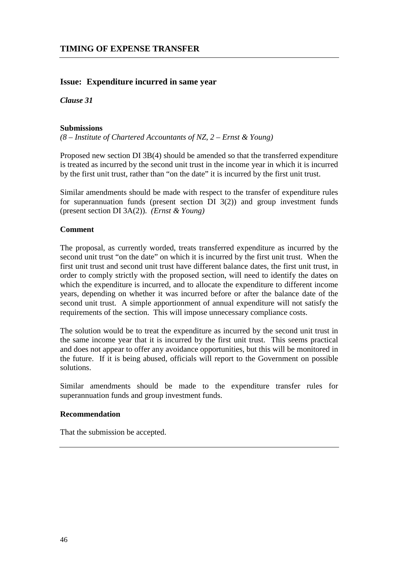## **Issue: Expenditure incurred in same year**

*Clause 31*

## **Submissions**

*(8 – Institute of Chartered Accountants of NZ, 2 – Ernst & Young)*

Proposed new section DI 3B(4) should be amended so that the transferred expenditure is treated as incurred by the second unit trust in the income year in which it is incurred by the first unit trust, rather than "on the date" it is incurred by the first unit trust.

Similar amendments should be made with respect to the transfer of expenditure rules for superannuation funds (present section DI  $3(2)$ ) and group investment funds (present section DI 3A(2)). *(Ernst & Young)*

## **Comment**

The proposal, as currently worded, treats transferred expenditure as incurred by the second unit trust "on the date" on which it is incurred by the first unit trust. When the first unit trust and second unit trust have different balance dates, the first unit trust, in order to comply strictly with the proposed section, will need to identify the dates on which the expenditure is incurred, and to allocate the expenditure to different income years, depending on whether it was incurred before or after the balance date of the second unit trust. A simple apportionment of annual expenditure will not satisfy the requirements of the section. This will impose unnecessary compliance costs.

The solution would be to treat the expenditure as incurred by the second unit trust in the same income year that it is incurred by the first unit trust. This seems practical and does not appear to offer any avoidance opportunities, but this will be monitored in the future. If it is being abused, officials will report to the Government on possible solutions.

Similar amendments should be made to the expenditure transfer rules for superannuation funds and group investment funds.

#### **Recommendation**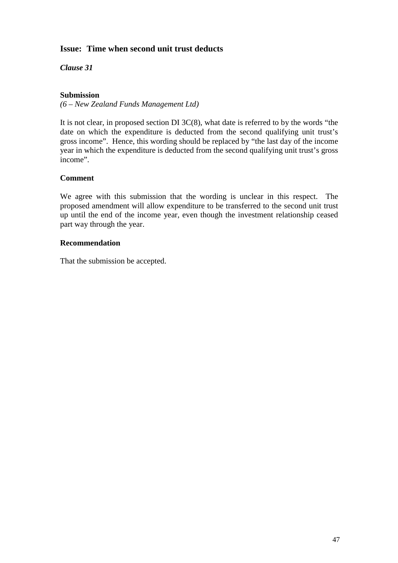# **Issue: Time when second unit trust deducts**

*Clause 31*

## **Submission**

*(6 – New Zealand Funds Management Ltd)*

It is not clear, in proposed section DI 3C(8), what date is referred to by the words "the date on which the expenditure is deducted from the second qualifying unit trust's gross income". Hence, this wording should be replaced by "the last day of the income year in which the expenditure is deducted from the second qualifying unit trust's gross income".

## **Comment**

We agree with this submission that the wording is unclear in this respect. The proposed amendment will allow expenditure to be transferred to the second unit trust up until the end of the income year, even though the investment relationship ceased part way through the year.

## **Recommendation**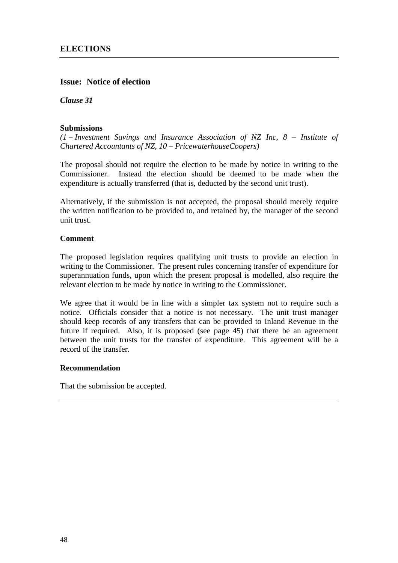# **Issue: Notice of election**

*Clause 31*

## **Submissions**

*(1 – Investment Savings and Insurance Association of NZ Inc, 8 – Institute of Chartered Accountants of NZ, 10 – PricewaterhouseCoopers)*

The proposal should not require the election to be made by notice in writing to the Commissioner. Instead the election should be deemed to be made when the expenditure is actually transferred (that is, deducted by the second unit trust).

Alternatively, if the submission is not accepted, the proposal should merely require the written notification to be provided to, and retained by, the manager of the second unit trust.

## **Comment**

The proposed legislation requires qualifying unit trusts to provide an election in writing to the Commissioner. The present rules concerning transfer of expenditure for superannuation funds, upon which the present proposal is modelled, also require the relevant election to be made by notice in writing to the Commissioner.

We agree that it would be in line with a simpler tax system not to require such a notice. Officials consider that a notice is not necessary. The unit trust manager should keep records of any transfers that can be provided to Inland Revenue in the future if required. Also, it is proposed (see page 45) that there be an agreement between the unit trusts for the transfer of expenditure. This agreement will be a record of the transfer.

## **Recommendation**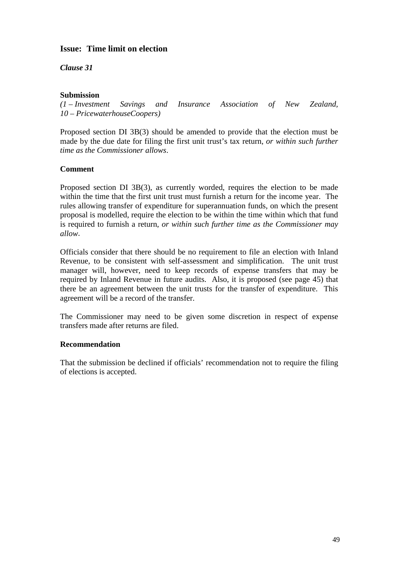# **Issue: Time limit on election**

*Clause 31*

## **Submission**

*(1 – Investment Savings and Insurance Association of New Zealand, 10 – PricewaterhouseCoopers)*

Proposed section DI 3B(3) should be amended to provide that the election must be made by the due date for filing the first unit trust's tax return, *or within such further time as the Commissioner allows*.

## **Comment**

Proposed section DI 3B(3), as currently worded, requires the election to be made within the time that the first unit trust must furnish a return for the income year. The rules allowing transfer of expenditure for superannuation funds, on which the present proposal is modelled, require the election to be within the time within which that fund is required to furnish a return, *or within such further time as the Commissioner may allow*.

Officials consider that there should be no requirement to file an election with Inland Revenue, to be consistent with self-assessment and simplification. The unit trust manager will, however, need to keep records of expense transfers that may be required by Inland Revenue in future audits. Also, it is proposed (see page 45) that there be an agreement between the unit trusts for the transfer of expenditure. This agreement will be a record of the transfer.

The Commissioner may need to be given some discretion in respect of expense transfers made after returns are filed.

## **Recommendation**

That the submission be declined if officials' recommendation not to require the filing of elections is accepted.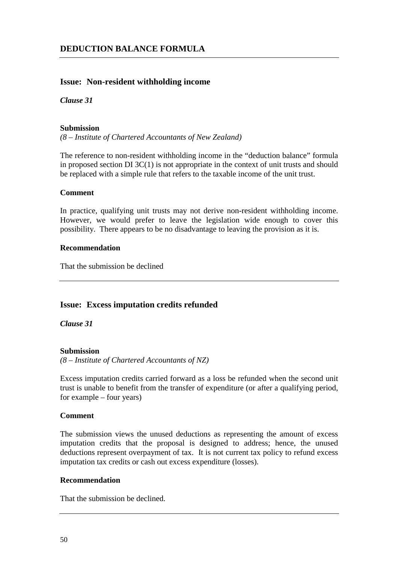## **Issue: Non-resident withholding income**

## *Clause 31*

#### **Submission**

*(8 – Institute of Chartered Accountants of New Zealand)*

The reference to non-resident withholding income in the "deduction balance" formula in proposed section DI 3C(1) is not appropriate in the context of unit trusts and should be replaced with a simple rule that refers to the taxable income of the unit trust.

#### **Comment**

In practice, qualifying unit trusts may not derive non-resident withholding income. However, we would prefer to leave the legislation wide enough to cover this possibility. There appears to be no disadvantage to leaving the provision as it is.

## **Recommendation**

That the submission be declined

## **Issue: Excess imputation credits refunded**

*Clause 31*

## **Submission**

*(8 – Institute of Chartered Accountants of NZ)*

Excess imputation credits carried forward as a loss be refunded when the second unit trust is unable to benefit from the transfer of expenditure (or after a qualifying period, for example – four years)

## **Comment**

The submission views the unused deductions as representing the amount of excess imputation credits that the proposal is designed to address; hence, the unused deductions represent overpayment of tax. It is not current tax policy to refund excess imputation tax credits or cash out excess expenditure (losses).

## **Recommendation**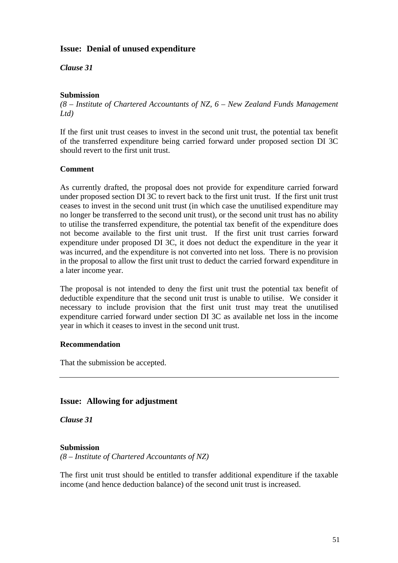# **Issue: Denial of unused expenditure**

*Clause 31*

## **Submission**

*(8 – Institute of Chartered Accountants of NZ, 6 – New Zealand Funds Management Ltd)*

If the first unit trust ceases to invest in the second unit trust, the potential tax benefit of the transferred expenditure being carried forward under proposed section DI 3C should revert to the first unit trust.

## **Comment**

As currently drafted, the proposal does not provide for expenditure carried forward under proposed section DI 3C to revert back to the first unit trust. If the first unit trust ceases to invest in the second unit trust (in which case the unutilised expenditure may no longer be transferred to the second unit trust), or the second unit trust has no ability to utilise the transferred expenditure, the potential tax benefit of the expenditure does not become available to the first unit trust. If the first unit trust carries forward expenditure under proposed DI 3C, it does not deduct the expenditure in the year it was incurred, and the expenditure is not converted into net loss. There is no provision in the proposal to allow the first unit trust to deduct the carried forward expenditure in a later income year.

The proposal is not intended to deny the first unit trust the potential tax benefit of deductible expenditure that the second unit trust is unable to utilise. We consider it necessary to include provision that the first unit trust may treat the unutilised expenditure carried forward under section DI 3C as available net loss in the income year in which it ceases to invest in the second unit trust.

## **Recommendation**

That the submission be accepted.

# **Issue: Allowing for adjustment**

*Clause 31*

## **Submission**

*(8 – Institute of Chartered Accountants of NZ)*

The first unit trust should be entitled to transfer additional expenditure if the taxable income (and hence deduction balance) of the second unit trust is increased.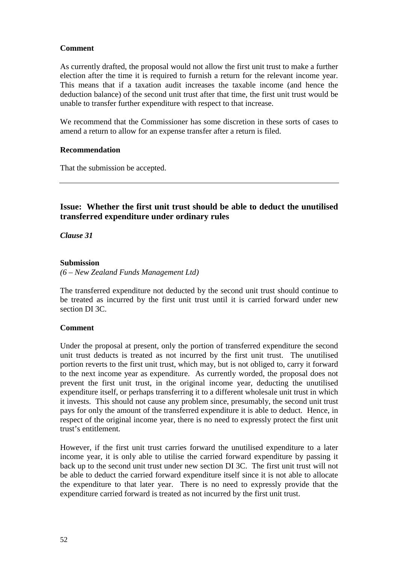As currently drafted, the proposal would not allow the first unit trust to make a further election after the time it is required to furnish a return for the relevant income year. This means that if a taxation audit increases the taxable income (and hence the deduction balance) of the second unit trust after that time, the first unit trust would be unable to transfer further expenditure with respect to that increase.

We recommend that the Commissioner has some discretion in these sorts of cases to amend a return to allow for an expense transfer after a return is filed.

## **Recommendation**

That the submission be accepted.

# **Issue: Whether the first unit trust should be able to deduct the unutilised transferred expenditure under ordinary rules**

## *Clause 31*

## **Submission**

*(6 – New Zealand Funds Management Ltd)*

The transferred expenditure not deducted by the second unit trust should continue to be treated as incurred by the first unit trust until it is carried forward under new section DI 3C.

## **Comment**

Under the proposal at present, only the portion of transferred expenditure the second unit trust deducts is treated as not incurred by the first unit trust. The unutilised portion reverts to the first unit trust, which may, but is not obliged to, carry it forward to the next income year as expenditure. As currently worded, the proposal does not prevent the first unit trust, in the original income year, deducting the unutilised expenditure itself, or perhaps transferring it to a different wholesale unit trust in which it invests. This should not cause any problem since, presumably, the second unit trust pays for only the amount of the transferred expenditure it is able to deduct. Hence, in respect of the original income year, there is no need to expressly protect the first unit trust's entitlement.

However, if the first unit trust carries forward the unutilised expenditure to a later income year, it is only able to utilise the carried forward expenditure by passing it back up to the second unit trust under new section DI 3C. The first unit trust will not be able to deduct the carried forward expenditure itself since it is not able to allocate the expenditure to that later year. There is no need to expressly provide that the expenditure carried forward is treated as not incurred by the first unit trust.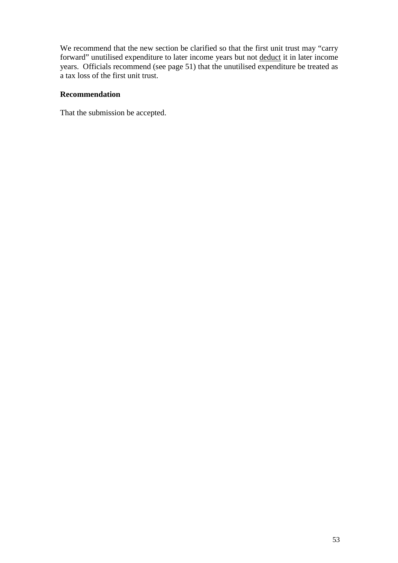We recommend that the new section be clarified so that the first unit trust may "carry forward" unutilised expenditure to later income years but not deduct it in later income years. Officials recommend (see page 51) that the unutilised expenditure be treated as a tax loss of the first unit trust.

## **Recommendation**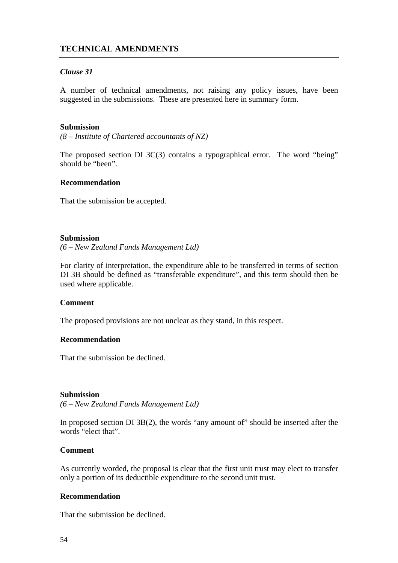# **TECHNICAL AMENDMENTS**

## *Clause 31*

A number of technical amendments, not raising any policy issues, have been suggested in the submissions. These are presented here in summary form.

#### **Submission**

*(8 – Institute of Chartered accountants of NZ)*

The proposed section DI 3C(3) contains a typographical error. The word "being" should be "been".

#### **Recommendation**

That the submission be accepted.

#### **Submission**

*(6 – New Zealand Funds Management Ltd)*

For clarity of interpretation, the expenditure able to be transferred in terms of section DI 3B should be defined as "transferable expenditure", and this term should then be used where applicable.

## **Comment**

The proposed provisions are not unclear as they stand, in this respect.

## **Recommendation**

That the submission be declined.

#### **Submission**

*(6 – New Zealand Funds Management Ltd)*

In proposed section DI 3B(2), the words "any amount of" should be inserted after the words "elect that".

## **Comment**

As currently worded, the proposal is clear that the first unit trust may elect to transfer only a portion of its deductible expenditure to the second unit trust.

## **Recommendation**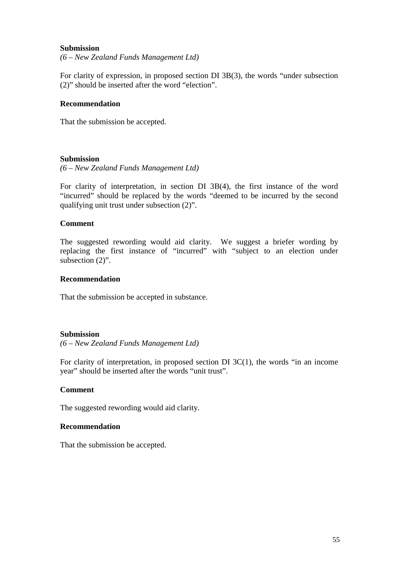#### **Submission**

*(6 – New Zealand Funds Management Ltd)*

For clarity of expression, in proposed section DI 3B(3), the words "under subsection (2)" should be inserted after the word "election".

#### **Recommendation**

That the submission be accepted.

#### **Submission**

*(6 – New Zealand Funds Management Ltd)*

For clarity of interpretation, in section DI 3B(4), the first instance of the word "incurred" should be replaced by the words "deemed to be incurred by the second qualifying unit trust under subsection (2)".

#### **Comment**

The suggested rewording would aid clarity. We suggest a briefer wording by replacing the first instance of "incurred" with "subject to an election under subsection  $(2)$ ".

#### **Recommendation**

That the submission be accepted in substance.

#### **Submission**

*(6 – New Zealand Funds Management Ltd)*

For clarity of interpretation, in proposed section DI 3C(1), the words "in an income year" should be inserted after the words "unit trust".

#### **Comment**

The suggested rewording would aid clarity.

#### **Recommendation**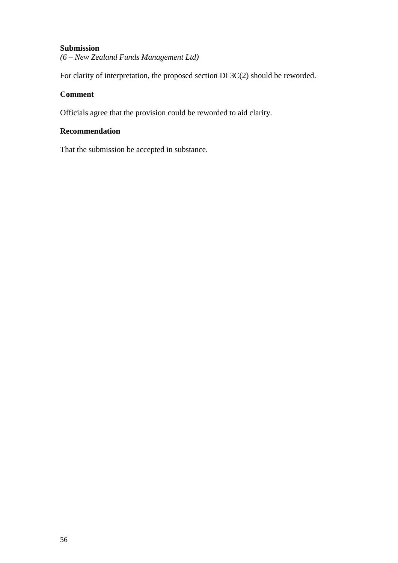## **Submission**

*(6 – New Zealand Funds Management Ltd)*

For clarity of interpretation, the proposed section DI 3C(2) should be reworded.

## **Comment**

Officials agree that the provision could be reworded to aid clarity.

# **Recommendation**

That the submission be accepted in substance.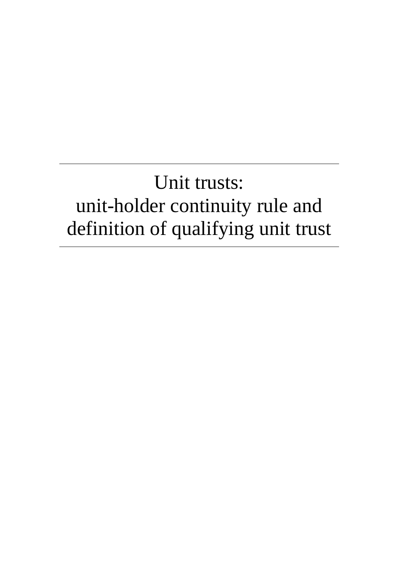# Unit trusts: unit-holder continuity rule and definition of qualifying unit trust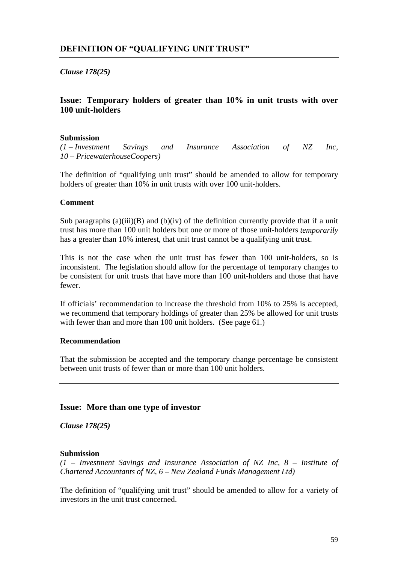*Clause 178(25)*

# **Issue: Temporary holders of greater than 10% in unit trusts with over 100 unit-holders**

#### **Submission**

*(1 – Investment Savings and Insurance Association of NZ Inc, 10 – PricewaterhouseCoopers)*

The definition of "qualifying unit trust" should be amended to allow for temporary holders of greater than 10% in unit trusts with over 100 unit-holders.

#### **Comment**

Sub paragraphs (a)(iii)(B) and (b)(iv) of the definition currently provide that if a unit trust has more than 100 unit holders but one or more of those unit-holders *temporarily* has a greater than 10% interest, that unit trust cannot be a qualifying unit trust.

This is not the case when the unit trust has fewer than 100 unit-holders, so is inconsistent. The legislation should allow for the percentage of temporary changes to be consistent for unit trusts that have more than 100 unit-holders and those that have fewer.

If officials' recommendation to increase the threshold from 10% to 25% is accepted, we recommend that temporary holdings of greater than 25% be allowed for unit trusts with fewer than and more than 100 unit holders. (See page 61.)

## **Recommendation**

That the submission be accepted and the temporary change percentage be consistent between unit trusts of fewer than or more than 100 unit holders.

## **Issue: More than one type of investor**

*Clause 178(25)*

#### **Submission**

*(1 – Investment Savings and Insurance Association of NZ Inc, 8 – Institute of Chartered Accountants of NZ, 6 – New Zealand Funds Management Ltd)*

The definition of "qualifying unit trust" should be amended to allow for a variety of investors in the unit trust concerned.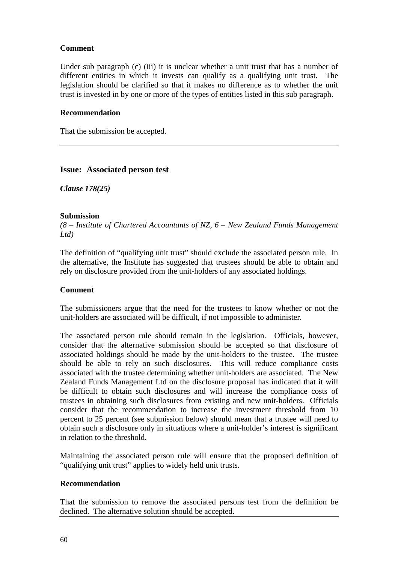Under sub paragraph (c) (iii) it is unclear whether a unit trust that has a number of different entities in which it invests can qualify as a qualifying unit trust. The legislation should be clarified so that it makes no difference as to whether the unit trust is invested in by one or more of the types of entities listed in this sub paragraph.

#### **Recommendation**

That the submission be accepted.

## **Issue: Associated person test**

*Clause 178(25)*

## **Submission**

*(8 – Institute of Chartered Accountants of NZ, 6 – New Zealand Funds Management Ltd)*

The definition of "qualifying unit trust" should exclude the associated person rule. In the alternative, the Institute has suggested that trustees should be able to obtain and rely on disclosure provided from the unit-holders of any associated holdings.

## **Comment**

The submissioners argue that the need for the trustees to know whether or not the unit-holders are associated will be difficult, if not impossible to administer.

The associated person rule should remain in the legislation. Officials, however, consider that the alternative submission should be accepted so that disclosure of associated holdings should be made by the unit-holders to the trustee. The trustee should be able to rely on such disclosures. This will reduce compliance costs associated with the trustee determining whether unit-holders are associated. The New Zealand Funds Management Ltd on the disclosure proposal has indicated that it will be difficult to obtain such disclosures and will increase the compliance costs of trustees in obtaining such disclosures from existing and new unit-holders. Officials consider that the recommendation to increase the investment threshold from 10 percent to 25 percent (see submission below) should mean that a trustee will need to obtain such a disclosure only in situations where a unit-holder's interest is significant in relation to the threshold.

Maintaining the associated person rule will ensure that the proposed definition of "qualifying unit trust" applies to widely held unit trusts.

#### **Recommendation**

That the submission to remove the associated persons test from the definition be declined. The alternative solution should be accepted.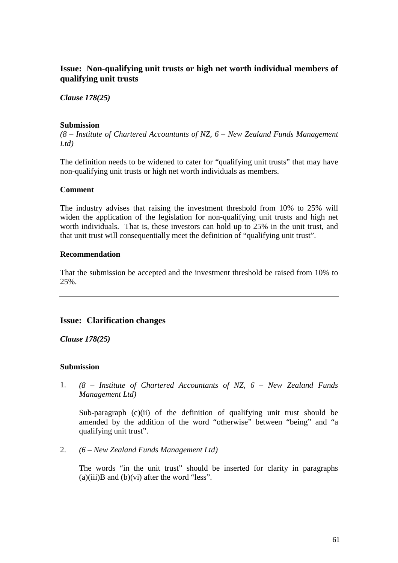# **Issue: Non-qualifying unit trusts or high net worth individual members of qualifying unit trusts**

*Clause 178(25)*

## **Submission**

*(8 – Institute of Chartered Accountants of NZ, 6 – New Zealand Funds Management Ltd)*

The definition needs to be widened to cater for "qualifying unit trusts" that may have non-qualifying unit trusts or high net worth individuals as members.

## **Comment**

The industry advises that raising the investment threshold from 10% to 25% will widen the application of the legislation for non-qualifying unit trusts and high net worth individuals. That is, these investors can hold up to 25% in the unit trust, and that unit trust will consequentially meet the definition of "qualifying unit trust".

## **Recommendation**

That the submission be accepted and the investment threshold be raised from 10% to 25%.

## **Issue: Clarification changes**

*Clause 178(25)*

## **Submission**

1. *(8 – Institute of Chartered Accountants of NZ, 6 – New Zealand Funds Management Ltd)*

Sub-paragraph (c)(ii) of the definition of qualifying unit trust should be amended by the addition of the word "otherwise" between "being" and "a qualifying unit trust".

2. *(6 – New Zealand Funds Management Ltd)*

The words "in the unit trust" should be inserted for clarity in paragraphs  $(a)(iii)B$  and  $(b)(vi)$  after the word "less".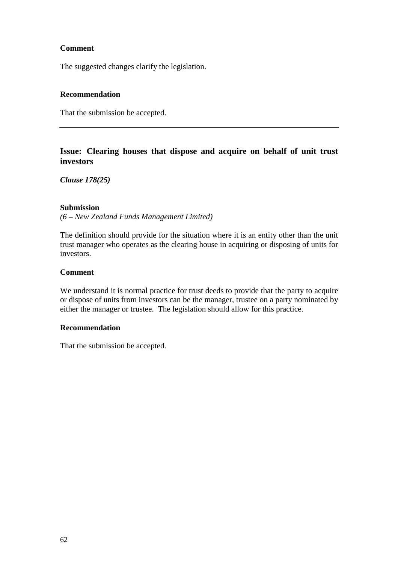The suggested changes clarify the legislation.

## **Recommendation**

That the submission be accepted.

# **Issue: Clearing houses that dispose and acquire on behalf of unit trust investors**

*Clause 178(25)*

## **Submission**

*(6 – New Zealand Funds Management Limited)*

The definition should provide for the situation where it is an entity other than the unit trust manager who operates as the clearing house in acquiring or disposing of units for investors.

## **Comment**

We understand it is normal practice for trust deeds to provide that the party to acquire or dispose of units from investors can be the manager, trustee on a party nominated by either the manager or trustee. The legislation should allow for this practice.

## **Recommendation**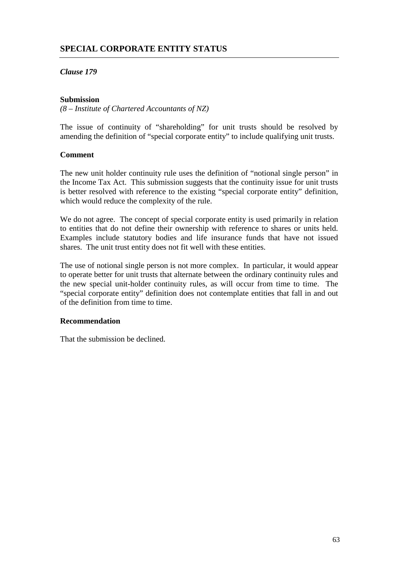# **SPECIAL CORPORATE ENTITY STATUS**

## *Clause 179*

## **Submission**

*(8 – Institute of Chartered Accountants of NZ)*

The issue of continuity of "shareholding" for unit trusts should be resolved by amending the definition of "special corporate entity" to include qualifying unit trusts.

## **Comment**

The new unit holder continuity rule uses the definition of "notional single person" in the Income Tax Act. This submission suggests that the continuity issue for unit trusts is better resolved with reference to the existing "special corporate entity" definition, which would reduce the complexity of the rule.

We do not agree. The concept of special corporate entity is used primarily in relation to entities that do not define their ownership with reference to shares or units held. Examples include statutory bodies and life insurance funds that have not issued shares. The unit trust entity does not fit well with these entities.

The use of notional single person is not more complex. In particular, it would appear to operate better for unit trusts that alternate between the ordinary continuity rules and the new special unit-holder continuity rules, as will occur from time to time. The "special corporate entity" definition does not contemplate entities that fall in and out of the definition from time to time.

## **Recommendation**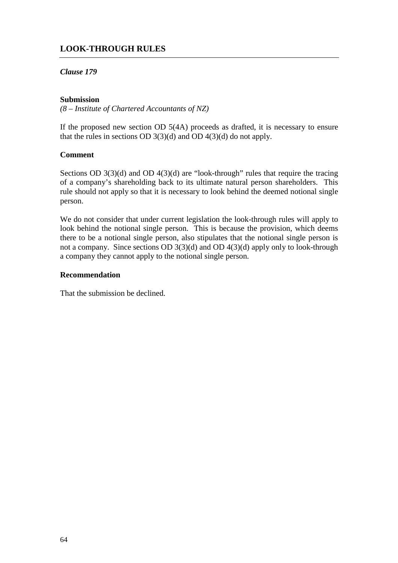# **LOOK-THROUGH RULES**

## *Clause 179*

## **Submission**

*(8 – Institute of Chartered Accountants of NZ)*

If the proposed new section OD 5(4A) proceeds as drafted, it is necessary to ensure that the rules in sections OD  $3(3)(d)$  and OD  $4(3)(d)$  do not apply.

## **Comment**

Sections OD 3(3)(d) and OD 4(3)(d) are "look-through" rules that require the tracing of a company's shareholding back to its ultimate natural person shareholders. This rule should not apply so that it is necessary to look behind the deemed notional single person.

We do not consider that under current legislation the look-through rules will apply to look behind the notional single person. This is because the provision, which deems there to be a notional single person, also stipulates that the notional single person is not a company. Since sections OD 3(3)(d) and OD 4(3)(d) apply only to look-through a company they cannot apply to the notional single person.

## **Recommendation**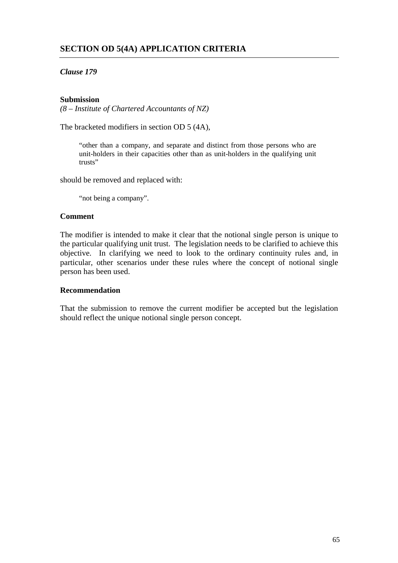# *Clause 179*

## **Submission**

*(8 – Institute of Chartered Accountants of NZ)*

The bracketed modifiers in section OD 5 (4A),

"other than a company, and separate and distinct from those persons who are unit-holders in their capacities other than as unit-holders in the qualifying unit trusts"

should be removed and replaced with:

"not being a company".

## **Comment**

The modifier is intended to make it clear that the notional single person is unique to the particular qualifying unit trust. The legislation needs to be clarified to achieve this objective. In clarifying we need to look to the ordinary continuity rules and, in particular, other scenarios under these rules where the concept of notional single person has been used.

## **Recommendation**

That the submission to remove the current modifier be accepted but the legislation should reflect the unique notional single person concept.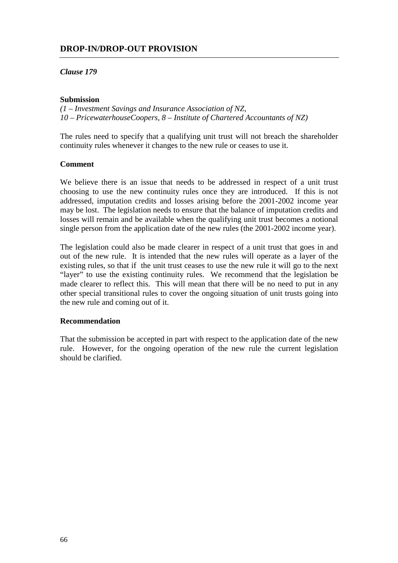# **DROP-IN/DROP-OUT PROVISION**

## *Clause 179*

## **Submission**

*(1 – Investment Savings and Insurance Association of NZ, 10 – PricewaterhouseCoopers, 8 – Institute of Chartered Accountants of NZ)*

The rules need to specify that a qualifying unit trust will not breach the shareholder continuity rules whenever it changes to the new rule or ceases to use it.

## **Comment**

We believe there is an issue that needs to be addressed in respect of a unit trust choosing to use the new continuity rules once they are introduced. If this is not addressed, imputation credits and losses arising before the 2001-2002 income year may be lost. The legislation needs to ensure that the balance of imputation credits and losses will remain and be available when the qualifying unit trust becomes a notional single person from the application date of the new rules (the 2001-2002 income year).

The legislation could also be made clearer in respect of a unit trust that goes in and out of the new rule. It is intended that the new rules will operate as a layer of the existing rules, so that if the unit trust ceases to use the new rule it will go to the next "layer" to use the existing continuity rules. We recommend that the legislation be made clearer to reflect this. This will mean that there will be no need to put in any other special transitional rules to cover the ongoing situation of unit trusts going into the new rule and coming out of it.

#### **Recommendation**

That the submission be accepted in part with respect to the application date of the new rule. However, for the ongoing operation of the new rule the current legislation should be clarified.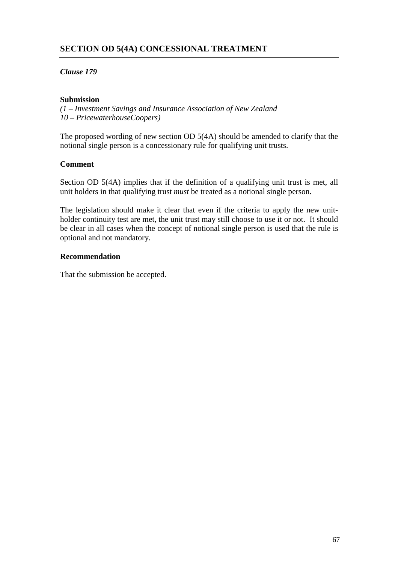## **SECTION OD 5(4A) CONCESSIONAL TREATMENT**

## *Clause 179*

## **Submission**

*(1 – Investment Savings and Insurance Association of New Zealand 10 – PricewaterhouseCoopers)*

The proposed wording of new section OD 5(4A) should be amended to clarify that the notional single person is a concessionary rule for qualifying unit trusts.

## **Comment**

Section OD 5(4A) implies that if the definition of a qualifying unit trust is met, all unit holders in that qualifying trust *must* be treated as a notional single person.

The legislation should make it clear that even if the criteria to apply the new unitholder continuity test are met, the unit trust may still choose to use it or not. It should be clear in all cases when the concept of notional single person is used that the rule is optional and not mandatory.

## **Recommendation**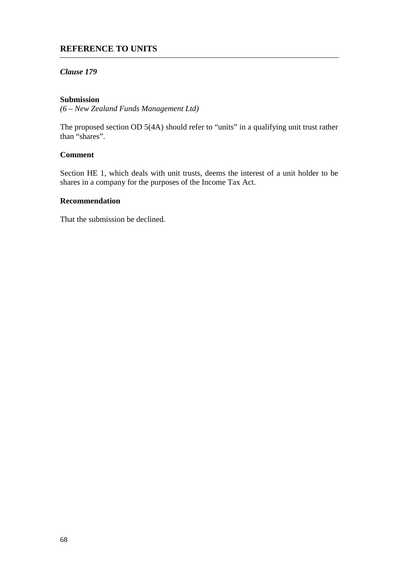## **REFERENCE TO UNITS**

## *Clause 179*

#### **Submission**

*(6 – New Zealand Funds Management Ltd)*

The proposed section OD 5(4A) should refer to "units" in a qualifying unit trust rather than "shares".

## **Comment**

Section HE 1, which deals with unit trusts, deems the interest of a unit holder to be shares in a company for the purposes of the Income Tax Act.

#### **Recommendation**

That the submission be declined.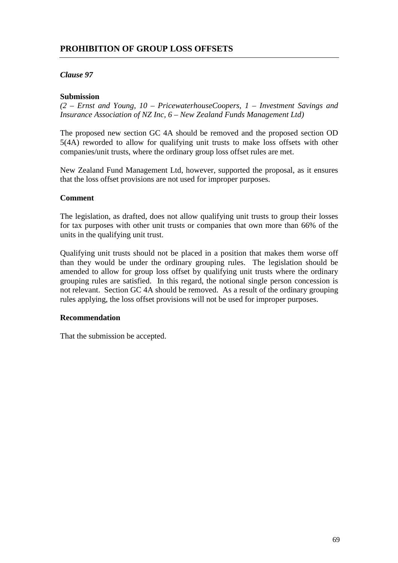## **PROHIBITION OF GROUP LOSS OFFSETS**

## *Clause 97*

#### **Submission**

*(2 – Ernst and Young, 10 – PricewaterhouseCoopers, 1 – Investment Savings and Insurance Association of NZ Inc, 6 – New Zealand Funds Management Ltd)*

The proposed new section GC 4A should be removed and the proposed section OD 5(4A) reworded to allow for qualifying unit trusts to make loss offsets with other companies/unit trusts, where the ordinary group loss offset rules are met.

New Zealand Fund Management Ltd, however, supported the proposal, as it ensures that the loss offset provisions are not used for improper purposes.

#### **Comment**

The legislation, as drafted, does not allow qualifying unit trusts to group their losses for tax purposes with other unit trusts or companies that own more than 66% of the units in the qualifying unit trust.

Qualifying unit trusts should not be placed in a position that makes them worse off than they would be under the ordinary grouping rules. The legislation should be amended to allow for group loss offset by qualifying unit trusts where the ordinary grouping rules are satisfied. In this regard, the notional single person concession is not relevant. Section GC 4A should be removed. As a result of the ordinary grouping rules applying, the loss offset provisions will not be used for improper purposes.

## **Recommendation**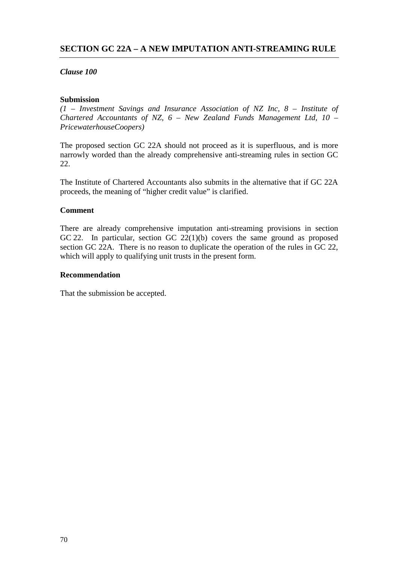## *Clause 100*

## **Submission**

*(1 – Investment Savings and Insurance Association of NZ Inc, 8 – Institute of Chartered Accountants of NZ, 6 – New Zealand Funds Management Ltd, 10 – PricewaterhouseCoopers)*

The proposed section GC 22A should not proceed as it is superfluous, and is more narrowly worded than the already comprehensive anti-streaming rules in section GC  $22.$ 

The Institute of Chartered Accountants also submits in the alternative that if GC 22A proceeds, the meaning of "higher credit value" is clarified.

## **Comment**

There are already comprehensive imputation anti-streaming provisions in section GC 22. In particular, section GC 22(1)(b) covers the same ground as proposed section GC 22A. There is no reason to duplicate the operation of the rules in GC 22, which will apply to qualifying unit trusts in the present form.

## **Recommendation**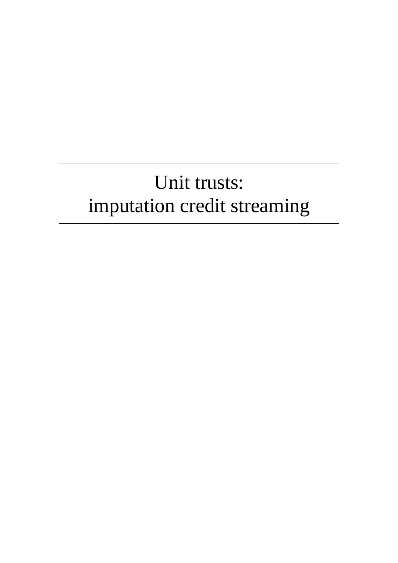## Unit trusts: imputation credit streaming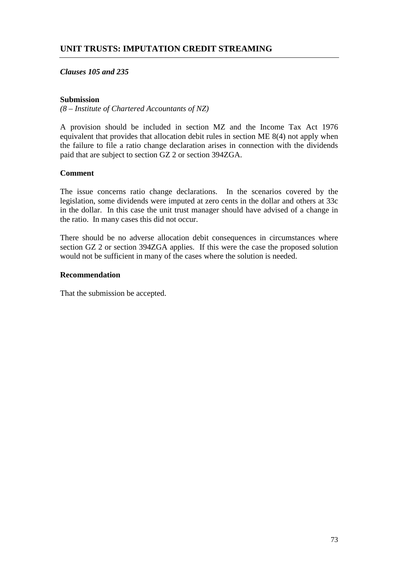## *Clauses 105 and 235*

## **Submission**

*(8 – Institute of Chartered Accountants of NZ)*

A provision should be included in section MZ and the Income Tax Act 1976 equivalent that provides that allocation debit rules in section ME 8(4) not apply when the failure to file a ratio change declaration arises in connection with the dividends paid that are subject to section GZ 2 or section 394ZGA.

## **Comment**

The issue concerns ratio change declarations. In the scenarios covered by the legislation, some dividends were imputed at zero cents in the dollar and others at 33c in the dollar. In this case the unit trust manager should have advised of a change in the ratio. In many cases this did not occur.

There should be no adverse allocation debit consequences in circumstances where section GZ 2 or section 394ZGA applies. If this were the case the proposed solution would not be sufficient in many of the cases where the solution is needed.

## **Recommendation**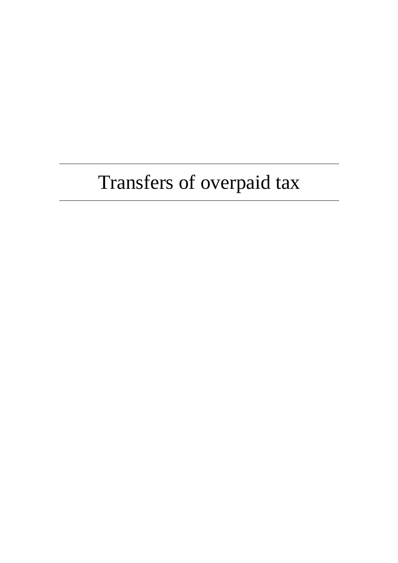# Transfers of overpaid tax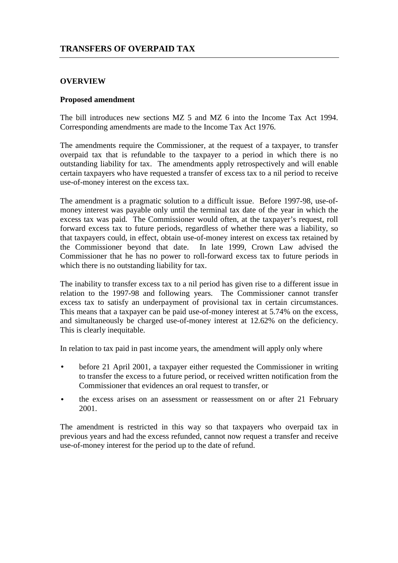## **TRANSFERS OF OVERPAID TAX**

## **OVERVIEW**

#### **Proposed amendment**

The bill introduces new sections MZ 5 and MZ 6 into the Income Tax Act 1994. Corresponding amendments are made to the Income Tax Act 1976.

The amendments require the Commissioner, at the request of a taxpayer, to transfer overpaid tax that is refundable to the taxpayer to a period in which there is no outstanding liability for tax. The amendments apply retrospectively and will enable certain taxpayers who have requested a transfer of excess tax to a nil period to receive use-of-money interest on the excess tax.

The amendment is a pragmatic solution to a difficult issue. Before 1997-98, use-ofmoney interest was payable only until the terminal tax date of the year in which the excess tax was paid. The Commissioner would often, at the taxpayer's request, roll forward excess tax to future periods, regardless of whether there was a liability, so that taxpayers could, in effect, obtain use-of-money interest on excess tax retained by the Commissioner beyond that date. In late 1999, Crown Law advised the Commissioner that he has no power to roll-forward excess tax to future periods in which there is no outstanding liability for tax.

The inability to transfer excess tax to a nil period has given rise to a different issue in relation to the 1997-98 and following years. The Commissioner cannot transfer excess tax to satisfy an underpayment of provisional tax in certain circumstances. This means that a taxpayer can be paid use-of-money interest at 5.74% on the excess, and simultaneously be charged use-of-money interest at 12.62% on the deficiency. This is clearly inequitable.

In relation to tax paid in past income years, the amendment will apply only where

- before 21 April 2001, a taxpayer either requested the Commissioner in writing to transfer the excess to a future period, or received written notification from the Commissioner that evidences an oral request to transfer, or
- the excess arises on an assessment or reassessment on or after 21 February 2001.

The amendment is restricted in this way so that taxpayers who overpaid tax in previous years and had the excess refunded, cannot now request a transfer and receive use-of-money interest for the period up to the date of refund.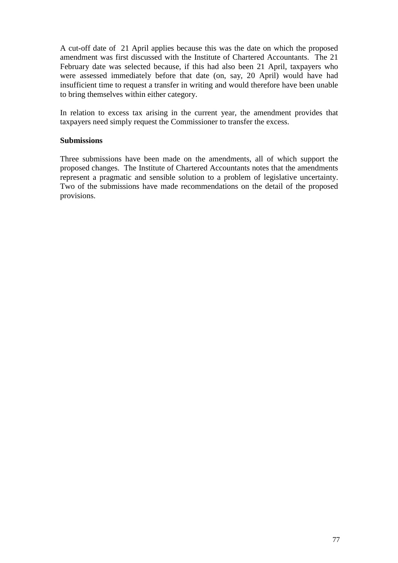A cut-off date of 21 April applies because this was the date on which the proposed amendment was first discussed with the Institute of Chartered Accountants. The 21 February date was selected because, if this had also been 21 April, taxpayers who were assessed immediately before that date (on, say, 20 April) would have had insufficient time to request a transfer in writing and would therefore have been unable to bring themselves within either category.

In relation to excess tax arising in the current year, the amendment provides that taxpayers need simply request the Commissioner to transfer the excess.

## **Submissions**

Three submissions have been made on the amendments, all of which support the proposed changes. The Institute of Chartered Accountants notes that the amendments represent a pragmatic and sensible solution to a problem of legislative uncertainty. Two of the submissions have made recommendations on the detail of the proposed provisions.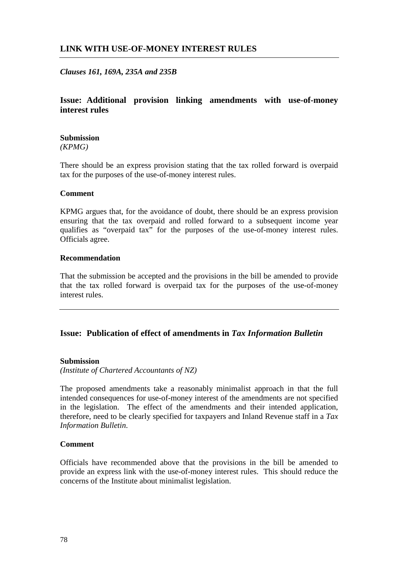## **LINK WITH USE-OF-MONEY INTEREST RULES**

## *Clauses 161, 169A, 235A and 235B*

## **Issue: Additional provision linking amendments with use-of-money interest rules**

#### **Submission**

*(KPMG)*

There should be an express provision stating that the tax rolled forward is overpaid tax for the purposes of the use-of-money interest rules.

#### **Comment**

KPMG argues that, for the avoidance of doubt, there should be an express provision ensuring that the tax overpaid and rolled forward to a subsequent income year qualifies as "overpaid tax" for the purposes of the use-of-money interest rules. Officials agree.

#### **Recommendation**

That the submission be accepted and the provisions in the bill be amended to provide that the tax rolled forward is overpaid tax for the purposes of the use-of-money interest rules.

## **Issue: Publication of effect of amendments in** *Tax Information Bulletin*

## **Submission**

*(Institute of Chartered Accountants of NZ)*

The proposed amendments take a reasonably minimalist approach in that the full intended consequences for use-of-money interest of the amendments are not specified in the legislation. The effect of the amendments and their intended application, therefore, need to be clearly specified for taxpayers and Inland Revenue staff in a *Tax Information Bulletin*.

## **Comment**

Officials have recommended above that the provisions in the bill be amended to provide an express link with the use-of-money interest rules. This should reduce the concerns of the Institute about minimalist legislation.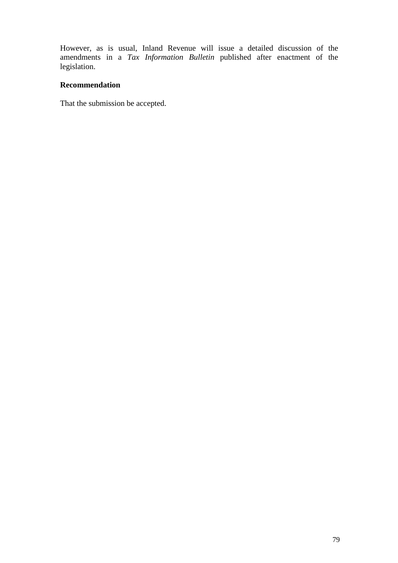However, as is usual, Inland Revenue will issue a detailed discussion of the amendments in a *Tax Information Bulletin* published after enactment of the legislation.

## **Recommendation**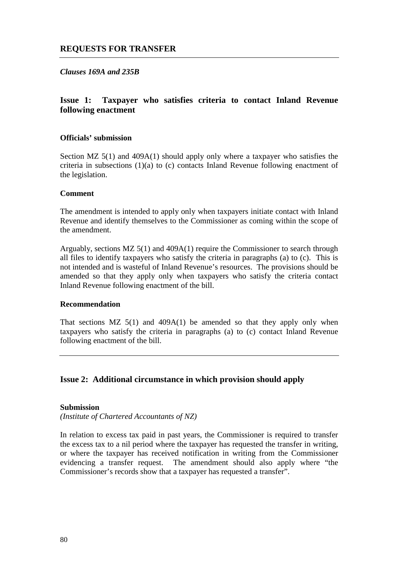*Clauses 169A and 235B*

## **Issue 1: Taxpayer who satisfies criteria to contact Inland Revenue following enactment**

## **Officials' submission**

Section MZ 5(1) and 409A(1) should apply only where a taxpayer who satisfies the criteria in subsections (1)(a) to (c) contacts Inland Revenue following enactment of the legislation.

#### **Comment**

The amendment is intended to apply only when taxpayers initiate contact with Inland Revenue and identify themselves to the Commissioner as coming within the scope of the amendment.

Arguably, sections MZ 5(1) and 409A(1) require the Commissioner to search through all files to identify taxpayers who satisfy the criteria in paragraphs (a) to (c). This is not intended and is wasteful of Inland Revenue's resources. The provisions should be amended so that they apply only when taxpayers who satisfy the criteria contact Inland Revenue following enactment of the bill.

#### **Recommendation**

That sections  $MZ 5(1)$  and  $409A(1)$  be amended so that they apply only when taxpayers who satisfy the criteria in paragraphs (a) to (c) contact Inland Revenue following enactment of the bill.

## **Issue 2: Additional circumstance in which provision should apply**

#### **Submission**

*(Institute of Chartered Accountants of NZ)*

In relation to excess tax paid in past years, the Commissioner is required to transfer the excess tax to a nil period where the taxpayer has requested the transfer in writing, or where the taxpayer has received notification in writing from the Commissioner evidencing a transfer request. The amendment should also apply where "the Commissioner's records show that a taxpayer has requested a transfer".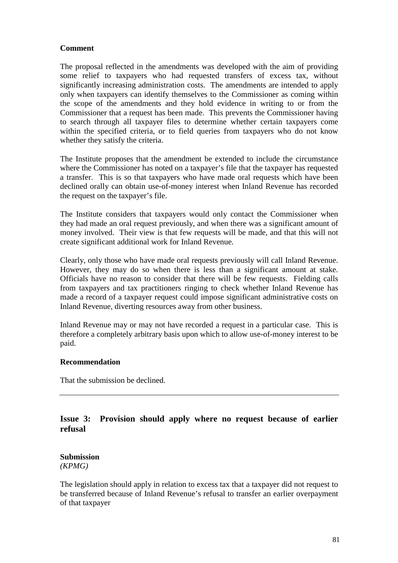## **Comment**

The proposal reflected in the amendments was developed with the aim of providing some relief to taxpayers who had requested transfers of excess tax, without significantly increasing administration costs. The amendments are intended to apply only when taxpayers can identify themselves to the Commissioner as coming within the scope of the amendments and they hold evidence in writing to or from the Commissioner that a request has been made. This prevents the Commissioner having to search through all taxpayer files to determine whether certain taxpayers come within the specified criteria, or to field queries from taxpayers who do not know whether they satisfy the criteria.

The Institute proposes that the amendment be extended to include the circumstance where the Commissioner has noted on a taxpayer's file that the taxpayer has requested a transfer. This is so that taxpayers who have made oral requests which have been declined orally can obtain use-of-money interest when Inland Revenue has recorded the request on the taxpayer's file.

The Institute considers that taxpayers would only contact the Commissioner when they had made an oral request previously, and when there was a significant amount of money involved. Their view is that few requests will be made, and that this will not create significant additional work for Inland Revenue.

Clearly, only those who have made oral requests previously will call Inland Revenue. However, they may do so when there is less than a significant amount at stake. Officials have no reason to consider that there will be few requests. Fielding calls from taxpayers and tax practitioners ringing to check whether Inland Revenue has made a record of a taxpayer request could impose significant administrative costs on Inland Revenue, diverting resources away from other business.

Inland Revenue may or may not have recorded a request in a particular case. This is therefore a completely arbitrary basis upon which to allow use-of-money interest to be paid.

## **Recommendation**

That the submission be declined.

## **Issue 3: Provision should apply where no request because of earlier refusal**

## **Submission** *(KPMG)*

The legislation should apply in relation to excess tax that a taxpayer did not request to be transferred because of Inland Revenue's refusal to transfer an earlier overpayment of that taxpayer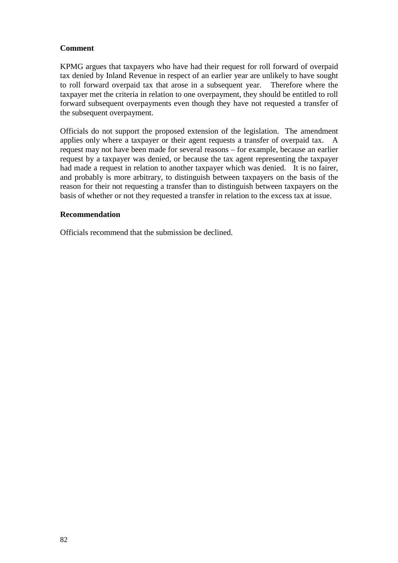## **Comment**

KPMG argues that taxpayers who have had their request for roll forward of overpaid tax denied by Inland Revenue in respect of an earlier year are unlikely to have sought to roll forward overpaid tax that arose in a subsequent year. Therefore where the taxpayer met the criteria in relation to one overpayment, they should be entitled to roll forward subsequent overpayments even though they have not requested a transfer of the subsequent overpayment.

Officials do not support the proposed extension of the legislation. The amendment applies only where a taxpayer or their agent requests a transfer of overpaid tax. A request may not have been made for several reasons – for example, because an earlier request by a taxpayer was denied, or because the tax agent representing the taxpayer had made a request in relation to another taxpayer which was denied. It is no fairer, and probably is more arbitrary, to distinguish between taxpayers on the basis of the reason for their not requesting a transfer than to distinguish between taxpayers on the basis of whether or not they requested a transfer in relation to the excess tax at issue.

## **Recommendation**

Officials recommend that the submission be declined.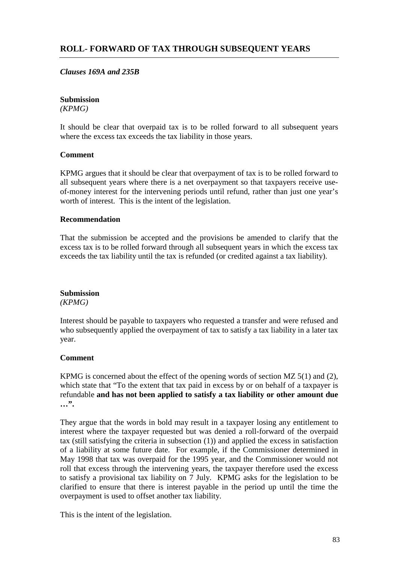## **ROLL- FORWARD OF TAX THROUGH SUBSEQUENT YEARS**

## *Clauses 169A and 235B*

#### **Submission**

*(KPMG)*

It should be clear that overpaid tax is to be rolled forward to all subsequent years where the excess tax exceeds the tax liability in those years.

## **Comment**

KPMG argues that it should be clear that overpayment of tax is to be rolled forward to all subsequent years where there is a net overpayment so that taxpayers receive useof-money interest for the intervening periods until refund, rather than just one year's worth of interest. This is the intent of the legislation.

#### **Recommendation**

That the submission be accepted and the provisions be amended to clarify that the excess tax is to be rolled forward through all subsequent years in which the excess tax exceeds the tax liability until the tax is refunded (or credited against a tax liability).

## **Submission**

#### *(KPMG)*

Interest should be payable to taxpayers who requested a transfer and were refused and who subsequently applied the overpayment of tax to satisfy a tax liability in a later tax year.

## **Comment**

KPMG is concerned about the effect of the opening words of section MZ 5(1) and (2), which state that "To the extent that tax paid in excess by or on behalf of a taxpayer is refundable **and has not been applied to satisfy a tax liability or other amount due …".**

They argue that the words in bold may result in a taxpayer losing any entitlement to interest where the taxpayer requested but was denied a roll-forward of the overpaid tax (still satisfying the criteria in subsection (1)) and applied the excess in satisfaction of a liability at some future date. For example, if the Commissioner determined in May 1998 that tax was overpaid for the 1995 year, and the Commissioner would not roll that excess through the intervening years, the taxpayer therefore used the excess to satisfy a provisional tax liability on 7 July. KPMG asks for the legislation to be clarified to ensure that there is interest payable in the period up until the time the overpayment is used to offset another tax liability.

This is the intent of the legislation.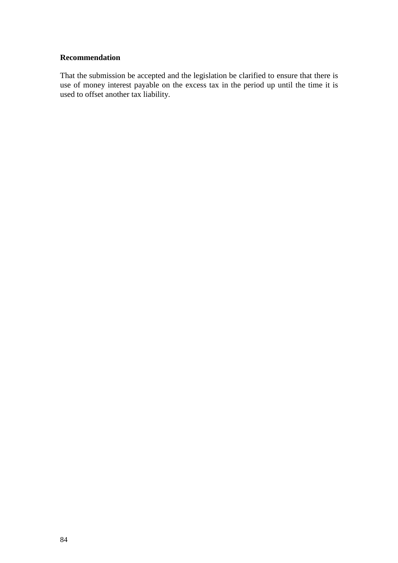## **Recommendation**

That the submission be accepted and the legislation be clarified to ensure that there is use of money interest payable on the excess tax in the period up until the time it is used to offset another tax liability.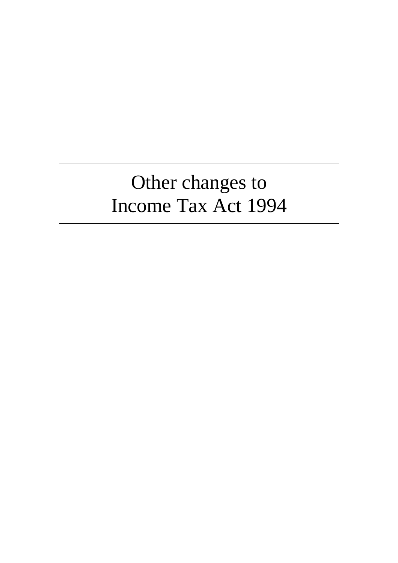## Other changes to Income Tax Act 1994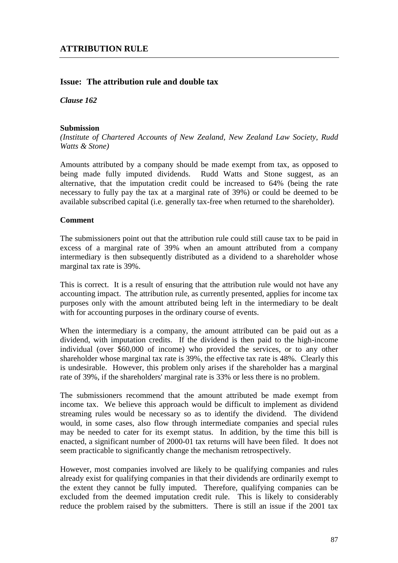## **Issue: The attribution rule and double tax**

*Clause 162*

## **Submission**

*(Institute of Chartered Accounts of New Zealand, New Zealand Law Society, Rudd Watts & Stone)*

Amounts attributed by a company should be made exempt from tax, as opposed to being made fully imputed dividends. Rudd Watts and Stone suggest, as an alternative, that the imputation credit could be increased to 64% (being the rate necessary to fully pay the tax at a marginal rate of 39%) or could be deemed to be available subscribed capital (i.e. generally tax-free when returned to the shareholder).

#### **Comment**

The submissioners point out that the attribution rule could still cause tax to be paid in excess of a marginal rate of 39% when an amount attributed from a company intermediary is then subsequently distributed as a dividend to a shareholder whose marginal tax rate is 39%.

This is correct. It is a result of ensuring that the attribution rule would not have any accounting impact. The attribution rule, as currently presented, applies for income tax purposes only with the amount attributed being left in the intermediary to be dealt with for accounting purposes in the ordinary course of events.

When the intermediary is a company, the amount attributed can be paid out as a dividend, with imputation credits. If the dividend is then paid to the high-income individual (over \$60,000 of income) who provided the services, or to any other shareholder whose marginal tax rate is 39%, the effective tax rate is 48%. Clearly this is undesirable. However, this problem only arises if the shareholder has a marginal rate of 39%, if the shareholders' marginal rate is 33% or less there is no problem.

The submissioners recommend that the amount attributed be made exempt from income tax. We believe this approach would be difficult to implement as dividend streaming rules would be necessary so as to identify the dividend. The dividend would, in some cases, also flow through intermediate companies and special rules may be needed to cater for its exempt status. In addition, by the time this bill is enacted, a significant number of 2000-01 tax returns will have been filed. It does not seem practicable to significantly change the mechanism retrospectively.

However, most companies involved are likely to be qualifying companies and rules already exist for qualifying companies in that their dividends are ordinarily exempt to the extent they cannot be fully imputed. Therefore, qualifying companies can be excluded from the deemed imputation credit rule. This is likely to considerably reduce the problem raised by the submitters. There is still an issue if the 2001 tax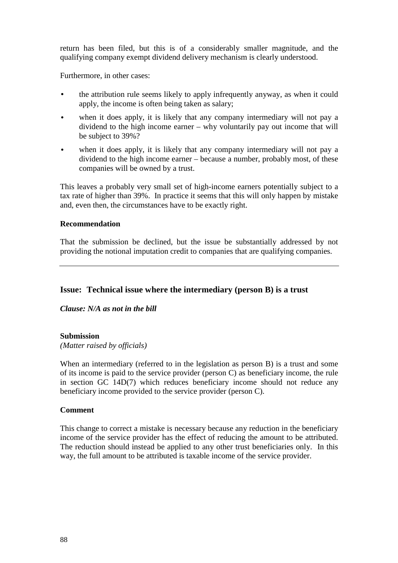return has been filed, but this is of a considerably smaller magnitude, and the qualifying company exempt dividend delivery mechanism is clearly understood.

Furthermore, in other cases:

- the attribution rule seems likely to apply infrequently anyway, as when it could apply, the income is often being taken as salary;
- when it does apply, it is likely that any company intermediary will not pay a dividend to the high income earner – why voluntarily pay out income that will be subject to 39%?
- when it does apply, it is likely that any company intermediary will not pay a dividend to the high income earner – because a number, probably most, of these companies will be owned by a trust.

This leaves a probably very small set of high-income earners potentially subject to a tax rate of higher than 39%. In practice it seems that this will only happen by mistake and, even then, the circumstances have to be exactly right.

#### **Recommendation**

That the submission be declined, but the issue be substantially addressed by not providing the notional imputation credit to companies that are qualifying companies.

## **Issue: Technical issue where the intermediary (person B) is a trust**

*Clause: N/A as not in the bill*

## **Submission**

*(Matter raised by officials)*

When an intermediary (referred to in the legislation as person B) is a trust and some of its income is paid to the service provider (person C) as beneficiary income, the rule in section GC 14D(7) which reduces beneficiary income should not reduce any beneficiary income provided to the service provider (person C).

## **Comment**

This change to correct a mistake is necessary because any reduction in the beneficiary income of the service provider has the effect of reducing the amount to be attributed. The reduction should instead be applied to any other trust beneficiaries only. In this way, the full amount to be attributed is taxable income of the service provider.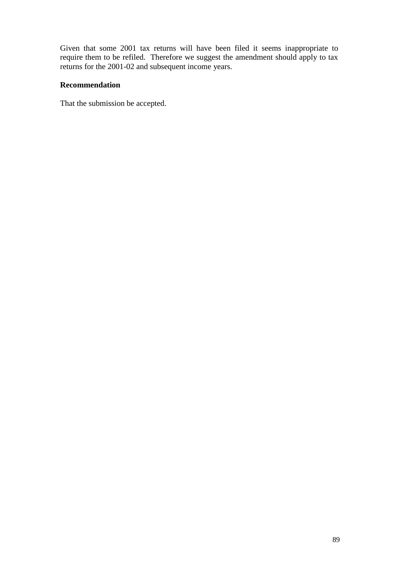Given that some 2001 tax returns will have been filed it seems inappropriate to require them to be refiled. Therefore we suggest the amendment should apply to tax returns for the 2001-02 and subsequent income years.

## **Recommendation**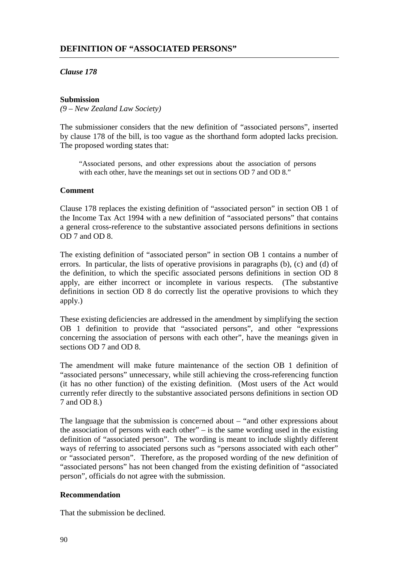## *Clause 178*

## **Submission**

*(9 – New Zealand Law Society)*

The submissioner considers that the new definition of "associated persons", inserted by clause 178 of the bill, is too vague as the shorthand form adopted lacks precision. The proposed wording states that:

"Associated persons, and other expressions about the association of persons with each other, have the meanings set out in sections OD 7 and OD 8."

## **Comment**

Clause 178 replaces the existing definition of "associated person" in section OB 1 of the Income Tax Act 1994 with a new definition of "associated persons" that contains a general cross-reference to the substantive associated persons definitions in sections OD 7 and OD 8.

The existing definition of "associated person" in section OB 1 contains a number of errors. In particular, the lists of operative provisions in paragraphs (b), (c) and (d) of the definition, to which the specific associated persons definitions in section OD 8 apply, are either incorrect or incomplete in various respects. (The substantive definitions in section OD 8 do correctly list the operative provisions to which they apply.)

These existing deficiencies are addressed in the amendment by simplifying the section OB 1 definition to provide that "associated persons", and other "expressions concerning the association of persons with each other", have the meanings given in sections OD 7 and OD 8.

The amendment will make future maintenance of the section OB 1 definition of "associated persons" unnecessary, while still achieving the cross-referencing function (it has no other function) of the existing definition. (Most users of the Act would currently refer directly to the substantive associated persons definitions in section OD 7 and OD 8.)

The language that the submission is concerned about – "and other expressions about the association of persons with each other" – is the same wording used in the existing definition of "associated person". The wording is meant to include slightly different ways of referring to associated persons such as "persons associated with each other" or "associated person". Therefore, as the proposed wording of the new definition of "associated persons" has not been changed from the existing definition of "associated person", officials do not agree with the submission.

## **Recommendation**

That the submission be declined.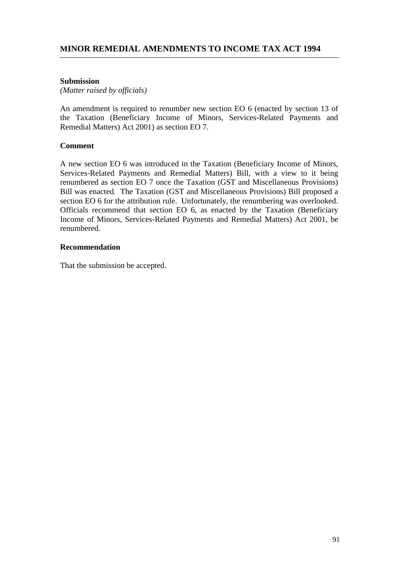## **Submission**

*(Matter raised by officials)*

An amendment is required to renumber new section EO 6 (enacted by section 13 of the Taxation (Beneficiary Income of Minors, Services-Related Payments and Remedial Matters) Act 2001) as section EO 7.

## **Comment**

A new section EO 6 was introduced in the Taxation (Beneficiary Income of Minors, Services-Related Payments and Remedial Matters) Bill, with a view to it being renumbered as section EO 7 once the Taxation (GST and Miscellaneous Provisions) Bill was enacted. The Taxation (GST and Miscellaneous Provisions) Bill proposed a section EO 6 for the attribution rule. Unfortunately, the renumbering was overlooked. Officials recommend that section EO 6, as enacted by the Taxation (Beneficiary Income of Minors, Services-Related Payments and Remedial Matters) Act 2001, be renumbered.

## **Recommendation**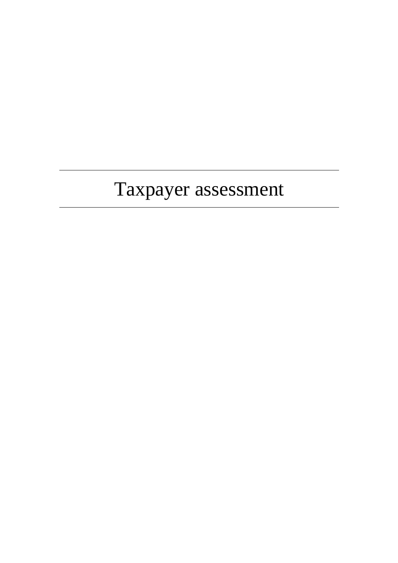# Taxpayer assessment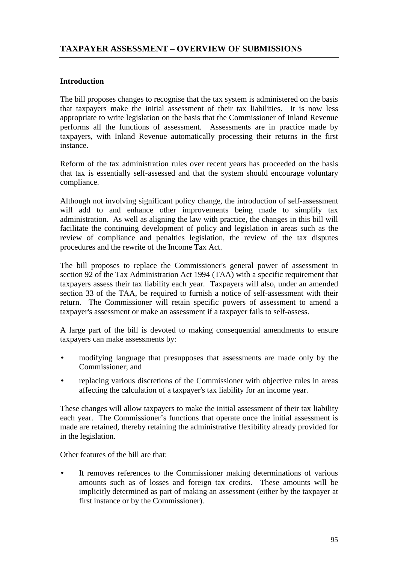## **Introduction**

The bill proposes changes to recognise that the tax system is administered on the basis that taxpayers make the initial assessment of their tax liabilities. It is now less appropriate to write legislation on the basis that the Commissioner of Inland Revenue performs all the functions of assessment. Assessments are in practice made by taxpayers, with Inland Revenue automatically processing their returns in the first instance.

Reform of the tax administration rules over recent years has proceeded on the basis that tax is essentially self-assessed and that the system should encourage voluntary compliance.

Although not involving significant policy change, the introduction of self-assessment will add to and enhance other improvements being made to simplify tax administration. As well as aligning the law with practice, the changes in this bill will facilitate the continuing development of policy and legislation in areas such as the review of compliance and penalties legislation, the review of the tax disputes procedures and the rewrite of the Income Tax Act.

The bill proposes to replace the Commissioner's general power of assessment in section 92 of the Tax Administration Act 1994 (TAA) with a specific requirement that taxpayers assess their tax liability each year. Taxpayers will also, under an amended section 33 of the TAA, be required to furnish a notice of self-assessment with their return. The Commissioner will retain specific powers of assessment to amend a taxpayer's assessment or make an assessment if a taxpayer fails to self-assess.

A large part of the bill is devoted to making consequential amendments to ensure taxpayers can make assessments by:

- modifying language that presupposes that assessments are made only by the Commissioner; and
- replacing various discretions of the Commissioner with objective rules in areas affecting the calculation of a taxpayer's tax liability for an income year.

These changes will allow taxpayers to make the initial assessment of their tax liability each year. The Commissioner's functions that operate once the initial assessment is made are retained, thereby retaining the administrative flexibility already provided for in the legislation.

Other features of the bill are that:

• It removes references to the Commissioner making determinations of various amounts such as of losses and foreign tax credits. These amounts will be implicitly determined as part of making an assessment (either by the taxpayer at first instance or by the Commissioner).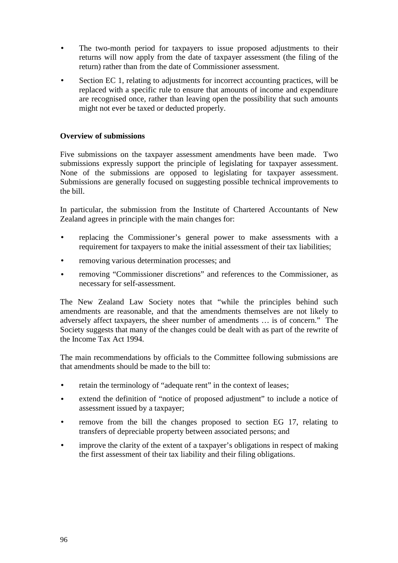- The two-month period for taxpayers to issue proposed adjustments to their returns will now apply from the date of taxpayer assessment (the filing of the return) rather than from the date of Commissioner assessment.
- Section EC 1, relating to adjustments for incorrect accounting practices, will be replaced with a specific rule to ensure that amounts of income and expenditure are recognised once, rather than leaving open the possibility that such amounts might not ever be taxed or deducted properly.

## **Overview of submissions**

Five submissions on the taxpayer assessment amendments have been made. Two submissions expressly support the principle of legislating for taxpayer assessment. None of the submissions are opposed to legislating for taxpayer assessment. Submissions are generally focused on suggesting possible technical improvements to the bill.

In particular, the submission from the Institute of Chartered Accountants of New Zealand agrees in principle with the main changes for:

- replacing the Commissioner's general power to make assessments with a requirement for taxpayers to make the initial assessment of their tax liabilities;
- removing various determination processes; and
- removing "Commissioner discretions" and references to the Commissioner, as necessary for self-assessment.

The New Zealand Law Society notes that "while the principles behind such amendments are reasonable, and that the amendments themselves are not likely to adversely affect taxpayers, the sheer number of amendments … is of concern." The Society suggests that many of the changes could be dealt with as part of the rewrite of the Income Tax Act 1994.

The main recommendations by officials to the Committee following submissions are that amendments should be made to the bill to:

- retain the terminology of "adequate rent" in the context of leases;
- extend the definition of "notice of proposed adjustment" to include a notice of assessment issued by a taxpayer;
- remove from the bill the changes proposed to section EG 17, relating to transfers of depreciable property between associated persons; and
- improve the clarity of the extent of a taxpayer's obligations in respect of making the first assessment of their tax liability and their filing obligations.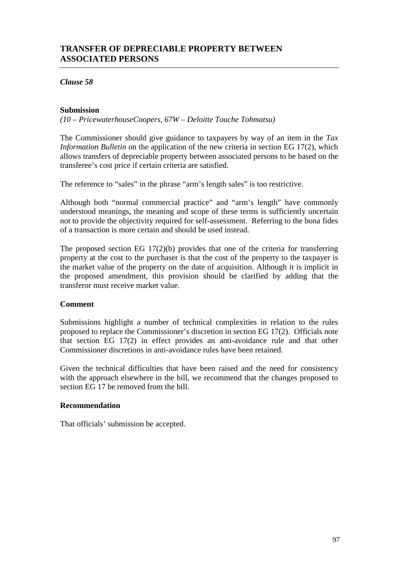## **TRANSFER OF DEPRECIABLE PROPERTY BETWEEN ASSOCIATED PERSONS**

*Clause 58*

## **Submission**

*(10 – PricewaterhouseCoopers, 67W – Deloitte Touche Tohmatsu)*

The Commissioner should give guidance to taxpayers by way of an item in the *Tax Information Bulletin* on the application of the new criteria in section EG 17(2), which allows transfers of depreciable property between associated persons to be based on the transferee's cost price if certain criteria are satisfied.

The reference to "sales" in the phrase "arm's length sales" is too restrictive.

Although both "normal commercial practice" and "arm's length" have commonly understood meanings, the meaning and scope of these terms is sufficiently uncertain not to provide the objectivity required for self-assessment. Referring to the bona fides of a transaction is more certain and should be used instead.

The proposed section EG 17(2)(b) provides that one of the criteria for transferring property at the cost to the purchaser is that the cost of the property to the taxpayer is the market value of the property on the date of acquisition. Although it is implicit in the proposed amendment, this provision should be clarified by adding that the transferor must receive market value.

## **Comment**

Submissions highlight a number of technical complexities in relation to the rules proposed to replace the Commissioner's discretion in section EG 17(2). Officials note that section EG 17(2) in effect provides an anti-avoidance rule and that other Commissioner discretions in anti-avoidance rules have been retained.

Given the technical difficulties that have been raised and the need for consistency with the approach elsewhere in the bill, we recommend that the changes proposed to section EG 17 be removed from the bill.

## **Recommendation**

That officials' submission be accepted.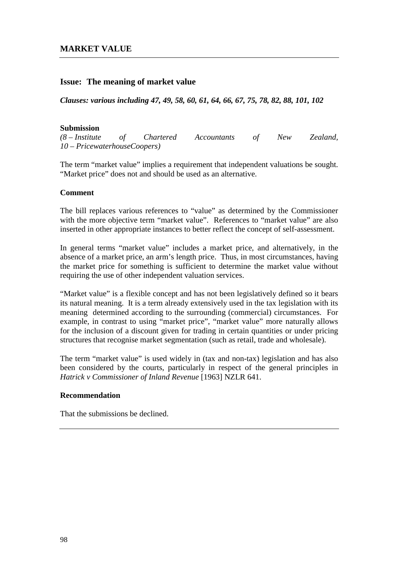## **Issue: The meaning of market value**

*Clauses: various including 47, 49, 58, 60, 61, 64, 66, 67, 75, 78, 82, 88, 101, 102*

#### **Submission**

*(8 – Institute of Chartered Accountants of New Zealand, 10 – PricewaterhouseCoopers)*

The term "market value" implies a requirement that independent valuations be sought. "Market price" does not and should be used as an alternative.

#### **Comment**

The bill replaces various references to "value" as determined by the Commissioner with the more objective term "market value". References to "market value" are also inserted in other appropriate instances to better reflect the concept of self-assessment.

In general terms "market value" includes a market price, and alternatively, in the absence of a market price, an arm's length price. Thus, in most circumstances, having the market price for something is sufficient to determine the market value without requiring the use of other independent valuation services.

"Market value" is a flexible concept and has not been legislatively defined so it bears its natural meaning. It is a term already extensively used in the tax legislation with its meaning determined according to the surrounding (commercial) circumstances. For example, in contrast to using "market price", "market value" more naturally allows for the inclusion of a discount given for trading in certain quantities or under pricing structures that recognise market segmentation (such as retail, trade and wholesale).

The term "market value" is used widely in (tax and non-tax) legislation and has also been considered by the courts, particularly in respect of the general principles in *Hatrick v Commissioner of Inland Revenue* [1963] NZLR 641.

#### **Recommendation**

That the submissions be declined.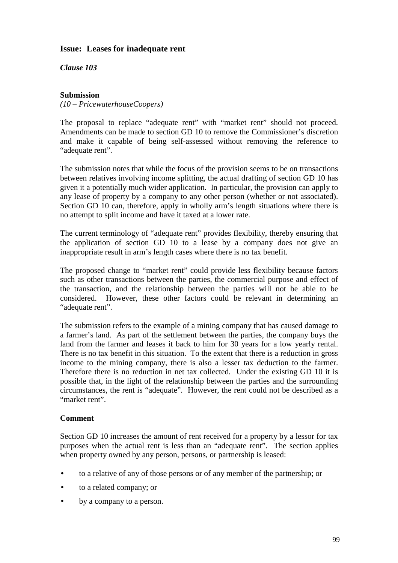## **Issue: Leases for inadequate rent**

*Clause 103*

## **Submission**

*(10 – PricewaterhouseCoopers)*

The proposal to replace "adequate rent" with "market rent" should not proceed. Amendments can be made to section GD 10 to remove the Commissioner's discretion and make it capable of being self-assessed without removing the reference to "adequate rent".

The submission notes that while the focus of the provision seems to be on transactions between relatives involving income splitting, the actual drafting of section GD 10 has given it a potentially much wider application. In particular, the provision can apply to any lease of property by a company to any other person (whether or not associated). Section GD 10 can, therefore, apply in wholly arm's length situations where there is no attempt to split income and have it taxed at a lower rate.

The current terminology of "adequate rent" provides flexibility, thereby ensuring that the application of section GD 10 to a lease by a company does not give an inappropriate result in arm's length cases where there is no tax benefit.

The proposed change to "market rent" could provide less flexibility because factors such as other transactions between the parties, the commercial purpose and effect of the transaction, and the relationship between the parties will not be able to be considered. However, these other factors could be relevant in determining an "adequate rent".

The submission refers to the example of a mining company that has caused damage to a farmer's land. As part of the settlement between the parties, the company buys the land from the farmer and leases it back to him for 30 years for a low yearly rental. There is no tax benefit in this situation. To the extent that there is a reduction in gross income to the mining company, there is also a lesser tax deduction to the farmer. Therefore there is no reduction in net tax collected. Under the existing GD 10 it is possible that, in the light of the relationship between the parties and the surrounding circumstances, the rent is "adequate". However, the rent could not be described as a "market rent".

## **Comment**

Section GD 10 increases the amount of rent received for a property by a lessor for tax purposes when the actual rent is less than an "adequate rent". The section applies when property owned by any person, persons, or partnership is leased:

- to a relative of any of those persons or of any member of the partnership; or
- to a related company; or
- by a company to a person.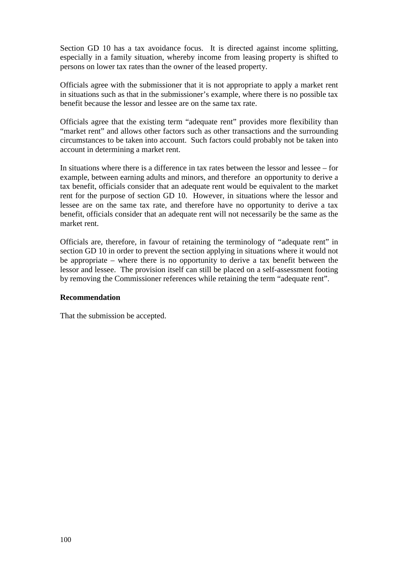Section GD 10 has a tax avoidance focus. It is directed against income splitting, especially in a family situation, whereby income from leasing property is shifted to persons on lower tax rates than the owner of the leased property.

Officials agree with the submissioner that it is not appropriate to apply a market rent in situations such as that in the submissioner's example, where there is no possible tax benefit because the lessor and lessee are on the same tax rate.

Officials agree that the existing term "adequate rent" provides more flexibility than "market rent" and allows other factors such as other transactions and the surrounding circumstances to be taken into account. Such factors could probably not be taken into account in determining a market rent.

In situations where there is a difference in tax rates between the lessor and lessee – for example, between earning adults and minors, and therefore an opportunity to derive a tax benefit, officials consider that an adequate rent would be equivalent to the market rent for the purpose of section GD 10. However, in situations where the lessor and lessee are on the same tax rate, and therefore have no opportunity to derive a tax benefit, officials consider that an adequate rent will not necessarily be the same as the market rent.

Officials are, therefore, in favour of retaining the terminology of "adequate rent" in section GD 10 in order to prevent the section applying in situations where it would not be appropriate – where there is no opportunity to derive a tax benefit between the lessor and lessee. The provision itself can still be placed on a self-assessment footing by removing the Commissioner references while retaining the term "adequate rent".

## **Recommendation**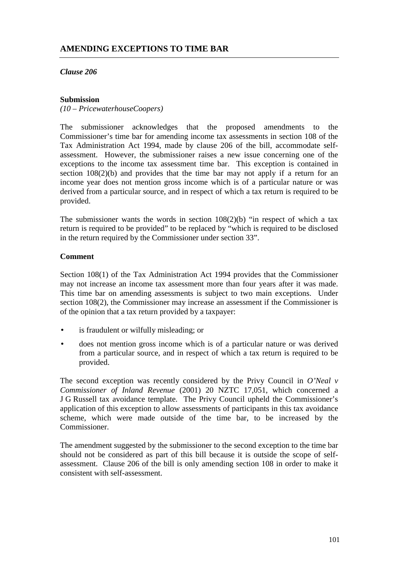*Clause 206*

## **Submission**

*(10 – PricewaterhouseCoopers)*

The submissioner acknowledges that the proposed amendments to the Commissioner's time bar for amending income tax assessments in section 108 of the Tax Administration Act 1994, made by clause 206 of the bill, accommodate selfassessment. However, the submissioner raises a new issue concerning one of the exceptions to the income tax assessment time bar. This exception is contained in section 108(2)(b) and provides that the time bar may not apply if a return for an income year does not mention gross income which is of a particular nature or was derived from a particular source, and in respect of which a tax return is required to be provided.

The submissioner wants the words in section  $108(2)(b)$  "in respect of which a tax return is required to be provided" to be replaced by "which is required to be disclosed in the return required by the Commissioner under section 33".

## **Comment**

Section 108(1) of the Tax Administration Act 1994 provides that the Commissioner may not increase an income tax assessment more than four years after it was made. This time bar on amending assessments is subject to two main exceptions. Under section 108(2), the Commissioner may increase an assessment if the Commissioner is of the opinion that a tax return provided by a taxpayer:

- is fraudulent or wilfully misleading; or
- does not mention gross income which is of a particular nature or was derived from a particular source, and in respect of which a tax return is required to be provided.

The second exception was recently considered by the Privy Council in *O'Neal v Commissioner of Inland Revenue* (2001) 20 NZTC 17,051, which concerned a J G Russell tax avoidance template. The Privy Council upheld the Commissioner's application of this exception to allow assessments of participants in this tax avoidance scheme, which were made outside of the time bar, to be increased by the Commissioner.

The amendment suggested by the submissioner to the second exception to the time bar should not be considered as part of this bill because it is outside the scope of selfassessment. Clause 206 of the bill is only amending section 108 in order to make it consistent with self-assessment.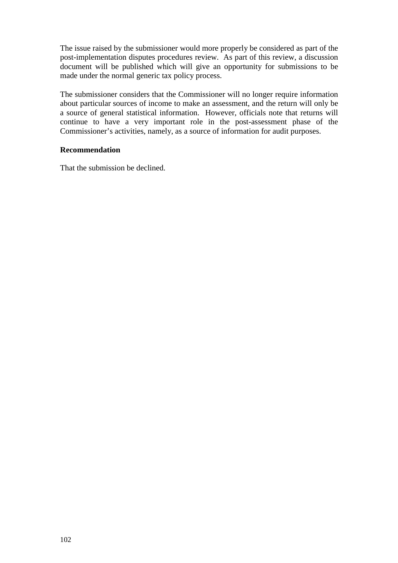The issue raised by the submissioner would more properly be considered as part of the post-implementation disputes procedures review. As part of this review, a discussion document will be published which will give an opportunity for submissions to be made under the normal generic tax policy process.

The submissioner considers that the Commissioner will no longer require information about particular sources of income to make an assessment, and the return will only be a source of general statistical information. However, officials note that returns will continue to have a very important role in the post-assessment phase of the Commissioner's activities, namely, as a source of information for audit purposes.

## **Recommendation**

That the submission be declined.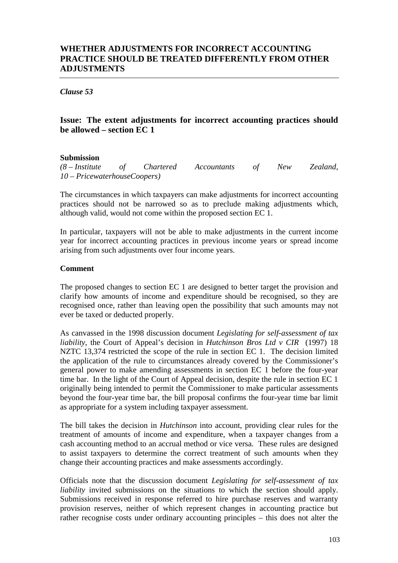## **WHETHER ADJUSTMENTS FOR INCORRECT ACCOUNTING PRACTICE SHOULD BE TREATED DIFFERENTLY FROM OTHER ADJUSTMENTS**

*Clause 53*

## **Issue: The extent adjustments for incorrect accounting practices should be allowed – section EC 1**

#### **Submission**

*(8 – Institute of Chartered Accountants of New Zealand, 10 – PricewaterhouseCoopers)*

The circumstances in which taxpayers can make adjustments for incorrect accounting practices should not be narrowed so as to preclude making adjustments which, although valid, would not come within the proposed section EC 1.

In particular, taxpayers will not be able to make adjustments in the current income year for incorrect accounting practices in previous income years or spread income arising from such adjustments over four income years.

#### **Comment**

The proposed changes to section EC 1 are designed to better target the provision and clarify how amounts of income and expenditure should be recognised, so they are recognised once, rather than leaving open the possibility that such amounts may not ever be taxed or deducted properly.

As canvassed in the 1998 discussion document *Legislating for self-assessment of tax liability*, the Court of Appeal's decision in *Hutchinson Bros Ltd v CIR* (1997) 18 NZTC 13,374 restricted the scope of the rule in section EC 1. The decision limited the application of the rule to circumstances already covered by the Commissioner's general power to make amending assessments in section EC 1 before the four-year time bar. In the light of the Court of Appeal decision, despite the rule in section EC 1 originally being intended to permit the Commissioner to make particular assessments beyond the four-year time bar, the bill proposal confirms the four-year time bar limit as appropriate for a system including taxpayer assessment.

The bill takes the decision in *Hutchinson* into account, providing clear rules for the treatment of amounts of income and expenditure, when a taxpayer changes from a cash accounting method to an accrual method or vice versa. These rules are designed to assist taxpayers to determine the correct treatment of such amounts when they change their accounting practices and make assessments accordingly.

Officials note that the discussion document *Legislating for self-assessment of tax liability* invited submissions on the situations to which the section should apply. Submissions received in response referred to hire purchase reserves and warranty provision reserves, neither of which represent changes in accounting practice but rather recognise costs under ordinary accounting principles – this does not alter the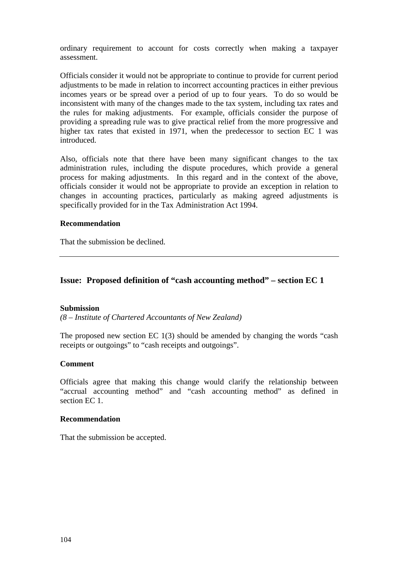ordinary requirement to account for costs correctly when making a taxpayer assessment.

Officials consider it would not be appropriate to continue to provide for current period adjustments to be made in relation to incorrect accounting practices in either previous incomes years or be spread over a period of up to four years. To do so would be inconsistent with many of the changes made to the tax system, including tax rates and the rules for making adjustments. For example, officials consider the purpose of providing a spreading rule was to give practical relief from the more progressive and higher tax rates that existed in 1971, when the predecessor to section EC 1 was introduced.

Also, officials note that there have been many significant changes to the tax administration rules, including the dispute procedures, which provide a general process for making adjustments. In this regard and in the context of the above, officials consider it would not be appropriate to provide an exception in relation to changes in accounting practices, particularly as making agreed adjustments is specifically provided for in the Tax Administration Act 1994.

## **Recommendation**

That the submission be declined.

## **Issue: Proposed definition of "cash accounting method" – section EC 1**

#### **Submission**

*(8 – Institute of Chartered Accountants of New Zealand)*

The proposed new section EC 1(3) should be amended by changing the words "cash receipts or outgoings" to "cash receipts and outgoings".

#### **Comment**

Officials agree that making this change would clarify the relationship between "accrual accounting method" and "cash accounting method" as defined in section EC 1.

#### **Recommendation**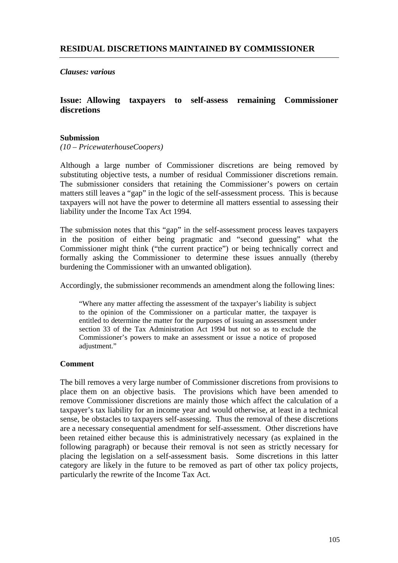*Clauses: various*

## **Issue: Allowing taxpayers to self-assess remaining Commissioner discretions**

## **Submission**

*(10 – PricewaterhouseCoopers)*

Although a large number of Commissioner discretions are being removed by substituting objective tests, a number of residual Commissioner discretions remain. The submissioner considers that retaining the Commissioner's powers on certain matters still leaves a "gap" in the logic of the self-assessment process. This is because taxpayers will not have the power to determine all matters essential to assessing their liability under the Income Tax Act 1994.

The submission notes that this "gap" in the self-assessment process leaves taxpayers in the position of either being pragmatic and "second guessing" what the Commissioner might think ("the current practice") or being technically correct and formally asking the Commissioner to determine these issues annually (thereby burdening the Commissioner with an unwanted obligation).

Accordingly, the submissioner recommends an amendment along the following lines:

"Where any matter affecting the assessment of the taxpayer's liability is subject to the opinion of the Commissioner on a particular matter, the taxpayer is entitled to determine the matter for the purposes of issuing an assessment under section 33 of the Tax Administration Act 1994 but not so as to exclude the Commissioner's powers to make an assessment or issue a notice of proposed adjustment."

## **Comment**

The bill removes a very large number of Commissioner discretions from provisions to place them on an objective basis. The provisions which have been amended to remove Commissioner discretions are mainly those which affect the calculation of a taxpayer's tax liability for an income year and would otherwise, at least in a technical sense, be obstacles to taxpayers self-assessing. Thus the removal of these discretions are a necessary consequential amendment for self-assessment. Other discretions have been retained either because this is administratively necessary (as explained in the following paragraph) or because their removal is not seen as strictly necessary for placing the legislation on a self-assessment basis. Some discretions in this latter category are likely in the future to be removed as part of other tax policy projects, particularly the rewrite of the Income Tax Act.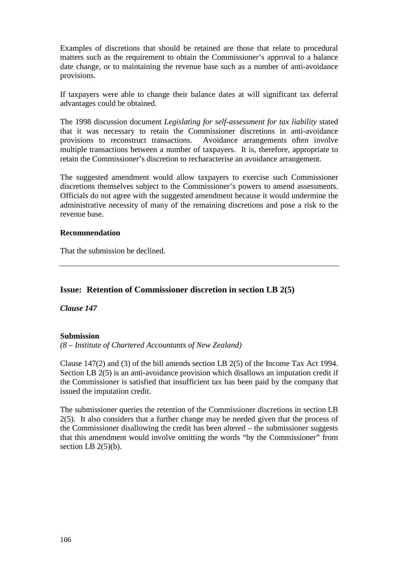Examples of discretions that should be retained are those that relate to procedural matters such as the requirement to obtain the Commissioner's approval to a balance date change, or to maintaining the revenue base such as a number of anti-avoidance provisions.

If taxpayers were able to change their balance dates at will significant tax deferral advantages could be obtained.

The 1998 discussion document *Legislating for self-assessment for tax liability* stated that it was necessary to retain the Commissioner discretions in anti-avoidance provisions to reconstruct transactions. Avoidance arrangements often involve multiple transactions between a number of taxpayers. It is, therefore, appropriate to retain the Commissioner's discretion to recharacterise an avoidance arrangement.

The suggested amendment would allow taxpayers to exercise such Commissioner discretions themselves subject to the Commissioner's powers to amend assessments. Officials do not agree with the suggested amendment because it would undermine the administrative necessity of many of the remaining discretions and pose a risk to the revenue base.

#### **Recommendation**

That the submission be declined.

## **Issue: Retention of Commissioner discretion in section LB 2(5)**

*Clause 147*

## **Submission**

*(8 – Institute of Chartered Accountants of New Zealand)*

Clause 147(2) and (3) of the bill amends section LB 2(5) of the Income Tax Act 1994. Section LB 2(5) is an anti-avoidance provision which disallows an imputation credit if the Commissioner is satisfied that insufficient tax has been paid by the company that issued the imputation credit.

The submissioner queries the retention of the Commissioner discretions in section LB 2(5). It also considers that a further change may be needed given that the process of the Commissioner disallowing the credit has been altered – the submissioner suggests that this amendment would involve omitting the words "by the Commissioner" from section LB  $2(5)(b)$ .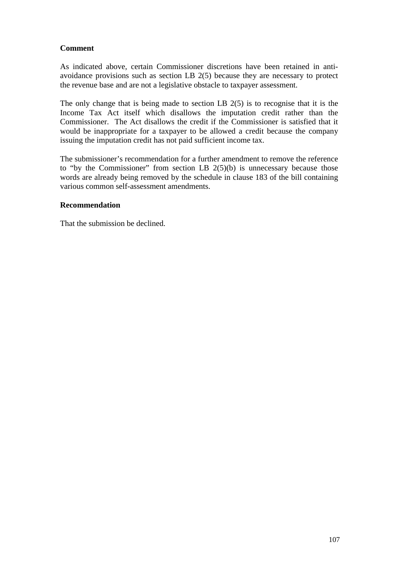## **Comment**

As indicated above, certain Commissioner discretions have been retained in antiavoidance provisions such as section LB 2(5) because they are necessary to protect the revenue base and are not a legislative obstacle to taxpayer assessment.

The only change that is being made to section LB 2(5) is to recognise that it is the Income Tax Act itself which disallows the imputation credit rather than the Commissioner. The Act disallows the credit if the Commissioner is satisfied that it would be inappropriate for a taxpayer to be allowed a credit because the company issuing the imputation credit has not paid sufficient income tax.

The submissioner's recommendation for a further amendment to remove the reference to "by the Commissioner" from section LB  $2(5)(b)$  is unnecessary because those words are already being removed by the schedule in clause 183 of the bill containing various common self-assessment amendments.

## **Recommendation**

That the submission be declined.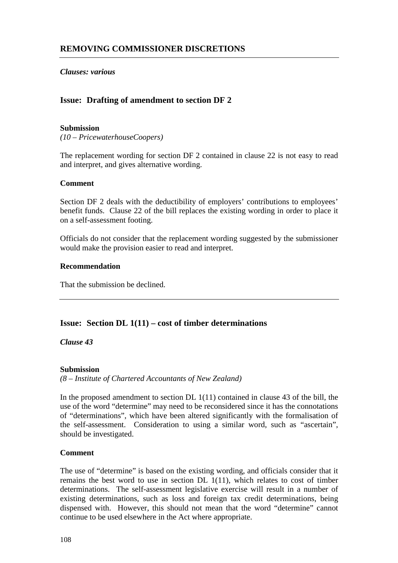*Clauses: various*

## **Issue: Drafting of amendment to section DF 2**

## **Submission**

*(10 – PricewaterhouseCoopers)*

The replacement wording for section DF 2 contained in clause 22 is not easy to read and interpret, and gives alternative wording.

## **Comment**

Section DF 2 deals with the deductibility of employers' contributions to employees' benefit funds. Clause 22 of the bill replaces the existing wording in order to place it on a self-assessment footing.

Officials do not consider that the replacement wording suggested by the submissioner would make the provision easier to read and interpret.

#### **Recommendation**

That the submission be declined.

## **Issue: Section DL 1(11) – cost of timber determinations**

*Clause 43*

## **Submission**

*(8 – Institute of Chartered Accountants of New Zealand)*

In the proposed amendment to section DL  $1(11)$  contained in clause 43 of the bill, the use of the word "determine" may need to be reconsidered since it has the connotations of "determinations", which have been altered significantly with the formalisation of the self-assessment. Consideration to using a similar word, such as "ascertain", should be investigated.

## **Comment**

The use of "determine" is based on the existing wording, and officials consider that it remains the best word to use in section DL 1(11), which relates to cost of timber determinations. The self-assessment legislative exercise will result in a number of existing determinations, such as loss and foreign tax credit determinations, being dispensed with. However, this should not mean that the word "determine" cannot continue to be used elsewhere in the Act where appropriate.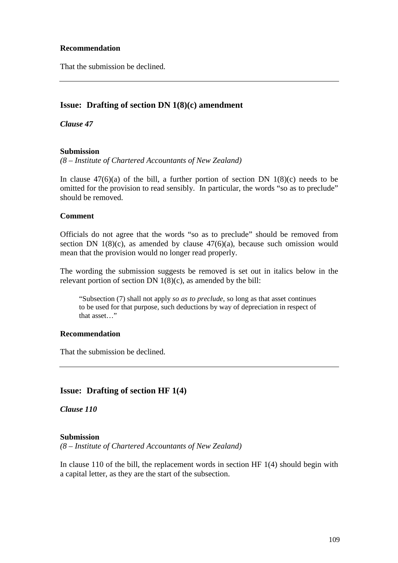## **Recommendation**

That the submission be declined.

## **Issue: Drafting of section DN 1(8)(c) amendment**

*Clause 47*

## **Submission**

*(8 – Institute of Chartered Accountants of New Zealand)*

In clause  $47(6)(a)$  of the bill, a further portion of section DN 1(8)(c) needs to be omitted for the provision to read sensibly. In particular, the words "so as to preclude" should be removed.

#### **Comment**

Officials do not agree that the words "so as to preclude" should be removed from section DN  $1(8)(c)$ , as amended by clause  $47(6)(a)$ , because such omission would mean that the provision would no longer read properly.

The wording the submission suggests be removed is set out in italics below in the relevant portion of section DN  $1(8)(c)$ , as amended by the bill:

"Subsection (7) shall not apply *so as to preclude*, so long as that asset continues to be used for that purpose, such deductions by way of depreciation in respect of that asset…"

## **Recommendation**

That the submission be declined.

## **Issue: Drafting of section HF 1(4)**

*Clause 110*

#### **Submission**

*(8 – Institute of Chartered Accountants of New Zealand)*

In clause 110 of the bill, the replacement words in section HF 1(4) should begin with a capital letter, as they are the start of the subsection.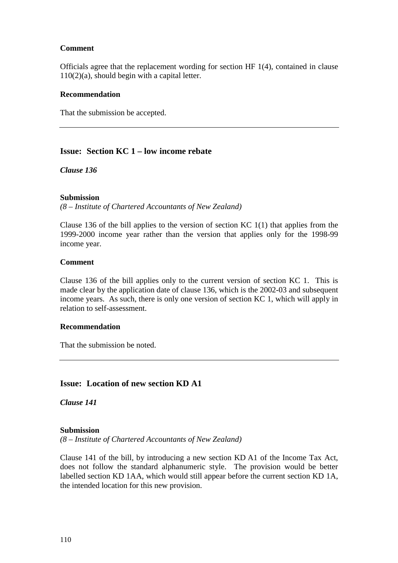## **Comment**

Officials agree that the replacement wording for section HF 1(4), contained in clause 110(2)(a), should begin with a capital letter.

## **Recommendation**

That the submission be accepted.

## **Issue: Section KC 1 – low income rebate**

*Clause 136*

## **Submission**

*(8 – Institute of Chartered Accountants of New Zealand)*

Clause 136 of the bill applies to the version of section KC 1(1) that applies from the 1999-2000 income year rather than the version that applies only for the 1998-99 income year.

## **Comment**

Clause 136 of the bill applies only to the current version of section KC 1. This is made clear by the application date of clause 136, which is the 2002-03 and subsequent income years. As such, there is only one version of section KC 1, which will apply in relation to self-assessment.

## **Recommendation**

That the submission be noted.

## **Issue: Location of new section KD A1**

*Clause 141*

## **Submission**

*(8 – Institute of Chartered Accountants of New Zealand)*

Clause 141 of the bill, by introducing a new section KD A1 of the Income Tax Act, does not follow the standard alphanumeric style. The provision would be better labelled section KD 1AA, which would still appear before the current section KD 1A, the intended location for this new provision.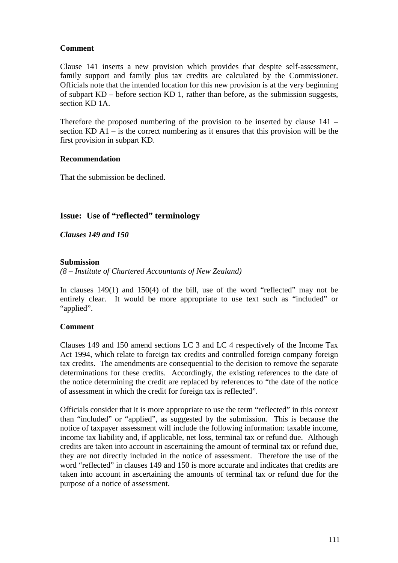## **Comment**

Clause 141 inserts a new provision which provides that despite self-assessment, family support and family plus tax credits are calculated by the Commissioner. Officials note that the intended location for this new provision is at the very beginning of subpart KD – before section KD 1, rather than before, as the submission suggests, section KD 1A.

Therefore the proposed numbering of the provision to be inserted by clause 141 – section KD A1 – is the correct numbering as it ensures that this provision will be the first provision in subpart KD.

## **Recommendation**

That the submission be declined.

## **Issue: Use of "reflected" terminology**

*Clauses 149 and 150*

## **Submission**

*(8 – Institute of Chartered Accountants of New Zealand)*

In clauses 149(1) and 150(4) of the bill, use of the word "reflected" may not be entirely clear. It would be more appropriate to use text such as "included" or "applied".

## **Comment**

Clauses 149 and 150 amend sections LC 3 and LC 4 respectively of the Income Tax Act 1994, which relate to foreign tax credits and controlled foreign company foreign tax credits. The amendments are consequential to the decision to remove the separate determinations for these credits. Accordingly, the existing references to the date of the notice determining the credit are replaced by references to "the date of the notice of assessment in which the credit for foreign tax is reflected".

Officials consider that it is more appropriate to use the term "reflected" in this context than "included" or "applied", as suggested by the submission. This is because the notice of taxpayer assessment will include the following information: taxable income, income tax liability and, if applicable, net loss, terminal tax or refund due. Although credits are taken into account in ascertaining the amount of terminal tax or refund due, they are not directly included in the notice of assessment. Therefore the use of the word "reflected" in clauses 149 and 150 is more accurate and indicates that credits are taken into account in ascertaining the amounts of terminal tax or refund due for the purpose of a notice of assessment.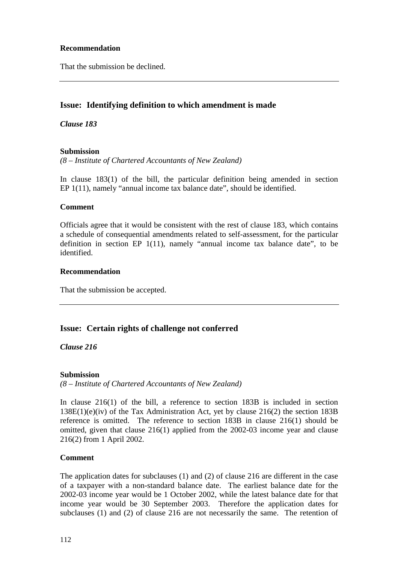## **Recommendation**

That the submission be declined.

## **Issue: Identifying definition to which amendment is made**

*Clause 183*

## **Submission**

*(8 – Institute of Chartered Accountants of New Zealand)*

In clause 183(1) of the bill, the particular definition being amended in section EP 1(11), namely "annual income tax balance date", should be identified.

## **Comment**

Officials agree that it would be consistent with the rest of clause 183, which contains a schedule of consequential amendments related to self-assessment, for the particular definition in section EP 1(11), namely "annual income tax balance date", to be identified.

## **Recommendation**

That the submission be accepted.

## **Issue: Certain rights of challenge not conferred**

*Clause 216*

## **Submission**

*(8 – Institute of Chartered Accountants of New Zealand)*

In clause 216(1) of the bill, a reference to section 183B is included in section 138E(1)(e)(iv) of the Tax Administration Act, yet by clause 216(2) the section 183B reference is omitted. The reference to section 183B in clause 216(1) should be omitted, given that clause 216(1) applied from the 2002-03 income year and clause 216(2) from 1 April 2002.

## **Comment**

The application dates for subclauses (1) and (2) of clause 216 are different in the case of a taxpayer with a non-standard balance date. The earliest balance date for the 2002-03 income year would be 1 October 2002, while the latest balance date for that income year would be 30 September 2003. Therefore the application dates for subclauses (1) and (2) of clause 216 are not necessarily the same. The retention of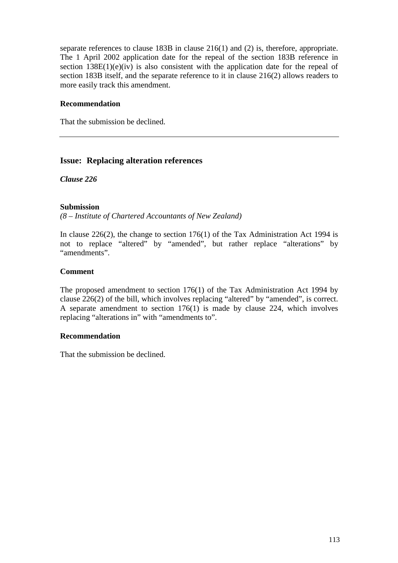separate references to clause 183B in clause 216(1) and (2) is, therefore, appropriate. The 1 April 2002 application date for the repeal of the section 183B reference in section  $138E(1)(e)(iv)$  is also consistent with the application date for the repeal of section 183B itself, and the separate reference to it in clause 216(2) allows readers to more easily track this amendment.

## **Recommendation**

That the submission be declined.

## **Issue: Replacing alteration references**

*Clause 226*

## **Submission**

*(8 – Institute of Chartered Accountants of New Zealand)*

In clause 226(2), the change to section  $176(1)$  of the Tax Administration Act 1994 is not to replace "altered" by "amended", but rather replace "alterations" by "amendments".

## **Comment**

The proposed amendment to section 176(1) of the Tax Administration Act 1994 by clause 226(2) of the bill, which involves replacing "altered" by "amended", is correct. A separate amendment to section 176(1) is made by clause 224, which involves replacing "alterations in" with "amendments to".

## **Recommendation**

That the submission be declined.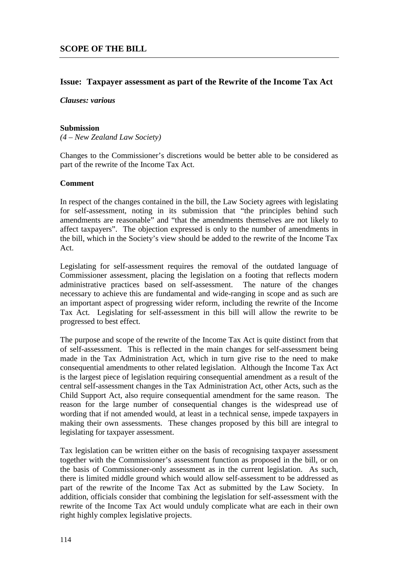## **Issue: Taxpayer assessment as part of the Rewrite of the Income Tax Act**

## *Clauses: various*

#### **Submission**

*(4 – New Zealand Law Society)*

Changes to the Commissioner's discretions would be better able to be considered as part of the rewrite of the Income Tax Act.

## **Comment**

In respect of the changes contained in the bill, the Law Society agrees with legislating for self-assessment, noting in its submission that "the principles behind such amendments are reasonable" and "that the amendments themselves are not likely to affect taxpayers". The objection expressed is only to the number of amendments in the bill, which in the Society's view should be added to the rewrite of the Income Tax Act.

Legislating for self-assessment requires the removal of the outdated language of Commissioner assessment, placing the legislation on a footing that reflects modern administrative practices based on self-assessment. The nature of the changes necessary to achieve this are fundamental and wide-ranging in scope and as such are an important aspect of progressing wider reform, including the rewrite of the Income Tax Act. Legislating for self-assessment in this bill will allow the rewrite to be progressed to best effect.

The purpose and scope of the rewrite of the Income Tax Act is quite distinct from that of self-assessment. This is reflected in the main changes for self-assessment being made in the Tax Administration Act, which in turn give rise to the need to make consequential amendments to other related legislation. Although the Income Tax Act is the largest piece of legislation requiring consequential amendment as a result of the central self-assessment changes in the Tax Administration Act, other Acts, such as the Child Support Act, also require consequential amendment for the same reason. The reason for the large number of consequential changes is the widespread use of wording that if not amended would, at least in a technical sense, impede taxpayers in making their own assessments. These changes proposed by this bill are integral to legislating for taxpayer assessment.

Tax legislation can be written either on the basis of recognising taxpayer assessment together with the Commissioner's assessment function as proposed in the bill, or on the basis of Commissioner-only assessment as in the current legislation. As such, there is limited middle ground which would allow self-assessment to be addressed as part of the rewrite of the Income Tax Act as submitted by the Law Society. In addition, officials consider that combining the legislation for self-assessment with the rewrite of the Income Tax Act would unduly complicate what are each in their own right highly complex legislative projects.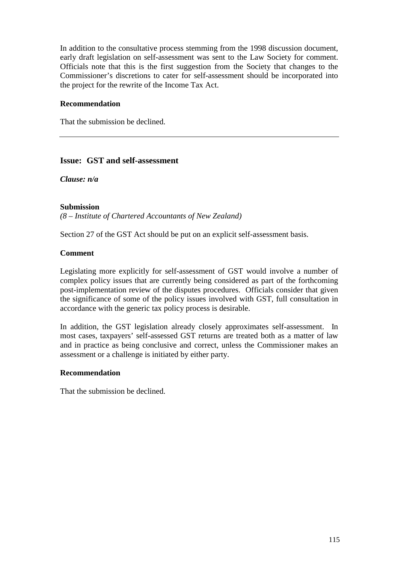In addition to the consultative process stemming from the 1998 discussion document, early draft legislation on self-assessment was sent to the Law Society for comment. Officials note that this is the first suggestion from the Society that changes to the Commissioner's discretions to cater for self-assessment should be incorporated into the project for the rewrite of the Income Tax Act.

## **Recommendation**

That the submission be declined.

## **Issue: GST and self-assessment**

*Clause: n/a*

## **Submission**

*(8 – Institute of Chartered Accountants of New Zealand)*

Section 27 of the GST Act should be put on an explicit self-assessment basis.

## **Comment**

Legislating more explicitly for self-assessment of GST would involve a number of complex policy issues that are currently being considered as part of the forthcoming post-implementation review of the disputes procedures. Officials consider that given the significance of some of the policy issues involved with GST, full consultation in accordance with the generic tax policy process is desirable.

In addition, the GST legislation already closely approximates self-assessment. In most cases, taxpayers' self-assessed GST returns are treated both as a matter of law and in practice as being conclusive and correct, unless the Commissioner makes an assessment or a challenge is initiated by either party.

## **Recommendation**

That the submission be declined.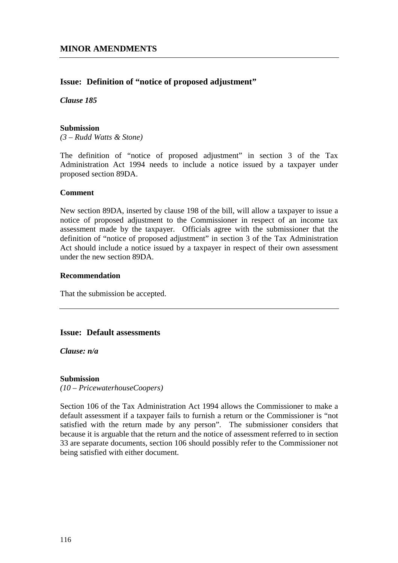## **Issue: Definition of "notice of proposed adjustment"**

*Clause 185*

## **Submission**

*(3 – Rudd Watts & Stone)*

The definition of "notice of proposed adjustment" in section 3 of the Tax Administration Act 1994 needs to include a notice issued by a taxpayer under proposed section 89DA.

## **Comment**

New section 89DA, inserted by clause 198 of the bill, will allow a taxpayer to issue a notice of proposed adjustment to the Commissioner in respect of an income tax assessment made by the taxpayer. Officials agree with the submissioner that the definition of "notice of proposed adjustment" in section 3 of the Tax Administration Act should include a notice issued by a taxpayer in respect of their own assessment under the new section 89DA.

## **Recommendation**

That the submission be accepted.

## **Issue: Default assessments**

*Clause: n/a*

## **Submission**

*(10 – PricewaterhouseCoopers)*

Section 106 of the Tax Administration Act 1994 allows the Commissioner to make a default assessment if a taxpayer fails to furnish a return or the Commissioner is "not satisfied with the return made by any person". The submissioner considers that because it is arguable that the return and the notice of assessment referred to in section 33 are separate documents, section 106 should possibly refer to the Commissioner not being satisfied with either document.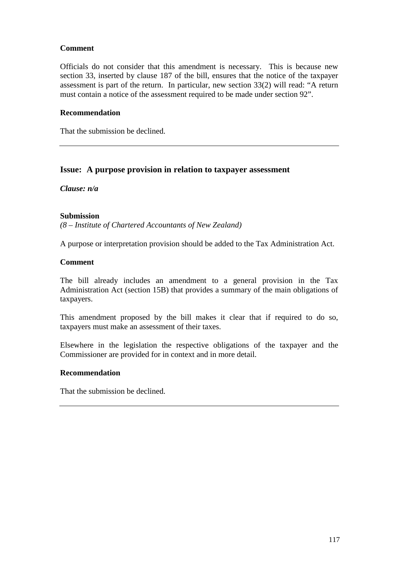## **Comment**

Officials do not consider that this amendment is necessary. This is because new section 33, inserted by clause 187 of the bill, ensures that the notice of the taxpayer assessment is part of the return. In particular, new section 33(2) will read: "A return must contain a notice of the assessment required to be made under section 92".

#### **Recommendation**

That the submission be declined.

## **Issue: A purpose provision in relation to taxpayer assessment**

*Clause: n/a*

## **Submission**

*(8 – Institute of Chartered Accountants of New Zealand)*

A purpose or interpretation provision should be added to the Tax Administration Act.

#### **Comment**

The bill already includes an amendment to a general provision in the Tax Administration Act (section 15B) that provides a summary of the main obligations of taxpayers.

This amendment proposed by the bill makes it clear that if required to do so, taxpayers must make an assessment of their taxes.

Elsewhere in the legislation the respective obligations of the taxpayer and the Commissioner are provided for in context and in more detail.

#### **Recommendation**

That the submission be declined.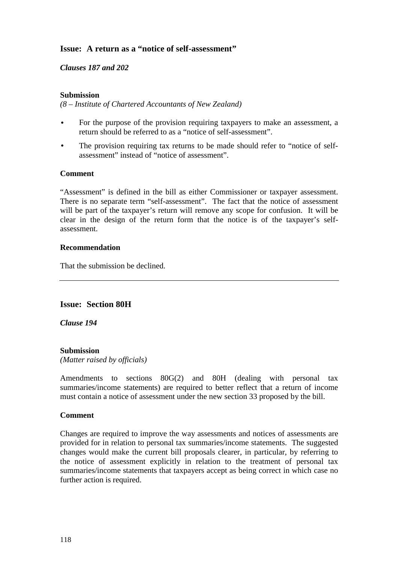## **Issue: A return as a "notice of self-assessment"**

## *Clauses 187 and 202*

## **Submission**

*(8 – Institute of Chartered Accountants of New Zealand)*

- For the purpose of the provision requiring taxpayers to make an assessment, a return should be referred to as a "notice of self-assessment".
- The provision requiring tax returns to be made should refer to "notice of selfassessment" instead of "notice of assessment".

## **Comment**

"Assessment" is defined in the bill as either Commissioner or taxpayer assessment. There is no separate term "self-assessment". The fact that the notice of assessment will be part of the taxpayer's return will remove any scope for confusion. It will be clear in the design of the return form that the notice is of the taxpayer's selfassessment.

## **Recommendation**

That the submission be declined.

## **Issue: Section 80H**

*Clause 194*

## **Submission**

*(Matter raised by officials)*

Amendments to sections 80G(2) and 80H (dealing with personal tax summaries/income statements) are required to better reflect that a return of income must contain a notice of assessment under the new section 33 proposed by the bill.

## **Comment**

Changes are required to improve the way assessments and notices of assessments are provided for in relation to personal tax summaries/income statements. The suggested changes would make the current bill proposals clearer, in particular, by referring to the notice of assessment explicitly in relation to the treatment of personal tax summaries/income statements that taxpayers accept as being correct in which case no further action is required.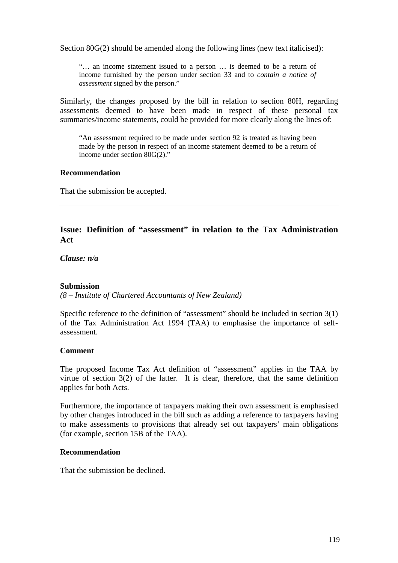Section 80G(2) should be amended along the following lines (new text italicised):

"… an income statement issued to a person … is deemed to be a return of income furnished by the person under section 33 and to *contain a notice of assessment* signed by the person."

Similarly, the changes proposed by the bill in relation to section 80H, regarding assessments deemed to have been made in respect of these personal tax summaries/income statements, could be provided for more clearly along the lines of:

"An assessment required to be made under section 92 is treated as having been made by the person in respect of an income statement deemed to be a return of income under section 80G(2)."

#### **Recommendation**

That the submission be accepted.

## **Issue: Definition of "assessment" in relation to the Tax Administration Act**

*Clause: n/a*

## **Submission**

*(8 – Institute of Chartered Accountants of New Zealand)*

Specific reference to the definition of "assessment" should be included in section 3(1) of the Tax Administration Act 1994 (TAA) to emphasise the importance of selfassessment.

## **Comment**

The proposed Income Tax Act definition of "assessment" applies in the TAA by virtue of section 3(2) of the latter. It is clear, therefore, that the same definition applies for both Acts.

Furthermore, the importance of taxpayers making their own assessment is emphasised by other changes introduced in the bill such as adding a reference to taxpayers having to make assessments to provisions that already set out taxpayers' main obligations (for example, section 15B of the TAA).

#### **Recommendation**

That the submission be declined.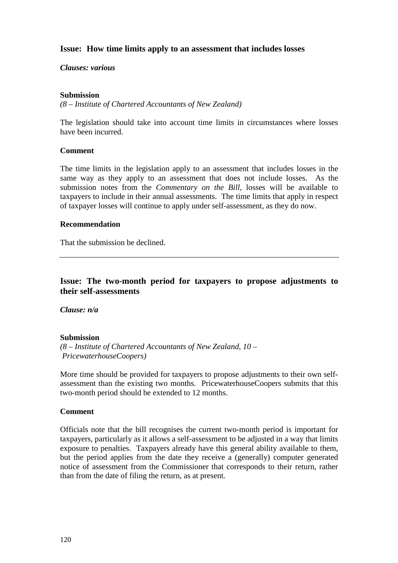## **Issue: How time limits apply to an assessment that includes losses**

#### *Clauses: various*

#### **Submission**

*(8 – Institute of Chartered Accountants of New Zealand)*

The legislation should take into account time limits in circumstances where losses have been incurred.

#### **Comment**

The time limits in the legislation apply to an assessment that includes losses in the same way as they apply to an assessment that does not include losses. As the submission notes from the *Commentary on the Bill,* losses will be available to taxpayers to include in their annual assessments. The time limits that apply in respect of taxpayer losses will continue to apply under self-assessment, as they do now.

## **Recommendation**

That the submission be declined.

## **Issue: The two-month period for taxpayers to propose adjustments to their self-assessments**

*Clause: n/a*

## **Submission**

*(8 – Institute of Chartered Accountants of New Zealand, 10 – PricewaterhouseCoopers)*

More time should be provided for taxpayers to propose adjustments to their own selfassessment than the existing two months. PricewaterhouseCoopers submits that this two-month period should be extended to 12 months.

#### **Comment**

Officials note that the bill recognises the current two-month period is important for taxpayers, particularly as it allows a self-assessment to be adjusted in a way that limits exposure to penalties. Taxpayers already have this general ability available to them, but the period applies from the date they receive a (generally) computer generated notice of assessment from the Commissioner that corresponds to their return, rather than from the date of filing the return, as at present.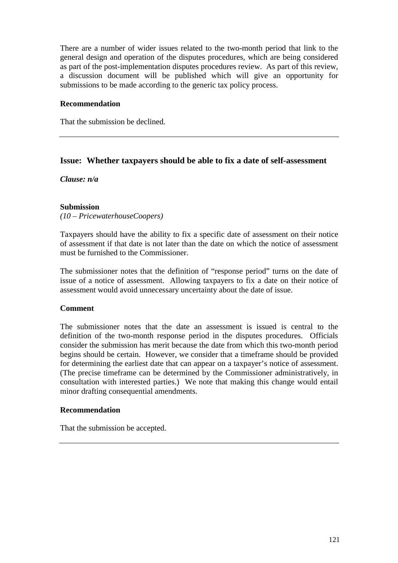There are a number of wider issues related to the two-month period that link to the general design and operation of the disputes procedures, which are being considered as part of the post-implementation disputes procedures review. As part of this review, a discussion document will be published which will give an opportunity for submissions to be made according to the generic tax policy process.

## **Recommendation**

That the submission be declined.

## **Issue: Whether taxpayers should be able to fix a date of self-assessment**

*Clause: n/a*

## **Submission**

*(10 – PricewaterhouseCoopers)*

Taxpayers should have the ability to fix a specific date of assessment on their notice of assessment if that date is not later than the date on which the notice of assessment must be furnished to the Commissioner.

The submissioner notes that the definition of "response period" turns on the date of issue of a notice of assessment. Allowing taxpayers to fix a date on their notice of assessment would avoid unnecessary uncertainty about the date of issue.

## **Comment**

The submissioner notes that the date an assessment is issued is central to the definition of the two-month response period in the disputes procedures. Officials consider the submission has merit because the date from which this two-month period begins should be certain. However, we consider that a timeframe should be provided for determining the earliest date that can appear on a taxpayer's notice of assessment. (The precise timeframe can be determined by the Commissioner administratively, in consultation with interested parties.) We note that making this change would entail minor drafting consequential amendments.

## **Recommendation**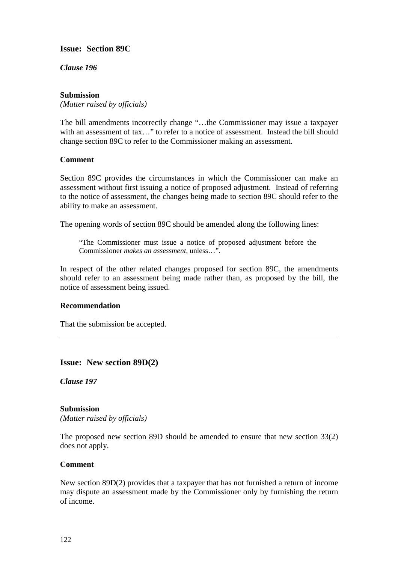## **Issue: Section 89C**

*Clause 196*

## **Submission**

*(Matter raised by officials)*

The bill amendments incorrectly change "…the Commissioner may issue a taxpayer with an assessment of tax..." to refer to a notice of assessment. Instead the bill should change section 89C to refer to the Commissioner making an assessment.

## **Comment**

Section 89C provides the circumstances in which the Commissioner can make an assessment without first issuing a notice of proposed adjustment. Instead of referring to the notice of assessment, the changes being made to section 89C should refer to the ability to make an assessment.

The opening words of section 89C should be amended along the following lines:

"The Commissioner must issue a notice of proposed adjustment before the Commissioner *makes an assessment*, unless…".

In respect of the other related changes proposed for section 89C, the amendments should refer to an assessment being made rather than, as proposed by the bill, the notice of assessment being issued.

## **Recommendation**

That the submission be accepted.

**Issue: New section 89D(2)**

*Clause 197*

## **Submission**

*(Matter raised by officials)*

The proposed new section 89D should be amended to ensure that new section 33(2) does not apply.

## **Comment**

New section 89D(2) provides that a taxpayer that has not furnished a return of income may dispute an assessment made by the Commissioner only by furnishing the return of income.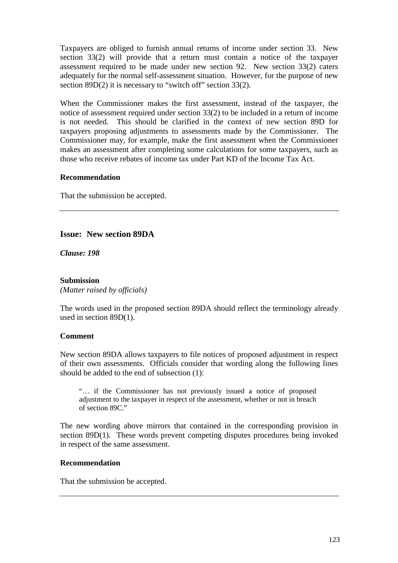Taxpayers are obliged to furnish annual returns of income under section 33. New section 33(2) will provide that a return must contain a notice of the taxpayer assessment required to be made under new section 92. New section 33(2) caters adequately for the normal self-assessment situation. However, for the purpose of new section 89D(2) it is necessary to "switch off" section 33(2).

When the Commissioner makes the first assessment, instead of the taxpayer, the notice of assessment required under section 33(2) to be included in a return of income is not needed. This should be clarified in the context of new section 89D for taxpayers proposing adjustments to assessments made by the Commissioner. The Commissioner may, for example, make the first assessment when the Commissioner makes an assessment after completing some calculations for some taxpayers, such as those who receive rebates of income tax under Part KD of the Income Tax Act.

## **Recommendation**

That the submission be accepted.

## **Issue: New section 89DA**

*Clause: 198*

#### **Submission** *(Matter raised by officials)*

The words used in the proposed section 89DA should reflect the terminology already used in section 89D(1).

## **Comment**

New section 89DA allows taxpayers to file notices of proposed adjustment in respect of their own assessments. Officials consider that wording along the following lines should be added to the end of subsection (1):

"… if the Commissioner has not previously issued a notice of proposed adjustment to the taxpayer in respect of the assessment, whether or not in breach of section 89C."

The new wording above mirrors that contained in the corresponding provision in section 89D(1). These words prevent competing disputes procedures being invoked in respect of the same assessment.

#### **Recommendation**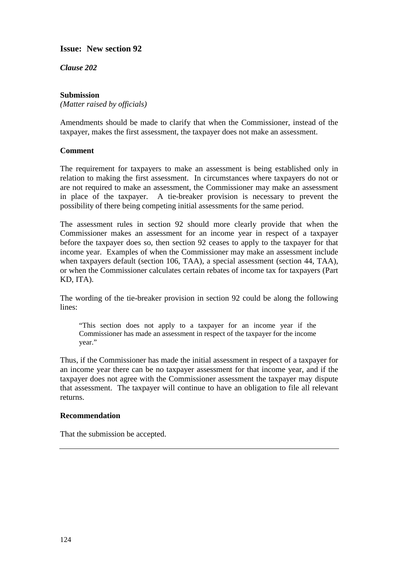**Issue: New section 92**

*Clause 202*

## **Submission**

*(Matter raised by officials)*

Amendments should be made to clarify that when the Commissioner, instead of the taxpayer, makes the first assessment, the taxpayer does not make an assessment.

## **Comment**

The requirement for taxpayers to make an assessment is being established only in relation to making the first assessment. In circumstances where taxpayers do not or are not required to make an assessment, the Commissioner may make an assessment in place of the taxpayer. A tie-breaker provision is necessary to prevent the possibility of there being competing initial assessments for the same period.

The assessment rules in section 92 should more clearly provide that when the Commissioner makes an assessment for an income year in respect of a taxpayer before the taxpayer does so, then section 92 ceases to apply to the taxpayer for that income year. Examples of when the Commissioner may make an assessment include when taxpayers default (section 106, TAA), a special assessment (section 44, TAA), or when the Commissioner calculates certain rebates of income tax for taxpayers (Part KD, ITA).

The wording of the tie-breaker provision in section 92 could be along the following lines:

"This section does not apply to a taxpayer for an income year if the Commissioner has made an assessment in respect of the taxpayer for the income year."

Thus, if the Commissioner has made the initial assessment in respect of a taxpayer for an income year there can be no taxpayer assessment for that income year, and if the taxpayer does not agree with the Commissioner assessment the taxpayer may dispute that assessment. The taxpayer will continue to have an obligation to file all relevant returns.

## **Recommendation**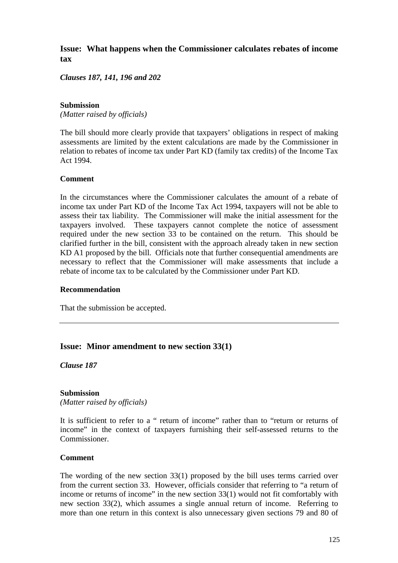## **Issue: What happens when the Commissioner calculates rebates of income tax**

*Clauses 187, 141, 196 and 202*

## **Submission**

*(Matter raised by officials)*

The bill should more clearly provide that taxpayers' obligations in respect of making assessments are limited by the extent calculations are made by the Commissioner in relation to rebates of income tax under Part KD (family tax credits) of the Income Tax Act 1994.

## **Comment**

In the circumstances where the Commissioner calculates the amount of a rebate of income tax under Part KD of the Income Tax Act 1994, taxpayers will not be able to assess their tax liability. The Commissioner will make the initial assessment for the taxpayers involved. These taxpayers cannot complete the notice of assessment required under the new section 33 to be contained on the return. This should be clarified further in the bill, consistent with the approach already taken in new section KD A1 proposed by the bill. Officials note that further consequential amendments are necessary to reflect that the Commissioner will make assessments that include a rebate of income tax to be calculated by the Commissioner under Part KD.

## **Recommendation**

That the submission be accepted.

## **Issue: Minor amendment to new section 33(1)**

*Clause 187*

## **Submission**

*(Matter raised by officials)*

It is sufficient to refer to a " return of income" rather than to "return or returns of income" in the context of taxpayers furnishing their self-assessed returns to the Commissioner.

#### **Comment**

The wording of the new section 33(1) proposed by the bill uses terms carried over from the current section 33. However, officials consider that referring to "a return of income or returns of income" in the new section 33(1) would not fit comfortably with new section 33(2), which assumes a single annual return of income. Referring to more than one return in this context is also unnecessary given sections 79 and 80 of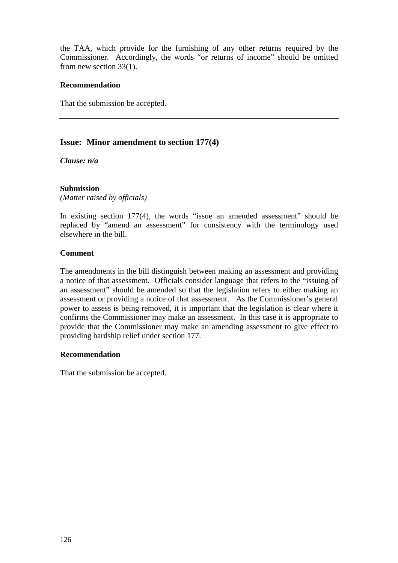the TAA, which provide for the furnishing of any other returns required by the Commissioner. Accordingly, the words "or returns of income" should be omitted from new section 33(1).

## **Recommendation**

That the submission be accepted.

## **Issue: Minor amendment to section 177(4)**

*Clause: n/a*

## **Submission**

*(Matter raised by officials)*

In existing section 177(4), the words "issue an amended assessment" should be replaced by "amend an assessment" for consistency with the terminology used elsewhere in the bill.

## **Comment**

The amendments in the bill distinguish between making an assessment and providing a notice of that assessment. Officials consider language that refers to the "issuing of an assessment" should be amended so that the legislation refers to either making an assessment or providing a notice of that assessment. As the Commissioner's general power to assess is being removed, it is important that the legislation is clear where it confirms the Commissioner may make an assessment. In this case it is appropriate to provide that the Commissioner may make an amending assessment to give effect to providing hardship relief under section 177.

## **Recommendation**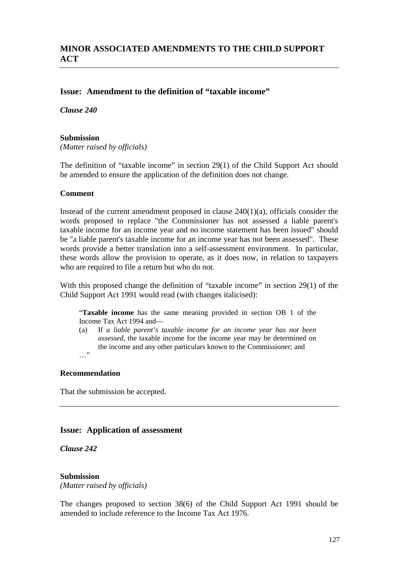## **Issue: Amendment to the definition of "taxable income"**

*Clause 240*

#### **Submission**

*(Matter raised by officials)*

The definition of "taxable income" in section 29(1) of the Child Support Act should be amended to ensure the application of the definition does not change.

#### **Comment**

Instead of the current amendment proposed in clause  $240(1)(a)$ , officials consider the words proposed to replace "the Commissioner has not assessed a liable parent's taxable income for an income year and no income statement has been issued" should be "a liable parent's taxable income for an income year has not been assessed". These words provide a better translation into a self-assessment environment. In particular, these words allow the provision to operate, as it does now, in relation to taxpayers who are required to file a return but who do not.

With this proposed change the definition of "taxable income" in section 29(1) of the Child Support Act 1991 would read (with changes italicised):

"**Taxable income** has the same meaning provided in section OB 1 of the Income Tax Act 1994 and—

(a) If *a liable parent's taxable income for an income year has not been assessed,* the taxable income for the income year may be determined on the income and any other particulars known to the Commissioner; and …"

## **Recommendation**

That the submission be accepted.

## **Issue: Application of assessment**

*Clause 242*

#### **Submission**

*(Matter raised by officials)*

The changes proposed to section 38(6) of the Child Support Act 1991 should be amended to include reference to the Income Tax Act 1976.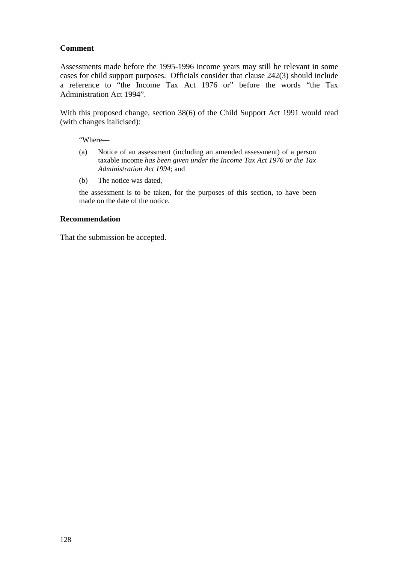## **Comment**

Assessments made before the 1995-1996 income years may still be relevant in some cases for child support purposes. Officials consider that clause 242(3) should include a reference to "the Income Tax Act 1976 or" before the words "the Tax Administration Act 1994".

With this proposed change, section 38(6) of the Child Support Act 1991 would read (with changes italicised):

"Where—

- (a) Notice of an assessment (including an amended assessment) of a person taxable income *has been given under the Income Tax Act 1976 or the Tax Administration Act 1994*; and
- (b) The notice was dated,—

the assessment is to be taken, for the purposes of this section, to have been made on the date of the notice.

#### **Recommendation**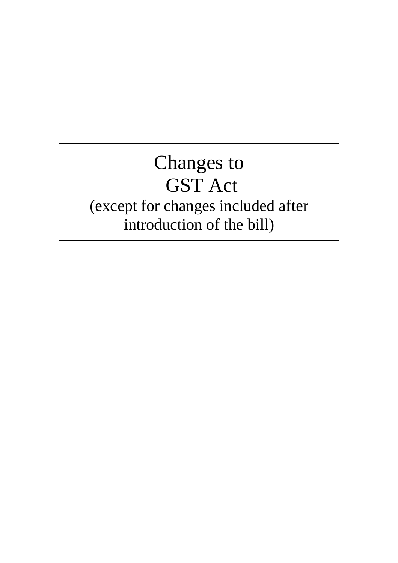## Changes to GST Act (except for changes included after introduction of the bill)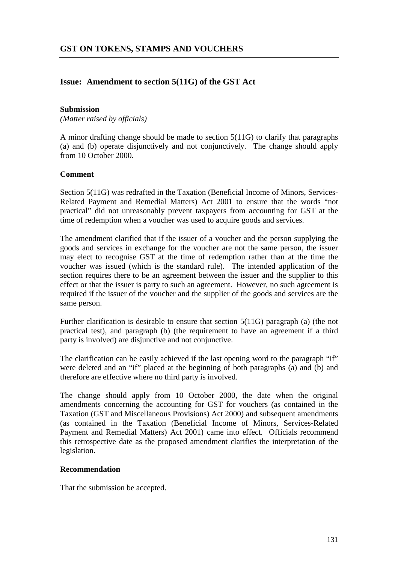## **Issue: Amendment to section 5(11G) of the GST Act**

#### **Submission**

*(Matter raised by officials)*

A minor drafting change should be made to section 5(11G) to clarify that paragraphs (a) and (b) operate disjunctively and not conjunctively. The change should apply from 10 October 2000.

## **Comment**

Section 5(11G) was redrafted in the Taxation (Beneficial Income of Minors, Services-Related Payment and Remedial Matters) Act 2001 to ensure that the words "not practical" did not unreasonably prevent taxpayers from accounting for GST at the time of redemption when a voucher was used to acquire goods and services.

The amendment clarified that if the issuer of a voucher and the person supplying the goods and services in exchange for the voucher are not the same person, the issuer may elect to recognise GST at the time of redemption rather than at the time the voucher was issued (which is the standard rule). The intended application of the section requires there to be an agreement between the issuer and the supplier to this effect or that the issuer is party to such an agreement. However, no such agreement is required if the issuer of the voucher and the supplier of the goods and services are the same person.

Further clarification is desirable to ensure that section 5(11G) paragraph (a) (the not practical test), and paragraph (b) (the requirement to have an agreement if a third party is involved) are disjunctive and not conjunctive.

The clarification can be easily achieved if the last opening word to the paragraph "if" were deleted and an "if" placed at the beginning of both paragraphs (a) and (b) and therefore are effective where no third party is involved.

The change should apply from 10 October 2000, the date when the original amendments concerning the accounting for GST for vouchers (as contained in the Taxation (GST and Miscellaneous Provisions) Act 2000) and subsequent amendments (as contained in the Taxation (Beneficial Income of Minors, Services-Related Payment and Remedial Matters) Act 2001) came into effect. Officials recommend this retrospective date as the proposed amendment clarifies the interpretation of the legislation.

## **Recommendation**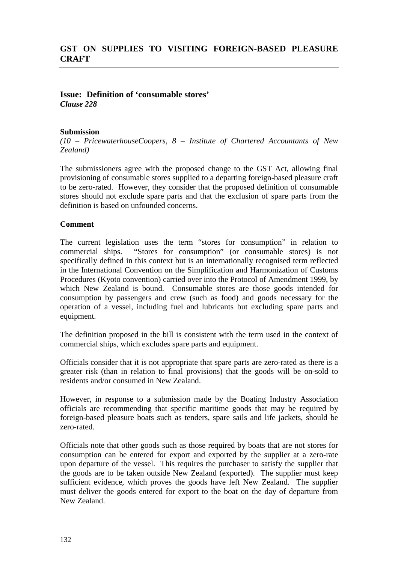## **Issue: Definition of 'consumable stores'** *Clause 228*

## **Submission**

*(10 – PricewaterhouseCoopers, 8 – Institute of Chartered Accountants of New Zealand)*

The submissioners agree with the proposed change to the GST Act, allowing final provisioning of consumable stores supplied to a departing foreign-based pleasure craft to be zero-rated. However, they consider that the proposed definition of consumable stores should not exclude spare parts and that the exclusion of spare parts from the definition is based on unfounded concerns.

## **Comment**

The current legislation uses the term "stores for consumption" in relation to commercial ships. "Stores for consumption" (or consumable stores) is not specifically defined in this context but is an internationally recognised term reflected in the International Convention on the Simplification and Harmonization of Customs Procedures (Kyoto convention) carried over into the Protocol of Amendment 1999, by which New Zealand is bound. Consumable stores are those goods intended for consumption by passengers and crew (such as food) and goods necessary for the operation of a vessel, including fuel and lubricants but excluding spare parts and equipment.

The definition proposed in the bill is consistent with the term used in the context of commercial ships, which excludes spare parts and equipment.

Officials consider that it is not appropriate that spare parts are zero-rated as there is a greater risk (than in relation to final provisions) that the goods will be on-sold to residents and/or consumed in New Zealand.

However, in response to a submission made by the Boating Industry Association officials are recommending that specific maritime goods that may be required by foreign-based pleasure boats such as tenders, spare sails and life jackets, should be zero-rated.

Officials note that other goods such as those required by boats that are not stores for consumption can be entered for export and exported by the supplier at a zero-rate upon departure of the vessel. This requires the purchaser to satisfy the supplier that the goods are to be taken outside New Zealand (exported). The supplier must keep sufficient evidence, which proves the goods have left New Zealand. The supplier must deliver the goods entered for export to the boat on the day of departure from New Zealand.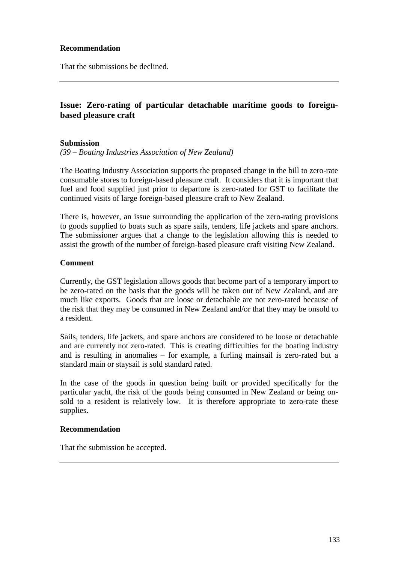## **Recommendation**

That the submissions be declined.

## **Issue: Zero-rating of particular detachable maritime goods to foreignbased pleasure craft**

#### **Submission**

*(39 – Boating Industries Association of New Zealand)*

The Boating Industry Association supports the proposed change in the bill to zero-rate consumable stores to foreign-based pleasure craft. It considers that it is important that fuel and food supplied just prior to departure is zero-rated for GST to facilitate the continued visits of large foreign-based pleasure craft to New Zealand.

There is, however, an issue surrounding the application of the zero-rating provisions to goods supplied to boats such as spare sails, tenders, life jackets and spare anchors. The submissioner argues that a change to the legislation allowing this is needed to assist the growth of the number of foreign-based pleasure craft visiting New Zealand.

#### **Comment**

Currently, the GST legislation allows goods that become part of a temporary import to be zero-rated on the basis that the goods will be taken out of New Zealand, and are much like exports. Goods that are loose or detachable are not zero-rated because of the risk that they may be consumed in New Zealand and/or that they may be onsold to a resident.

Sails, tenders, life jackets, and spare anchors are considered to be loose or detachable and are currently not zero-rated. This is creating difficulties for the boating industry and is resulting in anomalies – for example, a furling mainsail is zero-rated but a standard main or staysail is sold standard rated.

In the case of the goods in question being built or provided specifically for the particular yacht, the risk of the goods being consumed in New Zealand or being onsold to a resident is relatively low. It is therefore appropriate to zero-rate these supplies.

## **Recommendation**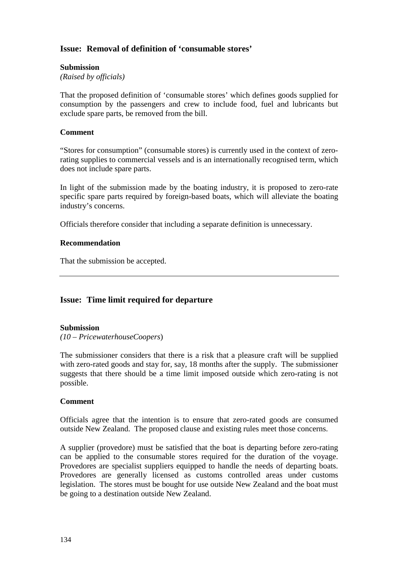## **Issue: Removal of definition of 'consumable stores'**

## **Submission**

*(Raised by officials)*

That the proposed definition of 'consumable stores' which defines goods supplied for consumption by the passengers and crew to include food, fuel and lubricants but exclude spare parts, be removed from the bill.

## **Comment**

"Stores for consumption" (consumable stores) is currently used in the context of zerorating supplies to commercial vessels and is an internationally recognised term, which does not include spare parts.

In light of the submission made by the boating industry, it is proposed to zero-rate specific spare parts required by foreign-based boats, which will alleviate the boating industry's concerns.

Officials therefore consider that including a separate definition is unnecessary.

## **Recommendation**

That the submission be accepted.

## **Issue: Time limit required for departure**

## **Submission**

*(10 – PricewaterhouseCoopers*)

The submissioner considers that there is a risk that a pleasure craft will be supplied with zero-rated goods and stay for, say, 18 months after the supply. The submissioner suggests that there should be a time limit imposed outside which zero-rating is not possible.

## **Comment**

Officials agree that the intention is to ensure that zero-rated goods are consumed outside New Zealand. The proposed clause and existing rules meet those concerns.

A supplier (provedore) must be satisfied that the boat is departing before zero-rating can be applied to the consumable stores required for the duration of the voyage. Provedores are specialist suppliers equipped to handle the needs of departing boats. Provedores are generally licensed as customs controlled areas under customs legislation. The stores must be bought for use outside New Zealand and the boat must be going to a destination outside New Zealand.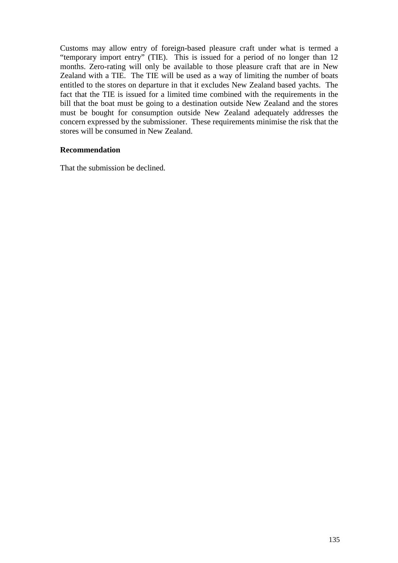Customs may allow entry of foreign-based pleasure craft under what is termed a "temporary import entry" (TIE). This is issued for a period of no longer than 12 months. Zero-rating will only be available to those pleasure craft that are in New Zealand with a TIE. The TIE will be used as a way of limiting the number of boats entitled to the stores on departure in that it excludes New Zealand based yachts. The fact that the TIE is issued for a limited time combined with the requirements in the bill that the boat must be going to a destination outside New Zealand and the stores must be bought for consumption outside New Zealand adequately addresses the concern expressed by the submissioner. These requirements minimise the risk that the stores will be consumed in New Zealand.

## **Recommendation**

That the submission be declined.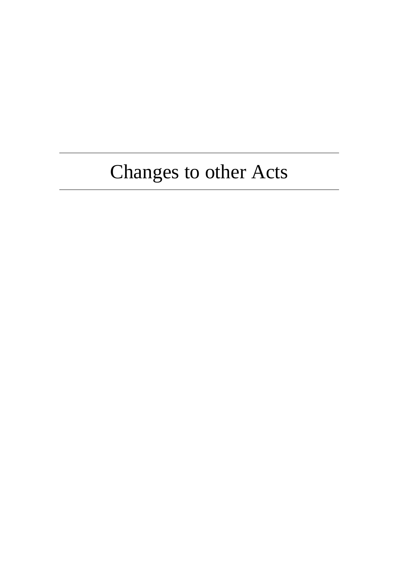# Changes to other Acts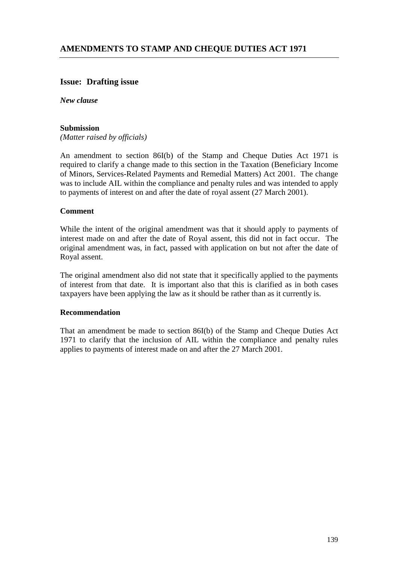# **Issue: Drafting issue**

*New clause*

### **Submission**

*(Matter raised by officials)*

An amendment to section 86I(b) of the Stamp and Cheque Duties Act 1971 is required to clarify a change made to this section in the Taxation (Beneficiary Income of Minors, Services-Related Payments and Remedial Matters) Act 2001. The change was to include AIL within the compliance and penalty rules and was intended to apply to payments of interest on and after the date of royal assent (27 March 2001).

### **Comment**

While the intent of the original amendment was that it should apply to payments of interest made on and after the date of Royal assent, this did not in fact occur. The original amendment was, in fact, passed with application on but not after the date of Royal assent.

The original amendment also did not state that it specifically applied to the payments of interest from that date. It is important also that this is clarified as in both cases taxpayers have been applying the law as it should be rather than as it currently is.

#### **Recommendation**

That an amendment be made to section 86I(b) of the Stamp and Cheque Duties Act 1971 to clarify that the inclusion of AIL within the compliance and penalty rules applies to payments of interest made on and after the 27 March 2001.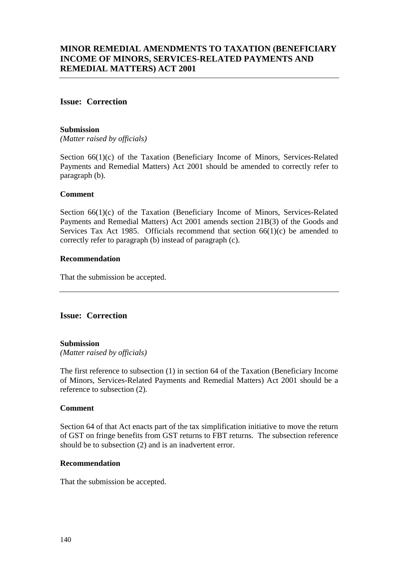# **Issue: Correction**

### **Submission**

*(Matter raised by officials)*

Section 66(1)(c) of the Taxation (Beneficiary Income of Minors, Services-Related Payments and Remedial Matters) Act 2001 should be amended to correctly refer to paragraph (b).

### **Comment**

Section 66(1)(c) of the Taxation (Beneficiary Income of Minors, Services-Related Payments and Remedial Matters) Act 2001 amends section 21B(3) of the Goods and Services Tax Act 1985. Officials recommend that section 66(1)(c) be amended to correctly refer to paragraph (b) instead of paragraph (c).

### **Recommendation**

That the submission be accepted.

# **Issue: Correction**

### **Submission**

*(Matter raised by officials)*

The first reference to subsection (1) in section 64 of the Taxation (Beneficiary Income of Minors, Services-Related Payments and Remedial Matters) Act 2001 should be a reference to subsection (2).

### **Comment**

Section 64 of that Act enacts part of the tax simplification initiative to move the return of GST on fringe benefits from GST returns to FBT returns. The subsection reference should be to subsection (2) and is an inadvertent error.

### **Recommendation**

That the submission be accepted.